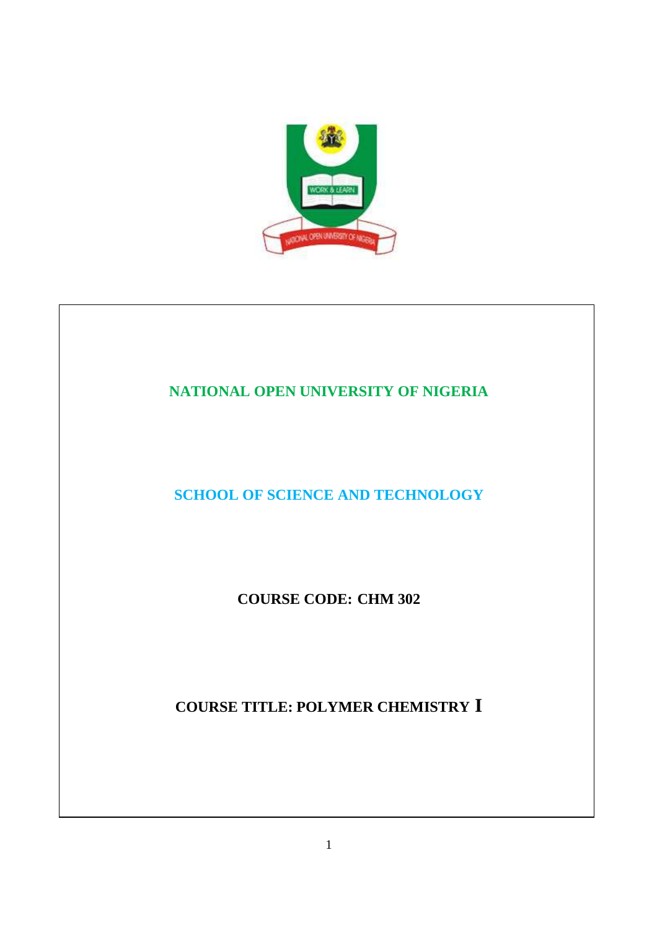

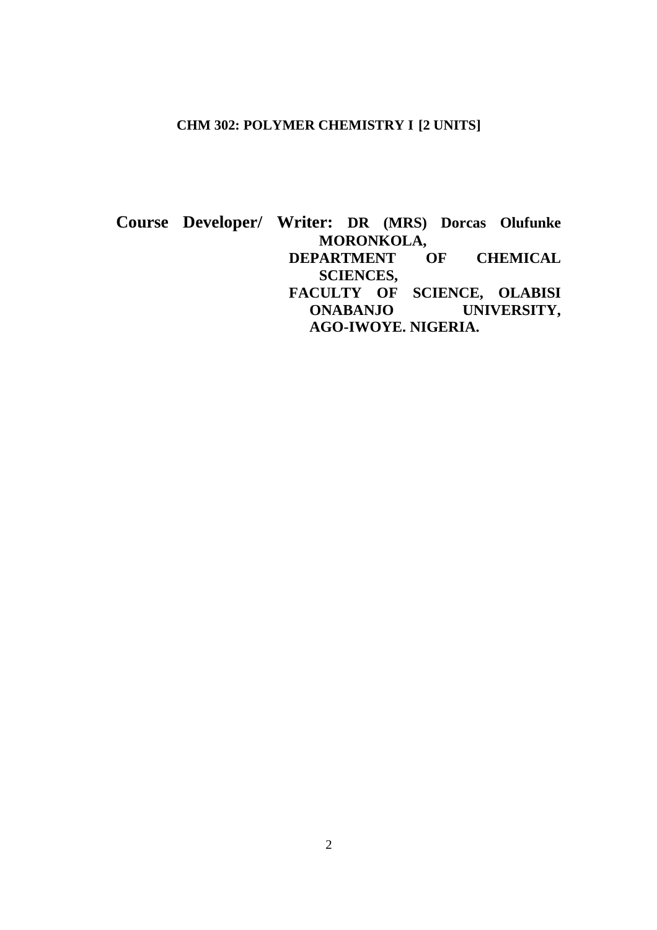#### **CHM 302: POLYMER CHEMISTRY I [2 UNITS]**

**Course Developer/ Writer: DR (MRS) Dorcas Olufunke MORONKOLA, DEPARTMENT OF CHEMICAL SCIENCES, FACULTY OF SCIENCE, OLABISI<br>
ONABANJO UNIVERSITY. UNIVERSITY, AGO-IWOYE. NIGERIA.**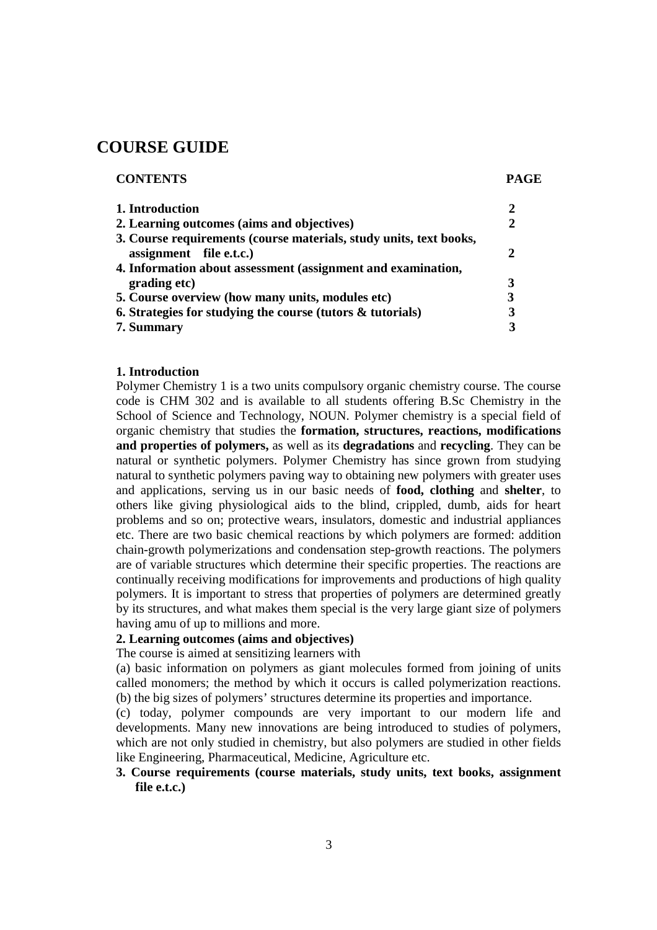# **COURSE GUIDE**

| <b>CONTENTS</b>                                                                               | PAGE |
|-----------------------------------------------------------------------------------------------|------|
| 1. Introduction                                                                               | 2    |
| 2. Learning outcomes (aims and objectives)                                                    | 2    |
| 3. Course requirements (course materials, study units, text books,<br>assignment file e.t.c.) | 2    |
| 4. Information about assessment (assignment and examination,                                  |      |
| grading etc)                                                                                  | 3    |
| 5. Course overview (how many units, modules etc)                                              | 3    |
| 6. Strategies for studying the course (tutors $\&$ tutorials)                                 |      |
| 7. Summary                                                                                    |      |

#### **1. Introduction**

Polymer Chemistry 1 is a two units compulsory organic chemistry course. The course code is CHM 302 and is available to all students offering B.Sc Chemistry in the School of Science and Technology, NOUN. Polymer chemistry is a special field of organic chemistry that studies the **formation, structures, reactions, modifications and properties of polymers,** as well as its **degradations** and **recycling**. They can be natural or synthetic polymers. Polymer Chemistry has since grown from studying natural to synthetic polymers paving way to obtaining new polymers with greater uses and applications, serving us in our basic needs of **food, clothing** and **shelter**, to others like giving physiological aids to the blind, crippled, dumb, aids for heart problems and so on; protective wears, insulators, domestic and industrial appliances etc. There are two basic chemical reactions by which polymers are formed: addition chain-growth polymerizations and condensation step-growth reactions. The polymers are of variable structures which determine their specific properties. The reactions are continually receiving modifications for improvements and productions of high quality polymers. It is important to stress that properties of polymers are determined greatly by its structures, and what makes them special is the very large giant size of polymers having amu of up to millions and more.

#### **2. Learning outcomes (aims and objectives)**

The course is aimed at sensitizing learners with

(a) basic information on polymers as giant molecules formed from joining of units called monomers; the method by which it occurs is called polymerization reactions. (b) the big sizes of polymers' structures determine its properties and importance.

(c) today, polymer compounds are very important to our modern life and developments. Many new innovations are being introduced to studies of polymers, which are not only studied in chemistry, but also polymers are studied in other fields like Engineering, Pharmaceutical, Medicine, Agriculture etc.

**3. Course requirements (course materials, study units, text books, assignment file e.t.c.)**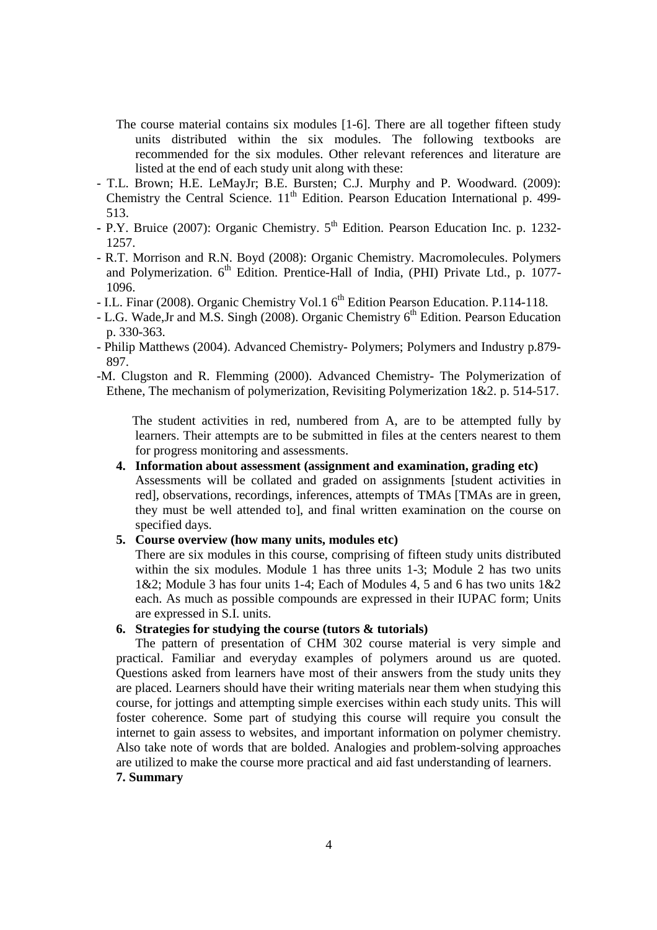- The course material contains six modules [1-6]. There are all together fifteen study units distributed within the six modules. The following textbooks are recommended for the six modules. Other relevant references and literature are listed at the end of each study unit along with these:
- T.L. Brown; H.E. LeMayJr; B.E. Bursten; C.J. Murphy and P. Woodward. (2009): Chemistry the Central Science. 11<sup>th</sup> Edition. Pearson Education International p. 499-513.
- **P.Y. Bruice (2007): Organic Chemistry. 5<sup>th</sup> Edition. Pearson Education Inc. p. 1232-**1257.
- R.T. Morrison and R.N. Boyd (2008): Organic Chemistry. Macromolecules. Polymers and Polymerization.  $6<sup>th</sup>$  Edition. Prentice-Hall of India, (PHI) Private Ltd., p. 1077-1096.
- I.L. Finar (2008). Organic Chemistry Vol.1 6<sup>th</sup> Edition Pearson Education. P.114-118.
- L.G. Wade, Jr and M.S. Singh (2008). Organic Chemistry 6<sup>th</sup> Edition. Pearson Education p. 330-363.
- Philip Matthews (2004). Advanced Chemistry- Polymers; Polymers and Industry p.879- 897.
- -M. Clugston and R. Flemming (2000). Advanced Chemistry- The Polymerization of Ethene, The mechanism of polymerization, Revisiting Polymerization 1&2. p. 514-517.

 The student activities in red, numbered from A, are to be attempted fully by learners. Their attempts are to be submitted in files at the centers nearest to them for progress monitoring and assessments.

**4. Information about assessment (assignment and examination, grading etc)**  Assessments will be collated and graded on assignments [student activities in red], observations, recordings, inferences, attempts of TMAs [TMAs are in green, they must be well attended to], and final written examination on the course on specified days.

#### **5. Course overview (how many units, modules etc)**

There are six modules in this course, comprising of fifteen study units distributed within the six modules. Module 1 has three units 1-3; Module 2 has two units 1&2; Module 3 has four units 1-4; Each of Modules 4, 5 and 6 has two units 1&2 each. As much as possible compounds are expressed in their IUPAC form; Units are expressed in S.I. units.

#### **6. Strategies for studying the course (tutors & tutorials)**

The pattern of presentation of CHM 302 course material is very simple and practical. Familiar and everyday examples of polymers around us are quoted. Questions asked from learners have most of their answers from the study units they are placed. Learners should have their writing materials near them when studying this course, for jottings and attempting simple exercises within each study units. This will foster coherence. Some part of studying this course will require you consult the internet to gain assess to websites, and important information on polymer chemistry. Also take note of words that are bolded. Analogies and problem-solving approaches are utilized to make the course more practical and aid fast understanding of learners. **7. Summary**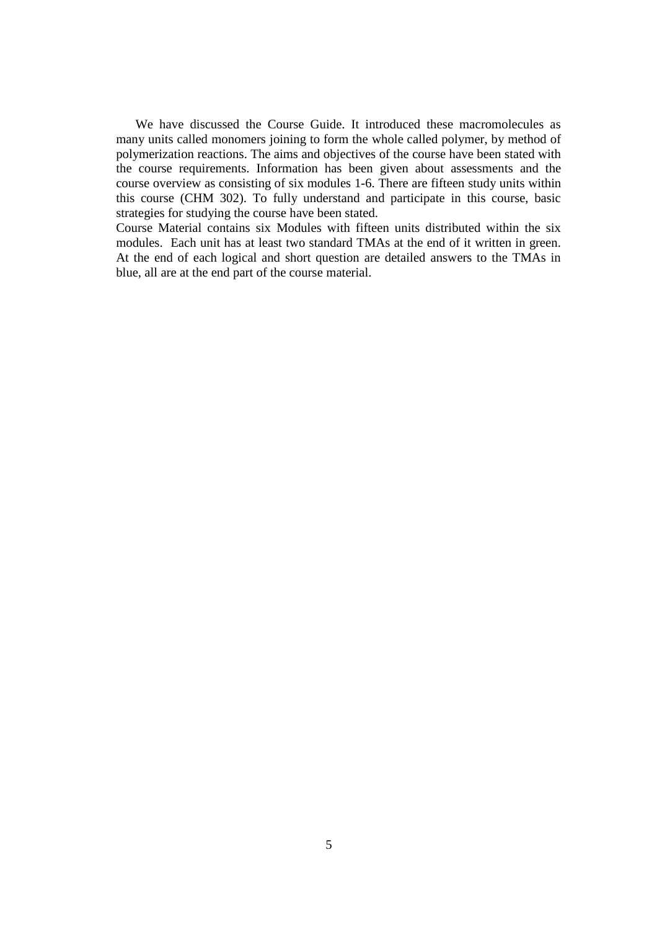We have discussed the Course Guide. It introduced these macromolecules as many units called monomers joining to form the whole called polymer, by method of polymerization reactions. The aims and objectives of the course have been stated with the course requirements. Information has been given about assessments and the course overview as consisting of six modules 1-6. There are fifteen study units within this course (CHM 302). To fully understand and participate in this course, basic strategies for studying the course have been stated.

Course Material contains six Modules with fifteen units distributed within the six modules. Each unit has at least two standard TMAs at the end of it written in green. At the end of each logical and short question are detailed answers to the TMAs in blue, all are at the end part of the course material.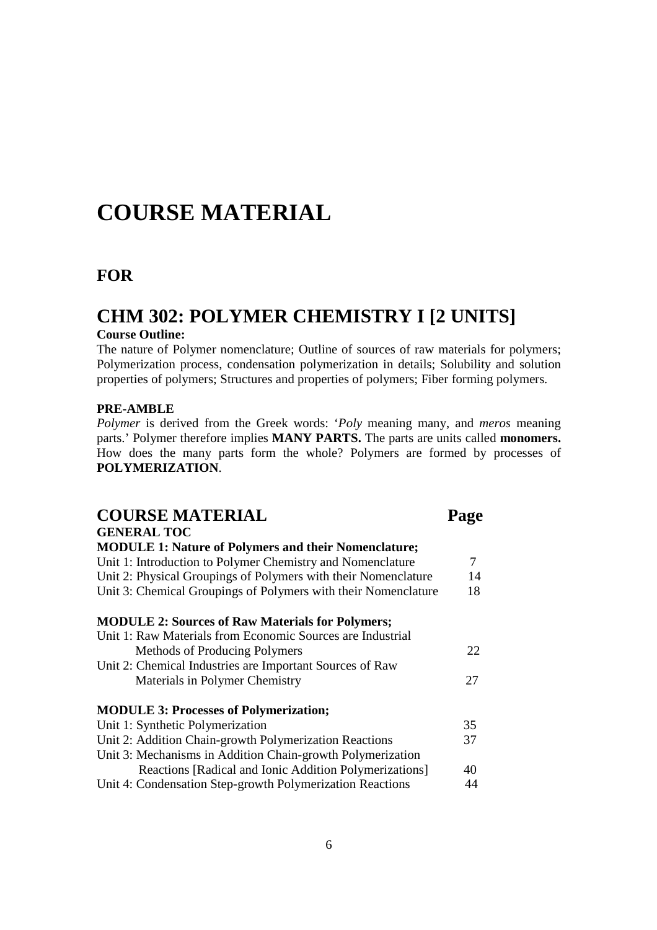# **COURSE MATERIAL**

# **FOR**

# **CHM 302: POLYMER CHEMISTRY I [2 UNITS]**

### **Course Outline:**

The nature of Polymer nomenclature; Outline of sources of raw materials for polymers; Polymerization process, condensation polymerization in details; Solubility and solution properties of polymers; Structures and properties of polymers; Fiber forming polymers.

# **PRE-AMBLE**

*Polymer* is derived from the Greek words: '*Poly* meaning many, and *meros* meaning parts.' Polymer therefore implies **MANY PARTS.** The parts are units called **monomers.**  How does the many parts form the whole? Polymers are formed by processes of **POLYMERIZATION**.

| <b>COURSE MATERIAL</b>                                         | Page           |
|----------------------------------------------------------------|----------------|
| <b>GENERAL TOC</b>                                             |                |
| <b>MODULE 1: Nature of Polymers and their Nomenclature;</b>    |                |
| Unit 1: Introduction to Polymer Chemistry and Nomenclature     | $\overline{7}$ |
| Unit 2: Physical Groupings of Polymers with their Nomenclature | 14             |
| Unit 3: Chemical Groupings of Polymers with their Nomenclature | 18             |
| <b>MODULE 2: Sources of Raw Materials for Polymers;</b>        |                |
| Unit 1: Raw Materials from Economic Sources are Industrial     |                |
| Methods of Producing Polymers                                  | 22             |
| Unit 2: Chemical Industries are Important Sources of Raw       |                |
| Materials in Polymer Chemistry                                 | 27             |
| <b>MODULE 3: Processes of Polymerization;</b>                  |                |
| Unit 1: Synthetic Polymerization                               | 35             |
| Unit 2: Addition Chain-growth Polymerization Reactions         | 37             |
| Unit 3: Mechanisms in Addition Chain-growth Polymerization     |                |
| Reactions [Radical and Ionic Addition Polymerizations]         | 40             |
| Unit 4: Condensation Step-growth Polymerization Reactions      | 44             |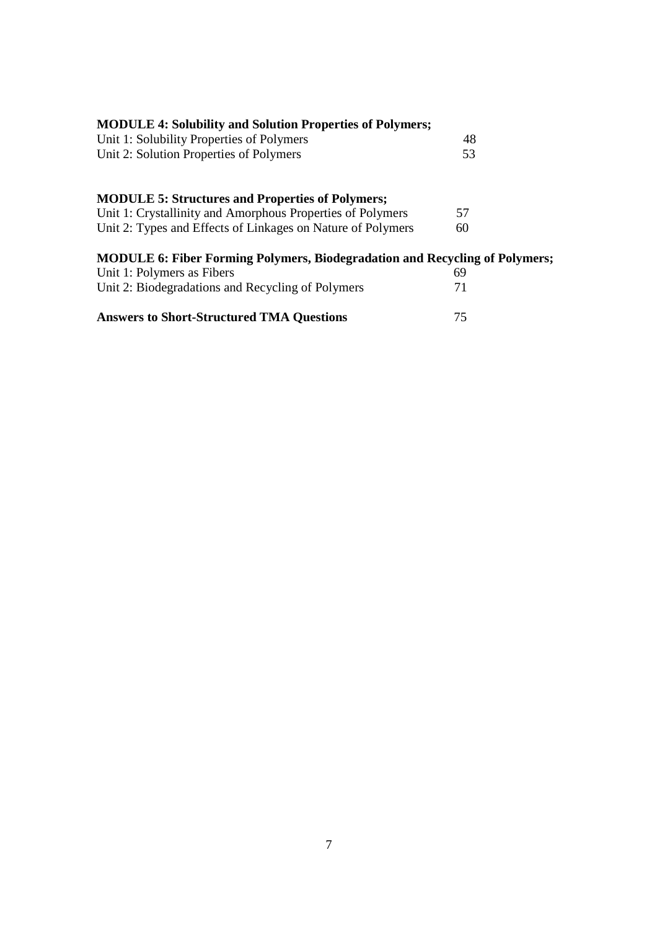| <b>MODULE 4: Solubility and Solution Properties of Polymers;</b>                   |    |  |
|------------------------------------------------------------------------------------|----|--|
| Unit 1: Solubility Properties of Polymers                                          | 48 |  |
| Unit 2: Solution Properties of Polymers                                            | 53 |  |
| <b>MODULE 5: Structures and Properties of Polymers;</b>                            |    |  |
| Unit 1: Crystallinity and Amorphous Properties of Polymers                         | 57 |  |
| Unit 2: Types and Effects of Linkages on Nature of Polymers                        | 60 |  |
| <b>MODULE 6: Fiber Forming Polymers, Biodegradation and Recycling of Polymers;</b> |    |  |
| Unit 1: Polymers as Fibers                                                         | 69 |  |
| Unit 2: Biodegradations and Recycling of Polymers                                  | 71 |  |
| <b>Answers to Short-Structured TMA Questions</b>                                   | 75 |  |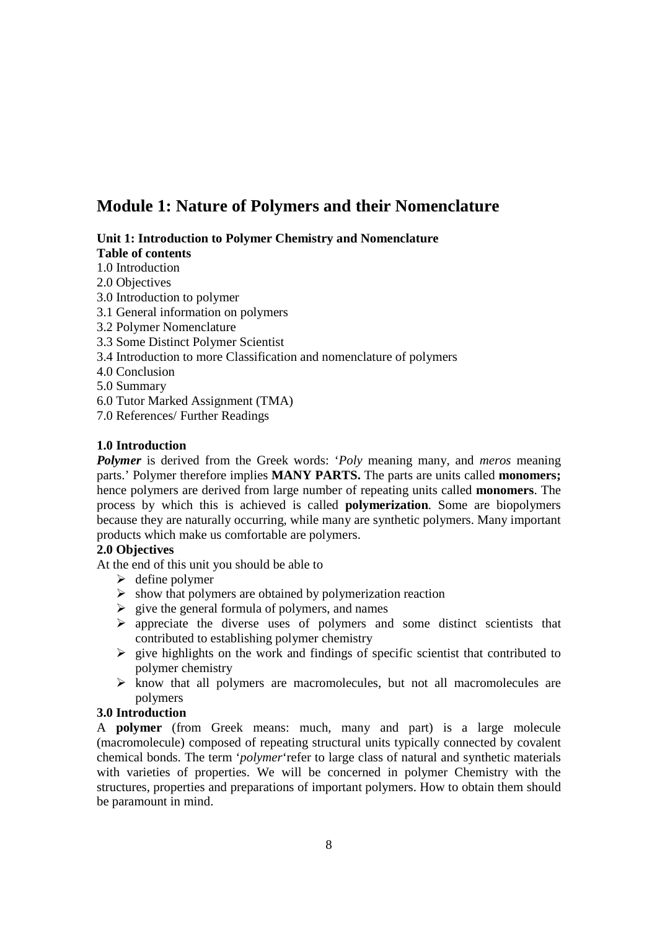# **Module 1: Nature of Polymers and their Nomenclature**

# **Unit 1: Introduction to Polymer Chemistry and Nomenclature**

# **Table of contents**

- 1.0 Introduction
- 2.0 Objectives
- 3.0 Introduction to polymer
- 3.1 General information on polymers
- 3.2 Polymer Nomenclature
- 3.3 Some Distinct Polymer Scientist
- 3.4 Introduction to more Classification and nomenclature of polymers
- 4.0 Conclusion
- 5.0 Summary
- 6.0 Tutor Marked Assignment (TMA)
- 7.0 References/ Further Readings

# **1.0 Introduction**

*Polymer* is derived from the Greek words: '*Poly* meaning many, and *meros* meaning parts.' Polymer therefore implies **MANY PARTS.** The parts are units called **monomers;**  hence polymers are derived from large number of repeating units called **monomers**. The process by which this is achieved is called **polymerization**. Some are biopolymers because they are naturally occurring, while many are synthetic polymers. Many important products which make us comfortable are polymers.

# **2.0 Objectives**

At the end of this unit you should be able to

- $\triangleright$  define polymer
- $\triangleright$  show that polymers are obtained by polymerization reaction
- $\triangleright$  give the general formula of polymers, and names
- $\triangleright$  appreciate the diverse uses of polymers and some distinct scientists that contributed to establishing polymer chemistry
- $\triangleright$  give highlights on the work and findings of specific scientist that contributed to polymer chemistry
- $\triangleright$  know that all polymers are macromolecules, but not all macromolecules are polymers

# **3.0 Introduction**

A **polymer** (from Greek means: much, many and part) is a large molecule (macromolecule) composed of repeating structural units typically connected by covalent chemical bonds. The term '*polymer*'refer to large class of natural and synthetic materials with varieties of properties. We will be concerned in polymer Chemistry with the structures, properties and preparations of important polymers. How to obtain them should be paramount in mind.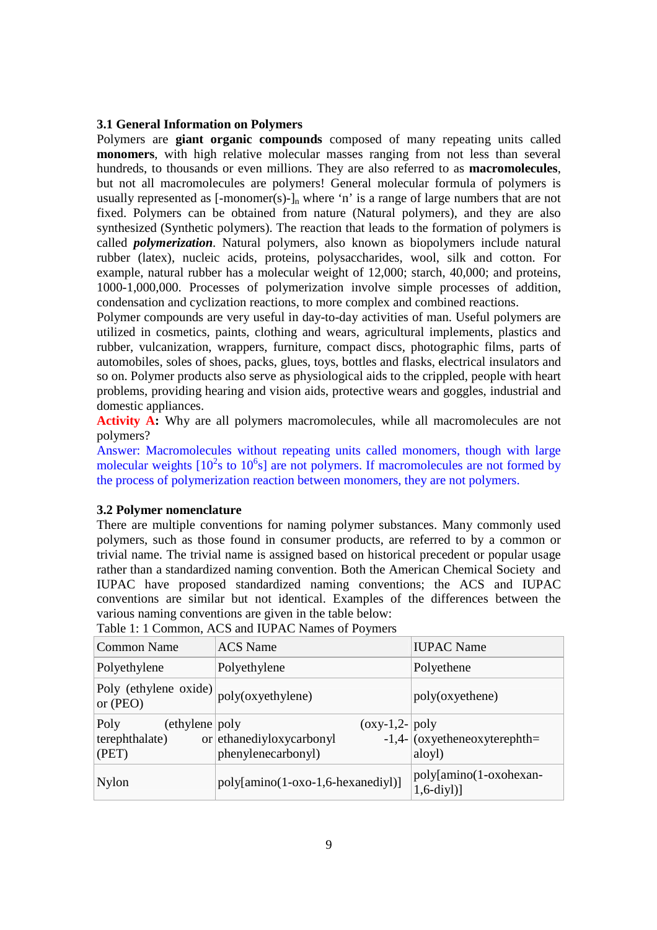#### **3.1 General Information on Polymers**

Polymers are **giant organic compounds** composed of many repeating units called **monomers**, with high relative molecular masses ranging from not less than several hundreds, to thousands or even millions. They are also referred to as **macromolecules**, but not all macromolecules are polymers! General molecular formula of polymers is usually represented as  $[-\text{monomer}(s)$ - $]_n$  where 'n' is a range of large numbers that are not fixed. Polymers can be obtained from nature (Natural polymers), and they are also synthesized (Synthetic polymers). The reaction that leads to the formation of polymers is called *polymerization*. Natural polymers, also known as biopolymers include natural rubber (latex), nucleic acids, proteins, polysaccharides, wool, silk and cotton. For example, natural rubber has a molecular weight of 12,000; starch, 40,000; and proteins, 1000-1,000,000. Processes of polymerization involve simple processes of addition, condensation and cyclization reactions, to more complex and combined reactions.

Polymer compounds are very useful in day-to-day activities of man. Useful polymers are utilized in cosmetics, paints, clothing and wears, agricultural implements, plastics and rubber, vulcanization, wrappers, furniture, compact discs, photographic films, parts of automobiles, soles of shoes, packs, glues, toys, bottles and flasks, electrical insulators and so on. Polymer products also serve as physiological aids to the crippled, people with heart problems, providing hearing and vision aids, protective wears and goggles, industrial and domestic appliances.

**Activity A:** Why are all polymers macromolecules, while all macromolecules are not polymers?

Answer: Macromolecules without repeating units called monomers, though with large molecular weights  $[10^2$ s to  $10^6$ s] are not polymers. If macromolecules are not formed by the process of polymerization reaction between monomers, they are not polymers.

#### **3.2 Polymer nomenclature**

There are multiple conventions for naming polymer substances. Many commonly used polymers, such as those found in consumer products, are referred to by a common or trivial name. The trivial name is assigned based on historical precedent or popular usage rather than a standardized naming convention. Both the American Chemical Society and IUPAC have proposed standardized naming conventions; the ACS and IUPAC conventions are similar but not identical. Examples of the differences between the various naming conventions are given in the table below:

| <b>Common Name</b>                                   | <b>ACS</b> Name                                                                                  | <b>IUPAC</b> Name                                 |
|------------------------------------------------------|--------------------------------------------------------------------------------------------------|---------------------------------------------------|
| Polyethylene                                         | Polyethylene                                                                                     | Polyethene                                        |
| Poly (ethylene oxide)<br>or (PEO)                    | poly(oxyethylene)                                                                                | poly(oxyethene)                                   |
| $(eth$ ylene poly<br>Poly<br>terephthalate)<br>(PET) | $\left( \text{oxy-1,2-}   \text{poly} \right)$<br>or ethanediyloxycarbonyl<br>phenylenecarbonyl) | $-1,4$ - $\vert$ (oxyetheneoxyterephth=<br>aloyl) |
| Nylon                                                | poly[amino(1-oxo-1,6-hexanediyl)]                                                                | poly[amino(1-oxohexan-<br>$1, 6$ -diyl)]          |

|  |  |  |  |  | Table 1: 1 Common, ACS and IUPAC Names of Poymers |
|--|--|--|--|--|---------------------------------------------------|
|--|--|--|--|--|---------------------------------------------------|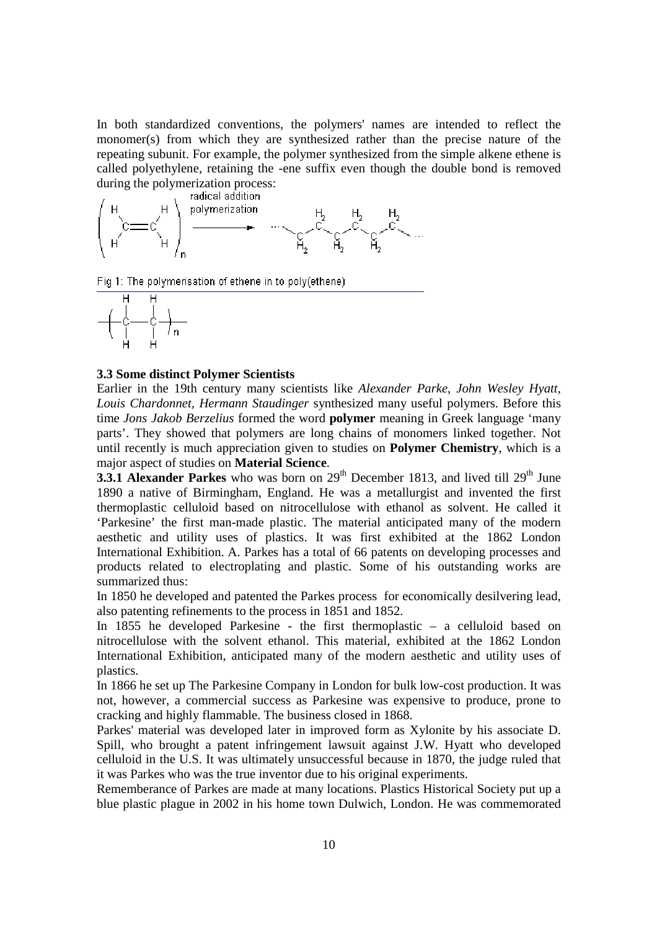In both standardized conventions, the polymers' names are intended to reflect the monomer(s) from which they are synthesized rather than the precise nature of the repeating subunit. For example, the polymer synthesized from the simple alkene ethene is called polyethylene, retaining the -ene suffix even though the double bond is removed during the polymerization process:



Fig 1: The polymerisation of ethene in to poly(ethene)



#### **3.3 Some distinct Polymer Scientists**

Earlier in the 19th century many scientists like *Alexander Parke, John Wesley Hyatt, Louis Chardonnet, Hermann Staudinger* synthesized many useful polymers. Before this time *Jons Jakob Berzelius* formed the word **polymer** meaning in Greek language 'many parts'. They showed that polymers are long chains of monomers linked together. Not until recently is much appreciation given to studies on **Polymer Chemistry**, which is a major aspect of studies on **Material Science**.

**3.3.1 Alexander Parkes** who was born on 29<sup>th</sup> December 1813, and lived till 29<sup>th</sup> June 1890 a native of Birmingham, England. He was a metallurgist and invented the first thermoplastic celluloid based on nitrocellulose with ethanol as solvent. He called it 'Parkesine' the first man-made plastic. The material anticipated many of the modern aesthetic and utility uses of plastics. It was first exhibited at the 1862 London International Exhibition. A. Parkes has a total of 66 patents on developing processes and products related to electroplating and plastic. Some of his outstanding works are summarized thus:

In 1850 he developed and patented the Parkes process for economically desilvering lead, also patenting refinements to the process in 1851 and 1852.

In 1855 he developed Parkesine - the first thermoplastic – a celluloid based on nitrocellulose with the solvent ethanol. This material, exhibited at the 1862 London International Exhibition, anticipated many of the modern aesthetic and utility uses of plastics.

In 1866 he set up The Parkesine Company in London for bulk low-cost production. It was not, however, a commercial success as Parkesine was expensive to produce, prone to cracking and highly flammable. The business closed in 1868.

Parkes' material was developed later in improved form as Xylonite by his associate D. Spill, who brought a patent infringement lawsuit against J.W. Hyatt who developed celluloid in the U.S. It was ultimately unsuccessful because in 1870, the judge ruled that it was Parkes who was the true inventor due to his original experiments.

Rememberance of Parkes are made at many locations. Plastics Historical Society put up a blue plastic plague in 2002 in his home town Dulwich, London. He was commemorated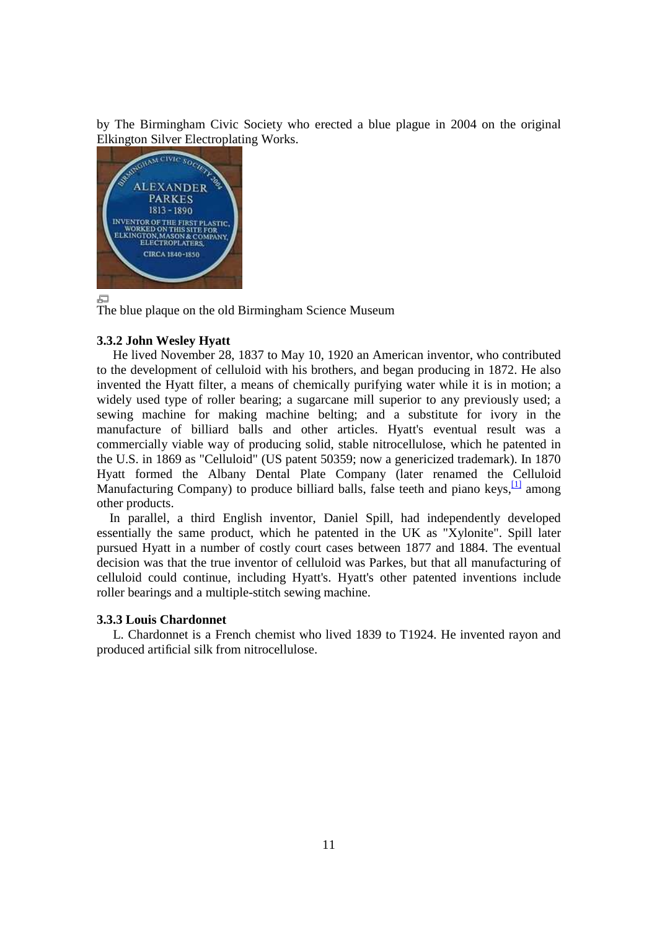by The Birmingham Civic Society who erected a blue plague in 2004 on the original Elkington Silver Electroplating Works.



The blue plaque on the old Birmingham Science Museum

#### **3.3.2 John Wesley Hyatt**

 He lived November 28, 1837 to May 10, 1920 an American inventor, who contributed to the development of celluloid with his brothers, and began producing in 1872. He also invented the Hyatt filter, a means of chemically purifying water while it is in motion; a widely used type of roller bearing; a sugarcane mill superior to any previously used; a sewing machine for making machine belting; and a substitute for ivory in the manufacture of billiard balls and other articles. Hyatt's eventual result was a commercially viable way of producing solid, stable nitrocellulose, which he patented in the U.S. in 1869 as "Celluloid" (US patent 50359; now a genericized trademark). In 1870 Hyatt formed the Albany Dental Plate Company (later renamed the Celluloid Manufacturing Company) to produce billiard balls, false teeth and piano keys,  $\frac{11}{2}$  among other products.

 In parallel, a third English inventor, Daniel Spill, had independently developed essentially the same product, which he patented in the UK as "Xylonite". Spill later pursued Hyatt in a number of costly court cases between 1877 and 1884. The eventual decision was that the true inventor of celluloid was Parkes, but that all manufacturing of celluloid could continue, including Hyatt's. Hyatt's other patented inventions include roller bearings and a multiple-stitch sewing machine.

#### **3.3.3 Louis Chardonnet**

 L. Chardonnet is a French chemist who lived 1839 to T1924. He invented rayon and produced artificial silk from nitrocellulose.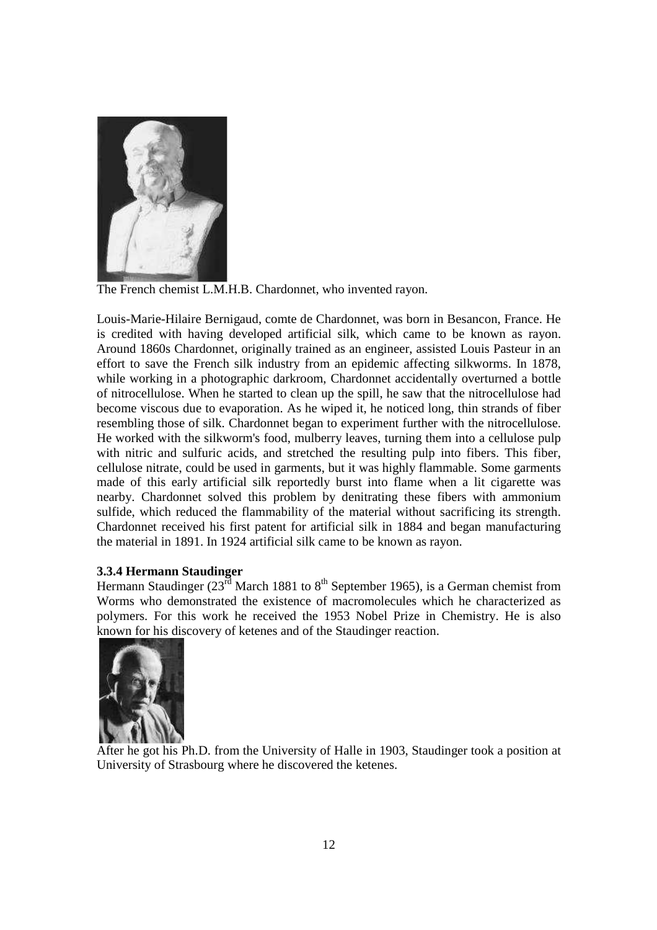

The French chemist L.M.H.B. Chardonnet, who invented rayon.

Louis-Marie-Hilaire Bernigaud, comte de Chardonnet, was born in Besancon, France. He is credited with having developed artificial silk, which came to be known as rayon. Around 1860s Chardonnet, originally trained as an engineer, assisted Louis Pasteur in an effort to save the French silk industry from an epidemic affecting silkworms. In 1878, while working in a photographic darkroom, Chardonnet accidentally overturned a bottle of nitrocellulose. When he started to clean up the spill, he saw that the nitrocellulose had become viscous due to evaporation. As he wiped it, he noticed long, thin strands of fiber resembling those of silk. Chardonnet began to experiment further with the nitrocellulose. He worked with the silkworm's food, mulberry leaves, turning them into a cellulose pulp with nitric and sulfuric acids, and stretched the resulting pulp into fibers. This fiber, cellulose nitrate, could be used in garments, but it was highly flammable. Some garments made of this early artificial silk reportedly burst into flame when a lit cigarette was nearby. Chardonnet solved this problem by denitrating these fibers with ammonium sulfide, which reduced the flammability of the material without sacrificing its strength. Chardonnet received his first patent for artificial silk in 1884 and began manufacturing the material in 1891. In 1924 artificial silk came to be known as rayon.

# **3.3.4 Hermann Staudinger**

Hermann Staudinger ( $23<sup>rd</sup>$  March 1881 to  $8<sup>th</sup>$  September 1965), is a German chemist from Worms who demonstrated the existence of macromolecules which he characterized as polymers. For this work he received the 1953 Nobel Prize in Chemistry. He is also known for his discovery of ketenes and of the Staudinger reaction.



After he got his Ph.D. from the University of Halle in 1903, Staudinger took a position at University of Strasbourg where he discovered the ketenes.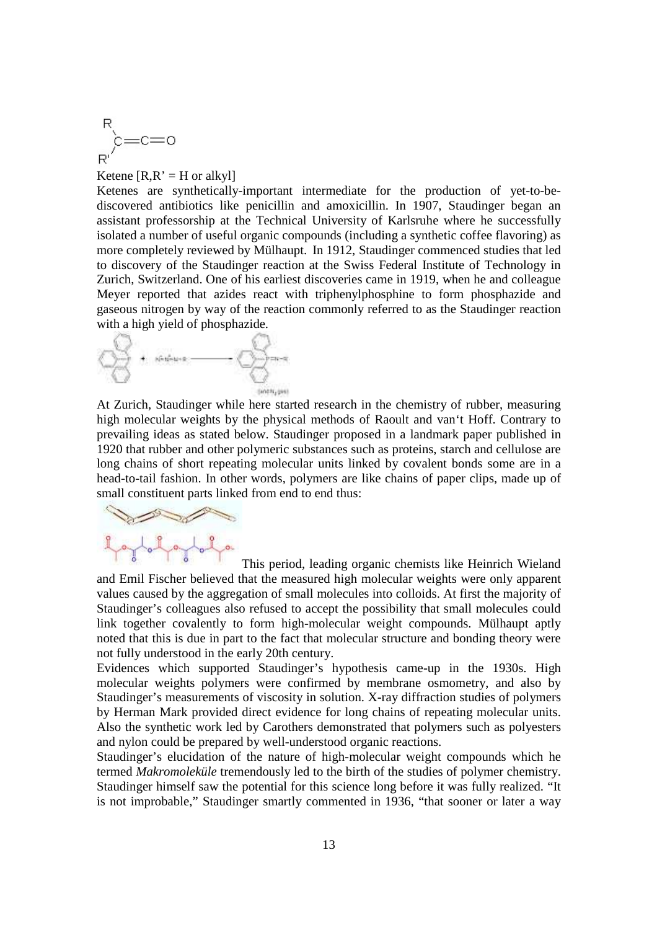#### Ketene  $[R, R' = H$  or alkyl]

Ketenes are synthetically-important intermediate for the production of yet-to-bediscovered antibiotics like penicillin and amoxicillin. In 1907, Staudinger began an assistant professorship at the Technical University of Karlsruhe where he successfully isolated a number of useful organic compounds (including a synthetic coffee flavoring) as more completely reviewed by Mülhaupt. In 1912, Staudinger commenced studies that led to discovery of the Staudinger reaction at the Swiss Federal Institute of Technology in Zurich, Switzerland. One of his earliest discoveries came in 1919, when he and colleague Meyer reported that azides react with triphenylphosphine to form phosphazide and gaseous nitrogen by way of the reaction commonly referred to as the Staudinger reaction with a high yield of phosphazide.



At Zurich, Staudinger while here started research in the chemistry of rubber, measuring high molecular weights by the physical methods of Raoult and van't Hoff. Contrary to prevailing ideas as stated below. Staudinger proposed in a landmark paper published in 1920 that rubber and other polymeric substances such as proteins, starch and cellulose are long chains of short repeating molecular units linked by covalent bonds some are in a head-to-tail fashion. In other words, polymers are like chains of paper clips, made up of small constituent parts linked from end to end thus:



This period, leading organic chemists like Heinrich Wieland and Emil Fischer believed that the measured high molecular weights were only apparent values caused by the aggregation of small molecules into colloids. At first the majority of Staudinger's colleagues also refused to accept the possibility that small molecules could link together covalently to form high-molecular weight compounds. Mülhaupt aptly noted that this is due in part to the fact that molecular structure and bonding theory were not fully understood in the early 20th century.

Evidences which supported Staudinger's hypothesis came-up in the 1930s. High molecular weights polymers were confirmed by membrane osmometry, and also by Staudinger's measurements of viscosity in solution. X-ray diffraction studies of polymers by Herman Mark provided direct evidence for long chains of repeating molecular units. Also the synthetic work led by Carothers demonstrated that polymers such as polyesters and nylon could be prepared by well-understood organic reactions.

Staudinger's elucidation of the nature of high-molecular weight compounds which he termed *Makromoleküle* tremendously led to the birth of the studies of polymer chemistry. Staudinger himself saw the potential for this science long before it was fully realized. "It is not improbable," Staudinger smartly commented in 1936, "that sooner or later a way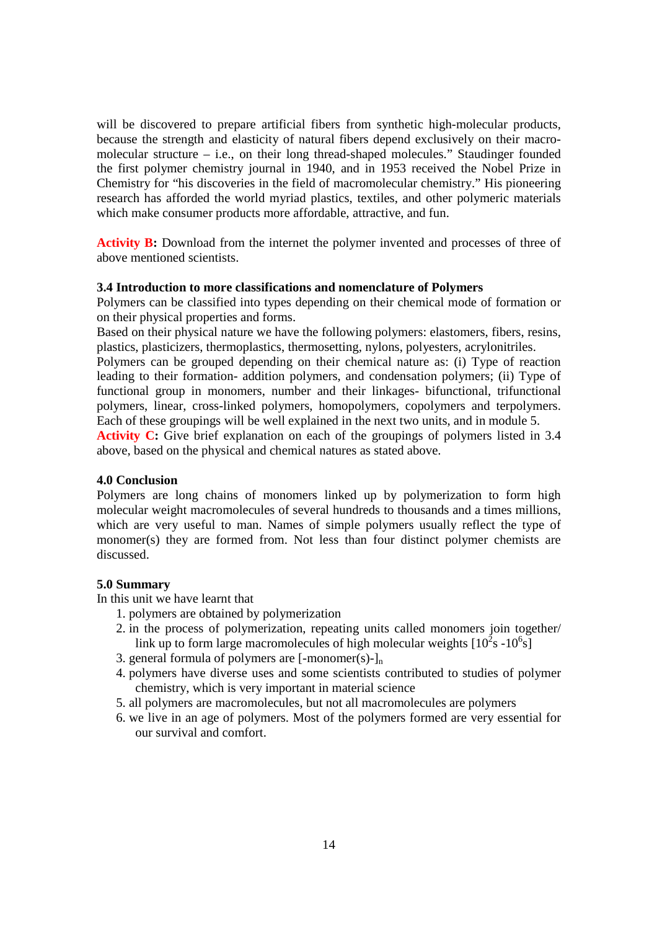will be discovered to prepare artificial fibers from synthetic high-molecular products, because the strength and elasticity of natural fibers depend exclusively on their macromolecular structure – i.e., on their long thread-shaped molecules." Staudinger founded the first polymer chemistry journal in 1940, and in 1953 received the Nobel Prize in Chemistry for "his discoveries in the field of macromolecular chemistry." His pioneering research has afforded the world myriad plastics, textiles, and other polymeric materials which make consumer products more affordable, attractive, and fun.

Activity **B:** Download from the internet the polymer invented and processes of three of above mentioned scientists.

#### **3.4 Introduction to more classifications and nomenclature of Polymers**

Polymers can be classified into types depending on their chemical mode of formation or on their physical properties and forms.

Based on their physical nature we have the following polymers: elastomers, fibers, resins, plastics, plasticizers, thermoplastics, thermosetting, nylons, polyesters, acrylonitriles.

Polymers can be grouped depending on their chemical nature as: (i) Type of reaction leading to their formation- addition polymers, and condensation polymers; (ii) Type of functional group in monomers, number and their linkages- bifunctional, trifunctional polymers, linear, cross-linked polymers, homopolymers, copolymers and terpolymers. Each of these groupings will be well explained in the next two units, and in module 5.

Activity C: Give brief explanation on each of the groupings of polymers listed in 3.4 above, based on the physical and chemical natures as stated above.

#### **4.0 Conclusion**

Polymers are long chains of monomers linked up by polymerization to form high molecular weight macromolecules of several hundreds to thousands and a times millions, which are very useful to man. Names of simple polymers usually reflect the type of monomer(s) they are formed from. Not less than four distinct polymer chemists are discussed.

#### **5.0 Summary**

In this unit we have learnt that

- 1. polymers are obtained by polymerization
- 2. in the process of polymerization, repeating units called monomers join together/ link up to form large macromolecules of high molecular weights  $[10^2s - 10^6s]$
- 3. general formula of polymers are  $[-$ monomer $(s)$ - $]_n$
- 4. polymers have diverse uses and some scientists contributed to studies of polymer chemistry, which is very important in material science
- 5. all polymers are macromolecules, but not all macromolecules are polymers
- 6. we live in an age of polymers. Most of the polymers formed are very essential for our survival and comfort.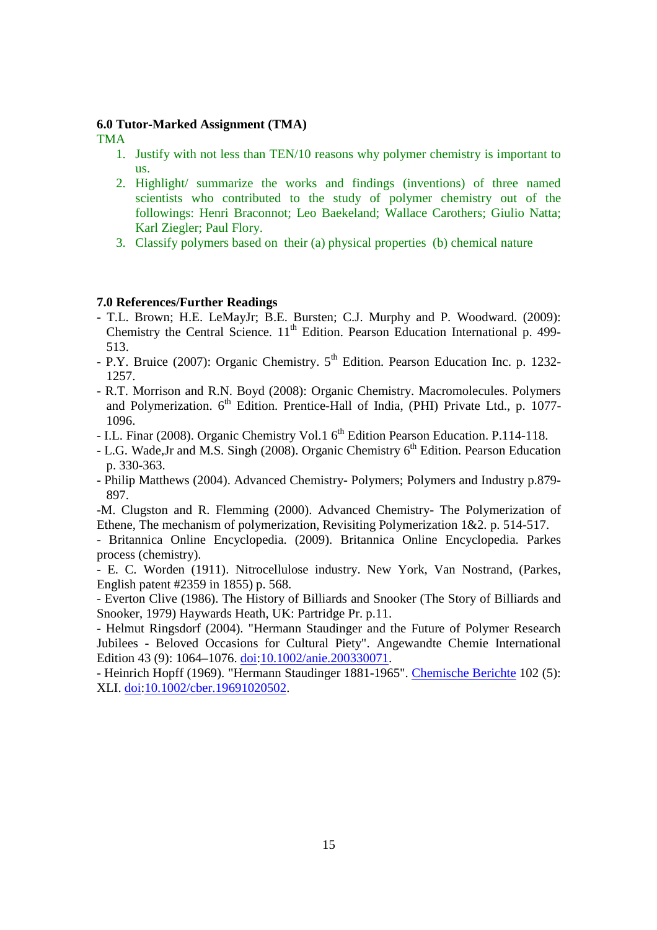#### **6.0 Tutor-Marked Assignment (TMA)**

TMA

- 1. Justify with not less than TEN/10 reasons why polymer chemistry is important to us.
- 2. Highlight/ summarize the works and findings (inventions) of three named scientists who contributed to the study of polymer chemistry out of the followings: Henri Braconnot; Leo Baekeland; Wallace Carothers; Giulio Natta; Karl Ziegler; Paul Flory.
- 3. Classify polymers based on their (a) physical properties (b) chemical nature

#### **7.0 References/Further Readings**

- T.L. Brown; H.E. LeMayJr; B.E. Bursten; C.J. Murphy and P. Woodward. (2009): Chemistry the Central Science. 11<sup>th</sup> Edition. Pearson Education International p. 499-513.
- **P.Y. Bruice (2007): Organic Chemistry. 5<sup>th</sup> Edition. Pearson Education Inc. p. 1232-**1257.
- R.T. Morrison and R.N. Boyd (2008): Organic Chemistry. Macromolecules. Polymers and Polymerization. 6<sup>th</sup> Edition. Prentice-Hall of India, (PHI) Private Ltd., p. 1077-1096.
- I.L. Finar (2008). Organic Chemistry Vol.1 6<sup>th</sup> Edition Pearson Education. P.114-118.
- L.G. Wade, Jr and M.S. Singh  $(2008)$ . Organic Chemistry  $6<sup>th</sup>$  Edition. Pearson Education p. 330-363.
- Philip Matthews (2004). Advanced Chemistry- Polymers; Polymers and Industry p.879- 897.

-M. Clugston and R. Flemming (2000). Advanced Chemistry- The Polymerization of Ethene, The mechanism of polymerization, Revisiting Polymerization 1&2. p. 514-517.

- Britannica Online Encyclopedia. (2009). Britannica Online Encyclopedia. Parkes process (chemistry).

- E. C. Worden (1911). Nitrocellulose industry. New York, Van Nostrand, (Parkes, English patent #2359 in 1855) p. 568.

- Everton Clive (1986). The History of Billiards and Snooker (The Story of Billiards and Snooker, 1979) Haywards Heath, UK: Partridge Pr. p.11.

- Helmut Ringsdorf (2004). "Hermann Staudinger and the Future of Polymer Research Jubilees - Beloved Occasions for Cultural Piety". Angewandte Chemie International Edition 43 (9): 1064–1076. doi:10.1002/anie.200330071.

- Heinrich Hopff (1969). "Hermann Staudinger 1881-1965". Chemische Berichte 102 (5): XLI. doi:10.1002/cber.19691020502.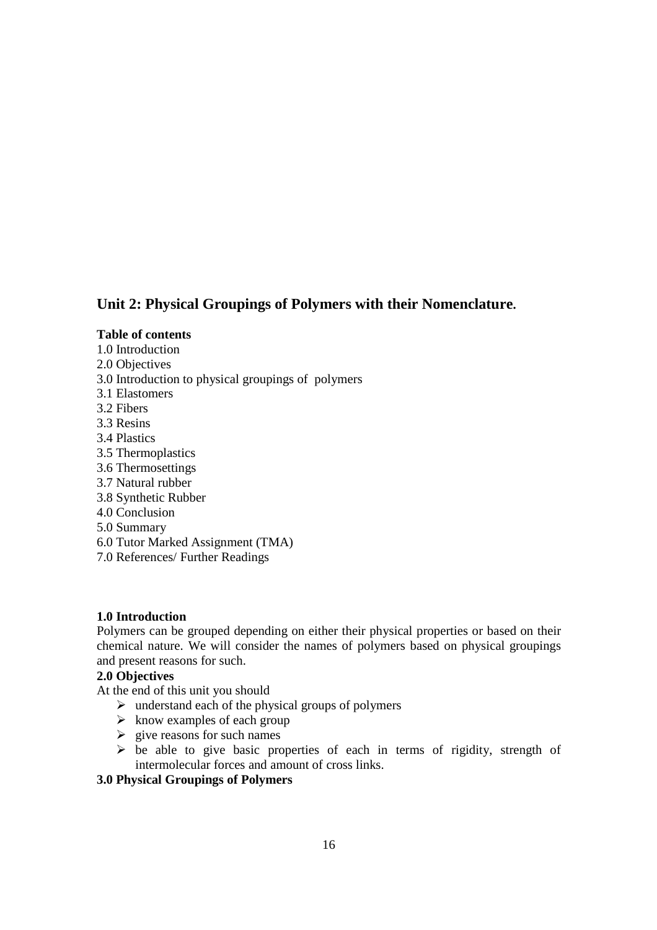# **Unit 2: Physical Groupings of Polymers with their Nomenclature.**

# **Table of contents**

- 1.0 Introduction
- 2.0 Objectives
- 3.0 Introduction to physical groupings of polymers
- 3.1 Elastomers
- 3.2 Fibers
- 3.3 Resins
- 3.4 Plastics
- 3.5 Thermoplastics
- 3.6 Thermosettings
- 3.7 Natural rubber
- 3.8 Synthetic Rubber
- 4.0 Conclusion
- 5.0 Summary
- 6.0 Tutor Marked Assignment (TMA)
- 7.0 References/ Further Readings

# **1.0 Introduction**

Polymers can be grouped depending on either their physical properties or based on their chemical nature. We will consider the names of polymers based on physical groupings and present reasons for such.

# **2.0 Objectives**

At the end of this unit you should

- $\triangleright$  understand each of the physical groups of polymers
- $\triangleright$  know examples of each group
- $\triangleright$  give reasons for such names
- $\triangleright$  be able to give basic properties of each in terms of rigidity, strength of intermolecular forces and amount of cross links.

# **3.0 Physical Groupings of Polymers**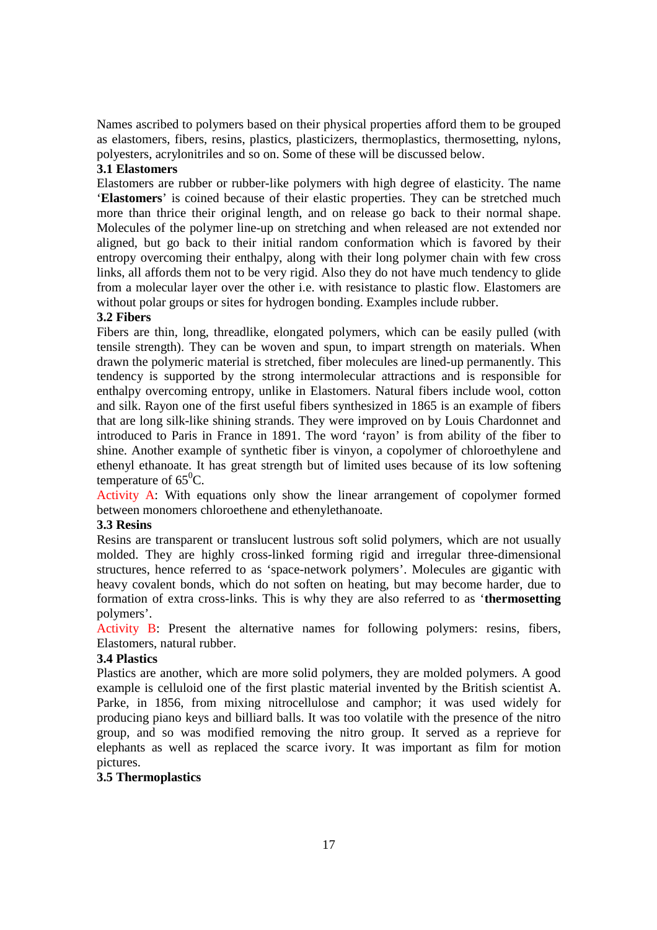Names ascribed to polymers based on their physical properties afford them to be grouped as elastomers, fibers, resins, plastics, plasticizers, thermoplastics, thermosetting, nylons, polyesters, acrylonitriles and so on. Some of these will be discussed below.

#### **3.1 Elastomers**

Elastomers are rubber or rubber-like polymers with high degree of elasticity. The name '**Elastomers**' is coined because of their elastic properties. They can be stretched much more than thrice their original length, and on release go back to their normal shape. Molecules of the polymer line-up on stretching and when released are not extended nor aligned, but go back to their initial random conformation which is favored by their entropy overcoming their enthalpy, along with their long polymer chain with few cross links, all affords them not to be very rigid. Also they do not have much tendency to glide from a molecular layer over the other i.e. with resistance to plastic flow. Elastomers are without polar groups or sites for hydrogen bonding. Examples include rubber.

# **3.2 Fibers**

Fibers are thin, long, threadlike, elongated polymers, which can be easily pulled (with tensile strength). They can be woven and spun, to impart strength on materials. When drawn the polymeric material is stretched, fiber molecules are lined-up permanently. This tendency is supported by the strong intermolecular attractions and is responsible for enthalpy overcoming entropy, unlike in Elastomers. Natural fibers include wool, cotton and silk. Rayon one of the first useful fibers synthesized in 1865 is an example of fibers that are long silk-like shining strands. They were improved on by Louis Chardonnet and introduced to Paris in France in 1891. The word 'rayon' is from ability of the fiber to shine. Another example of synthetic fiber is vinyon, a copolymer of chloroethylene and ethenyl ethanoate. It has great strength but of limited uses because of its low softening temperature of  $65^{\circ}$ C.

Activity A: With equations only show the linear arrangement of copolymer formed between monomers chloroethene and ethenylethanoate.

#### **3.3 Resins**

Resins are transparent or translucent lustrous soft solid polymers, which are not usually molded. They are highly cross-linked forming rigid and irregular three-dimensional structures, hence referred to as 'space-network polymers'. Molecules are gigantic with heavy covalent bonds, which do not soften on heating, but may become harder, due to formation of extra cross-links. This is why they are also referred to as '**thermosetting** polymers'.

Activity B: Present the alternative names for following polymers: resins, fibers, Elastomers, natural rubber.

# **3.4 Plastics**

Plastics are another, which are more solid polymers, they are molded polymers. A good example is celluloid one of the first plastic material invented by the British scientist A. Parke, in 1856, from mixing nitrocellulose and camphor; it was used widely for producing piano keys and billiard balls. It was too volatile with the presence of the nitro group, and so was modified removing the nitro group. It served as a reprieve for elephants as well as replaced the scarce ivory. It was important as film for motion pictures.

#### **3.5 Thermoplastics**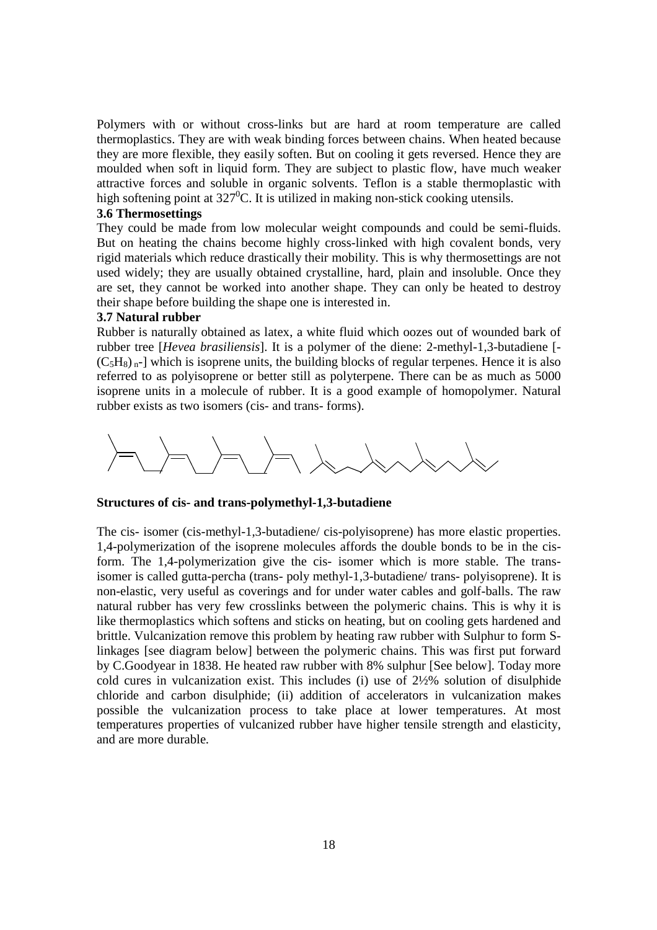Polymers with or without cross-links but are hard at room temperature are called thermoplastics. They are with weak binding forces between chains. When heated because they are more flexible, they easily soften. But on cooling it gets reversed. Hence they are moulded when soft in liquid form. They are subject to plastic flow, have much weaker attractive forces and soluble in organic solvents. Teflon is a stable thermoplastic with high softening point at  $327^{\circ}$ C. It is utilized in making non-stick cooking utensils.

# **3.6 Thermosettings**

They could be made from low molecular weight compounds and could be semi-fluids. But on heating the chains become highly cross-linked with high covalent bonds, very rigid materials which reduce drastically their mobility. This is why thermosettings are not used widely; they are usually obtained crystalline, hard, plain and insoluble. Once they are set, they cannot be worked into another shape. They can only be heated to destroy their shape before building the shape one is interested in.

#### **3.7 Natural rubber**

Rubber is naturally obtained as latex, a white fluid which oozes out of wounded bark of rubber tree [*Hevea brasiliensis*]. It is a polymer of the diene: 2-methyl-1,3-butadiene [-  $(C_5H_8)_{\text{n}}$ - which is isoprene units, the building blocks of regular terpenes. Hence it is also referred to as polyisoprene or better still as polyterpene. There can be as much as 5000 isoprene units in a molecule of rubber. It is a good example of homopolymer. Natural rubber exists as two isomers (cis- and trans- forms).



#### **Structures of cis- and trans-polymethyl-1,3-butadiene**

The cis- isomer (cis-methyl-1,3-butadiene/ cis-polyisoprene) has more elastic properties. 1,4-polymerization of the isoprene molecules affords the double bonds to be in the cisform. The 1,4-polymerization give the cis- isomer which is more stable. The transisomer is called gutta-percha (trans- poly methyl-1,3-butadiene/ trans- polyisoprene). It is non-elastic, very useful as coverings and for under water cables and golf-balls. The raw natural rubber has very few crosslinks between the polymeric chains. This is why it is like thermoplastics which softens and sticks on heating, but on cooling gets hardened and brittle. Vulcanization remove this problem by heating raw rubber with Sulphur to form Slinkages [see diagram below] between the polymeric chains. This was first put forward by C.Goodyear in 1838. He heated raw rubber with 8% sulphur [See below]. Today more cold cures in vulcanization exist. This includes (i) use of 2½% solution of disulphide chloride and carbon disulphide; (ii) addition of accelerators in vulcanization makes possible the vulcanization process to take place at lower temperatures. At most temperatures properties of vulcanized rubber have higher tensile strength and elasticity, and are more durable.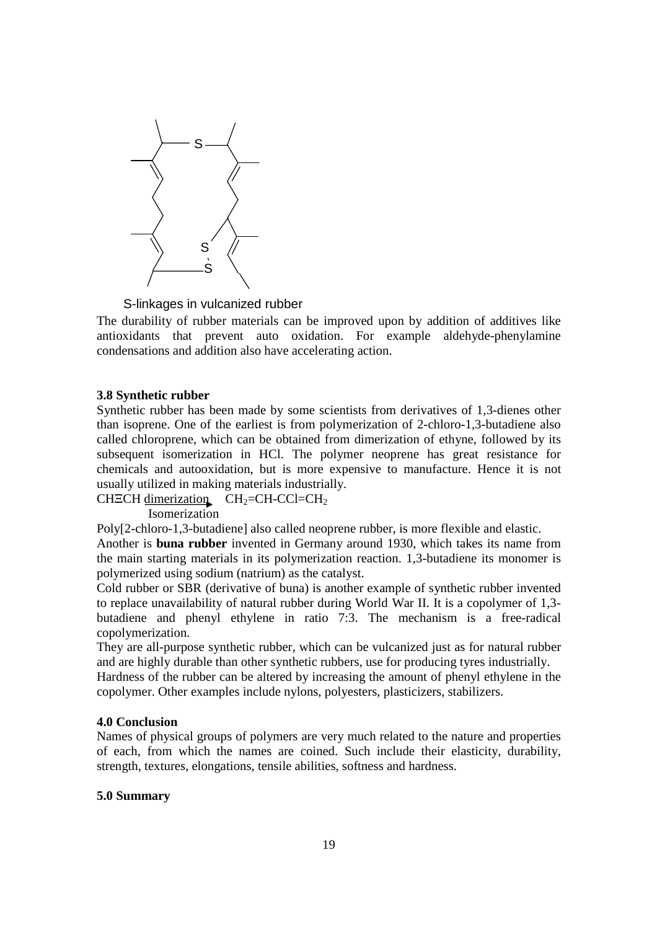

S-linkages in vulcanized rubber

The durability of rubber materials can be improved upon by addition of additives like antioxidants that prevent auto oxidation. For example aldehyde-phenylamine condensations and addition also have accelerating action.

#### **3.8 Synthetic rubber**

Synthetic rubber has been made by some scientists from derivatives of 1,3-dienes other than isoprene. One of the earliest is from polymerization of 2-chloro-1,3-butadiene also called chloroprene, which can be obtained from dimerization of ethyne, followed by its subsequent isomerization in HCl. The polymer neoprene has great resistance for chemicals and autooxidation, but is more expensive to manufacture. Hence it is not usually utilized in making materials industrially.

CH $\Xi$ CH dimerization CH<sub>2</sub>=CH-CCl=CH<sub>2</sub>

Isomerization

Poly[2-chloro-1,3-butadiene] also called neoprene rubber, is more flexible and elastic.

Another is **buna rubber** invented in Germany around 1930, which takes its name from the main starting materials in its polymerization reaction. 1,3-butadiene its monomer is polymerized using sodium (natrium) as the catalyst.

Cold rubber or SBR (derivative of buna) is another example of synthetic rubber invented to replace unavailability of natural rubber during World War II. It is a copolymer of 1,3 butadiene and phenyl ethylene in ratio 7:3. The mechanism is a free-radical copolymerization.

They are all-purpose synthetic rubber, which can be vulcanized just as for natural rubber and are highly durable than other synthetic rubbers, use for producing tyres industrially.

Hardness of the rubber can be altered by increasing the amount of phenyl ethylene in the copolymer. Other examples include nylons, polyesters, plasticizers, stabilizers.

#### **4.0 Conclusion**

Names of physical groups of polymers are very much related to the nature and properties of each, from which the names are coined. Such include their elasticity, durability, strength, textures, elongations, tensile abilities, softness and hardness.

#### **5.0 Summary**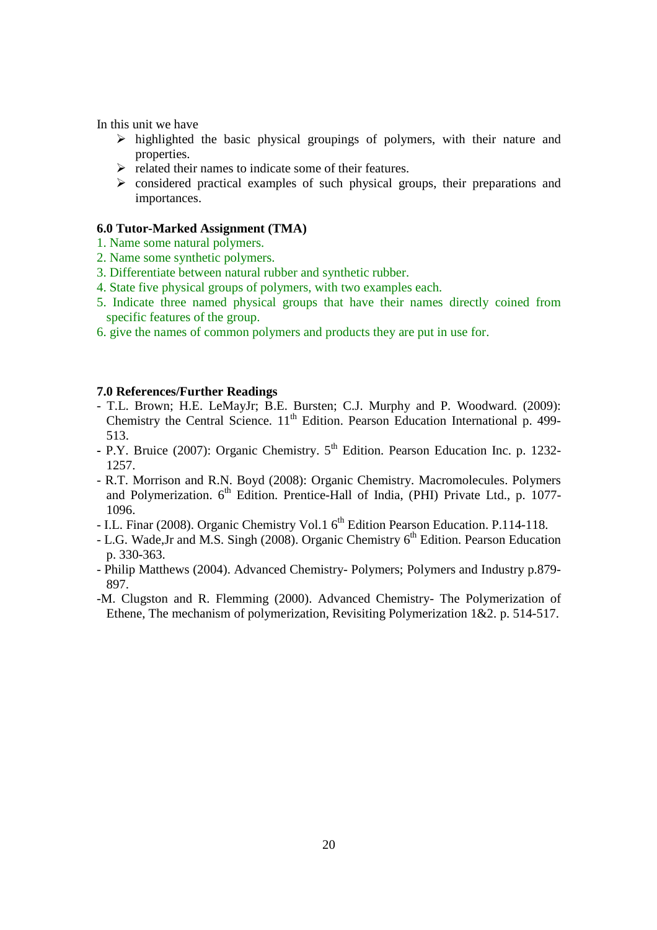In this unit we have

- $\triangleright$  highlighted the basic physical groupings of polymers, with their nature and properties.
- $\triangleright$  related their names to indicate some of their features.
- $\triangleright$  considered practical examples of such physical groups, their preparations and importances.

#### **6.0 Tutor-Marked Assignment (TMA)**

- 1. Name some natural polymers.
- 2. Name some synthetic polymers.
- 3. Differentiate between natural rubber and synthetic rubber.
- 4. State five physical groups of polymers, with two examples each.
- 5. Indicate three named physical groups that have their names directly coined from specific features of the group.
- 6. give the names of common polymers and products they are put in use for.

#### **7.0 References/Further Readings**

- T.L. Brown; H.E. LeMayJr; B.E. Bursten; C.J. Murphy and P. Woodward. (2009): Chemistry the Central Science. 11<sup>th</sup> Edition. Pearson Education International p. 499-513.
- **P.Y. Bruice (2007): Organic Chemistry. 5<sup>th</sup> Edition. Pearson Education Inc. p. 1232-**1257.
- R.T. Morrison and R.N. Boyd (2008): Organic Chemistry. Macromolecules. Polymers and Polymerization.  $6<sup>th</sup>$  Edition. Prentice-Hall of India, (PHI) Private Ltd., p. 1077-1096.
- I.L. Finar (2008). Organic Chemistry Vol.1 6<sup>th</sup> Edition Pearson Education. P.114-118.
- L.G. Wade, Jr and M.S. Singh (2008). Organic Chemistry 6<sup>th</sup> Edition. Pearson Education p. 330-363.
- Philip Matthews (2004). Advanced Chemistry- Polymers; Polymers and Industry p.879- 897.
- -M. Clugston and R. Flemming (2000). Advanced Chemistry- The Polymerization of Ethene, The mechanism of polymerization, Revisiting Polymerization 1&2. p. 514-517.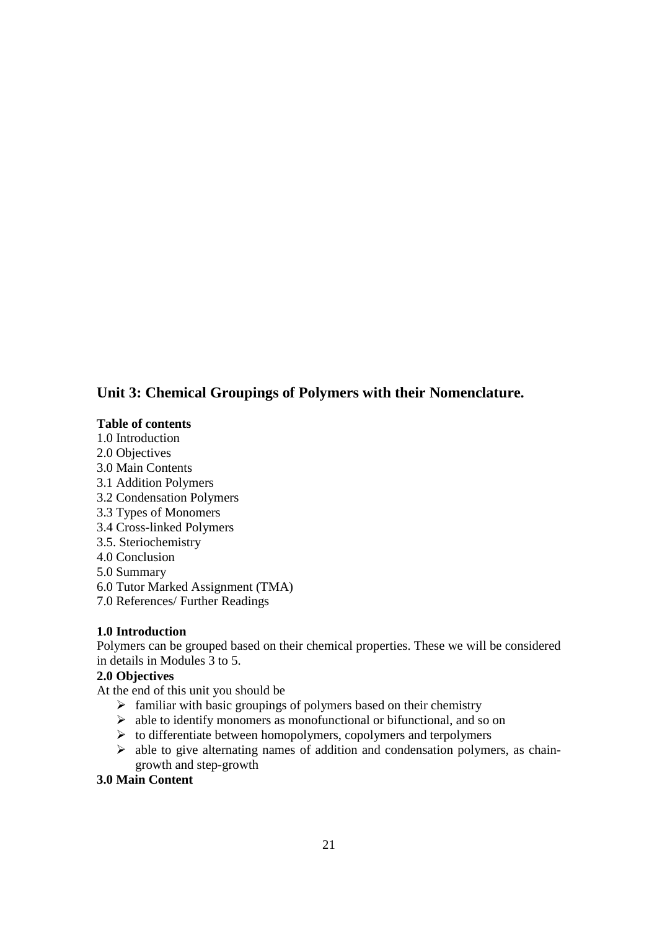# **Unit 3: Chemical Groupings of Polymers with their Nomenclature.**

#### **Table of contents**

- 1.0 Introduction
- 2.0 Objectives
- 3.0 Main Contents
- 3.1 Addition Polymers
- 3.2 Condensation Polymers
- 3.3 Types of Monomers
- 3.4 Cross-linked Polymers
- 3.5. Steriochemistry
- 4.0 Conclusion
- 5.0 Summary
- 6.0 Tutor Marked Assignment (TMA)
- 7.0 References/ Further Readings

# **1.0 Introduction**

Polymers can be grouped based on their chemical properties. These we will be considered in details in Modules 3 to 5.

# **2.0 Objectives**

At the end of this unit you should be

- $\triangleright$  familiar with basic groupings of polymers based on their chemistry
- $\triangleright$  able to identify monomers as monofunctional or bifunctional, and so on
- $\triangleright$  to differentiate between homopolymers, copolymers and terpolymers
- $\triangleright$  able to give alternating names of addition and condensation polymers, as chaingrowth and step-growth

# **3.0 Main Content**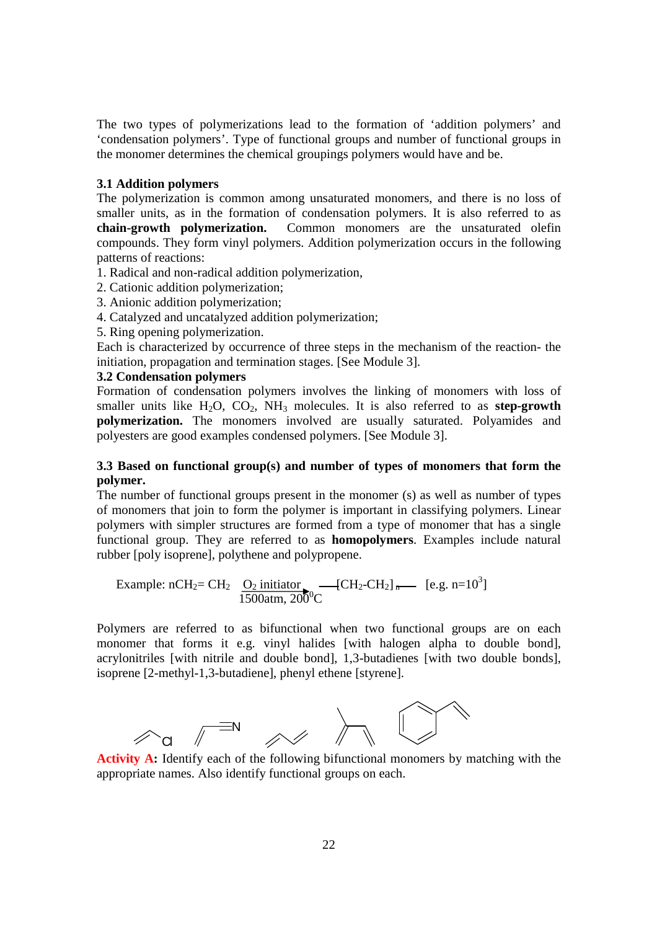The two types of polymerizations lead to the formation of 'addition polymers' and 'condensation polymers'. Type of functional groups and number of functional groups in the monomer determines the chemical groupings polymers would have and be.

#### **3.1 Addition polymers**

The polymerization is common among unsaturated monomers, and there is no loss of smaller units, as in the formation of condensation polymers. It is also referred to as **chain-growth polymerization.** Common monomers are the unsaturated olefin compounds. They form vinyl polymers. Addition polymerization occurs in the following patterns of reactions:

1. Radical and non-radical addition polymerization,

- 2. Cationic addition polymerization;
- 3. Anionic addition polymerization;
- 4. Catalyzed and uncatalyzed addition polymerization;
- 5. Ring opening polymerization.

Each is characterized by occurrence of three steps in the mechanism of the reaction- the initiation, propagation and termination stages. [See Module 3].

#### **3.2 Condensation polymers**

Formation of condensation polymers involves the linking of monomers with loss of smaller units like H<sub>2</sub>O, CO<sub>2</sub>, NH<sub>3</sub> molecules. It is also referred to as **step-growth polymerization.** The monomers involved are usually saturated. Polyamides and polyesters are good examples condensed polymers. [See Module 3].

#### **3.3 Based on functional group(s) and number of types of monomers that form the polymer.**

The number of functional groups present in the monomer (s) as well as number of types of monomers that join to form the polymer is important in classifying polymers. Linear polymers with simpler structures are formed from a type of monomer that has a single functional group. They are referred to as **homopolymers**. Examples include natural rubber [poly isoprene], polythene and polypropene.

Example: nCH<sub>2</sub>= CH<sub>2</sub>  $\overline{\text{O}_2}$  initiator  $\overline{\text{C}}$  -[CH<sub>2</sub>-CH<sub>2</sub>] <sub>n</sub> [e.g. n=10<sup>3</sup>]  $1500$ atm,  $200^{\circ}$ C

Polymers are referred to as bifunctional when two functional groups are on each monomer that forms it e.g. vinyl halides [with halogen alpha to double bond], acrylonitriles [with nitrile and double bond], 1,3-butadienes [with two double bonds], isoprene [2-methyl-1,3-butadiene], phenyl ethene [styrene].



Activity A: Identify each of the following bifunctional monomers by matching with the appropriate names. Also identify functional groups on each.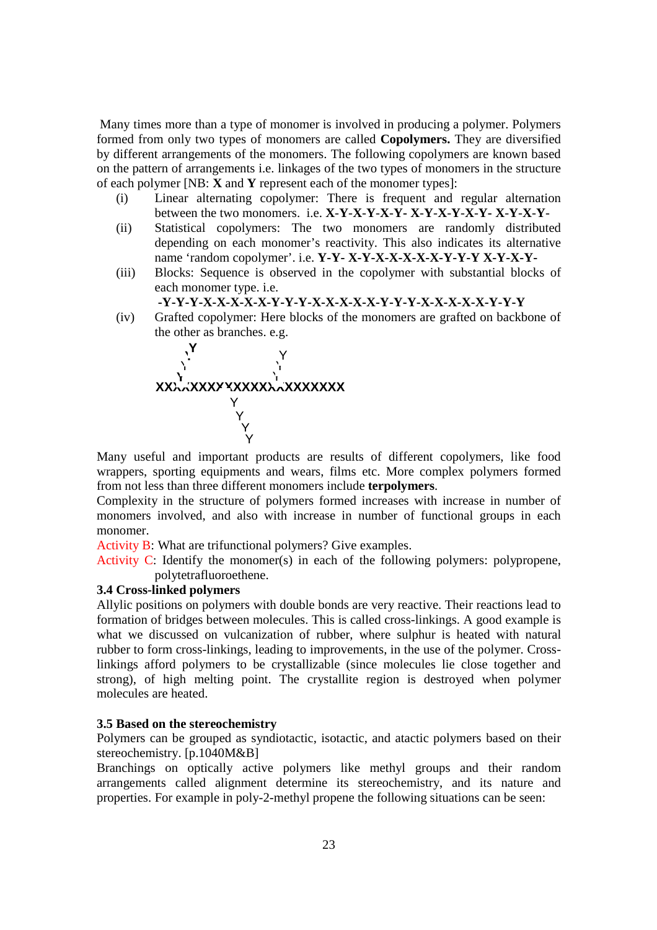Many times more than a type of monomer is involved in producing a polymer. Polymers formed from only two types of monomers are called **Copolymers.** They are diversified by different arrangements of the monomers. The following copolymers are known based on the pattern of arrangements i.e. linkages of the two types of monomers in the structure of each polymer [NB: **X** and **Y** represent each of the monomer types]:

- (i) Linear alternating copolymer: There is frequent and regular alternation between the two monomers. i.e. **X**-**Y**-**X**-**Y**-**X**-**Y- X**-**Y**-**X**-**Y**-**X**-**Y- X**-**Y**-**X**-**Y**-
- (ii) Statistical copolymers: The two monomers are randomly distributed depending on each monomer's reactivity. This also indicates its alternative name 'random copolymer'. i.e. **Y-Y- X-Y-X-X-X-X-X-Y-Y-Y X-Y-X-Y-**
- (iii) Blocks: Sequence is observed in the copolymer with substantial blocks of each monomer type. i.e.

#### **-Y-Y-Y-X-X-X-X-X-Y-Y-Y-X-X-X-X-X-Y-Y-Y-X-X-X-X-X-Y-Y-Y**

(iv) Grafted copolymer: Here blocks of the monomers are grafted on backbone of the other as branches. e.g.



Many useful and important products are results of different copolymers, like food wrappers, sporting equipments and wears, films etc. More complex polymers formed from not less than three different monomers include **terpolymers**.

Complexity in the structure of polymers formed increases with increase in number of monomers involved, and also with increase in number of functional groups in each monomer.

Activity B: What are trifunctional polymers? Give examples.

Activity C: Identify the monomer(s) in each of the following polymers: polypropene, polytetrafluoroethene.

#### **3.4 Cross-linked polymers**

Allylic positions on polymers with double bonds are very reactive. Their reactions lead to formation of bridges between molecules. This is called cross-linkings. A good example is what we discussed on vulcanization of rubber, where sulphur is heated with natural rubber to form cross-linkings, leading to improvements, in the use of the polymer. Crosslinkings afford polymers to be crystallizable (since molecules lie close together and strong), of high melting point. The crystallite region is destroyed when polymer molecules are heated.

#### **3.5 Based on the stereochemistry**

Polymers can be grouped as syndiotactic, isotactic, and atactic polymers based on their stereochemistry. [p.1040M&B]

Branchings on optically active polymers like methyl groups and their random arrangements called alignment determine its stereochemistry, and its nature and properties. For example in poly-2-methyl propene the following situations can be seen: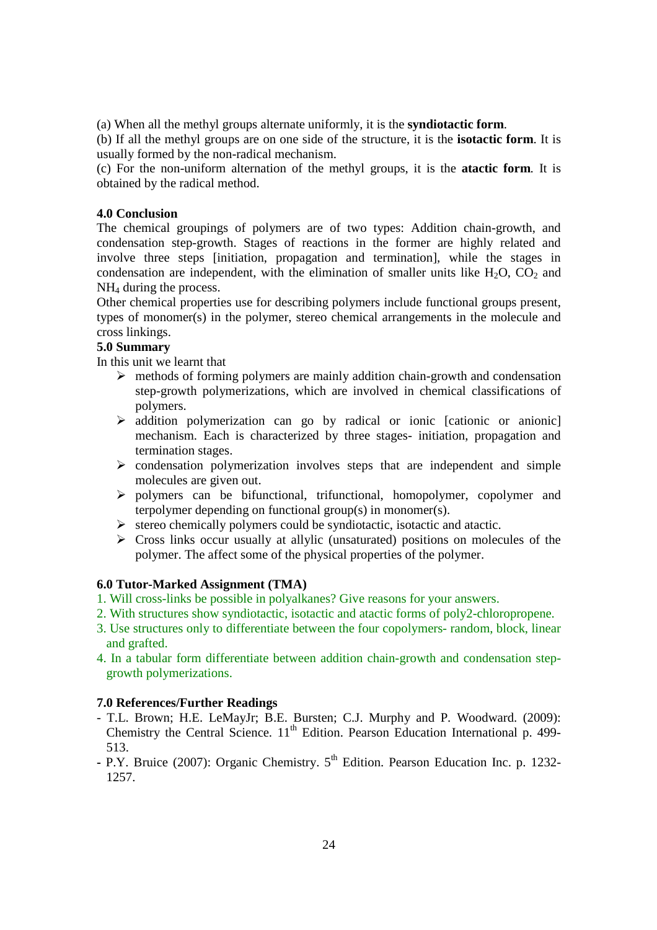(a) When all the methyl groups alternate uniformly, it is the **syndiotactic form**.

(b) If all the methyl groups are on one side of the structure, it is the **isotactic form**. It is usually formed by the non-radical mechanism.

(c) For the non-uniform alternation of the methyl groups, it is the **atactic form**. It is obtained by the radical method.

#### **4.0 Conclusion**

The chemical groupings of polymers are of two types: Addition chain-growth, and condensation step-growth. Stages of reactions in the former are highly related and involve three steps [initiation, propagation and termination], while the stages in condensation are independent, with the elimination of smaller units like  $H_2O$ ,  $CO_2$  and NH4 during the process.

Other chemical properties use for describing polymers include functional groups present, types of monomer(s) in the polymer, stereo chemical arrangements in the molecule and cross linkings.

# **5.0 Summary**

In this unit we learnt that

- $\triangleright$  methods of forming polymers are mainly addition chain-growth and condensation step-growth polymerizations, which are involved in chemical classifications of polymers.
- $\triangleright$  addition polymerization can go by radical or ionic [cationic or anionic] mechanism. Each is characterized by three stages- initiation, propagation and termination stages.
- $\triangleright$  condensation polymerization involves steps that are independent and simple molecules are given out.
- polymers can be bifunctional, trifunctional, homopolymer, copolymer and terpolymer depending on functional group(s) in monomer(s).
- $\triangleright$  stereo chemically polymers could be syndiotactic, isotactic and atactic.
- $\triangleright$  Cross links occur usually at allylic (unsaturated) positions on molecules of the polymer. The affect some of the physical properties of the polymer.

#### **6.0 Tutor-Marked Assignment (TMA)**

- 1. Will cross-links be possible in polyalkanes? Give reasons for your answers.
- 2. With structures show syndiotactic, isotactic and atactic forms of poly2-chloropropene.
- 3. Use structures only to differentiate between the four copolymers- random, block, linear and grafted.
- 4. In a tabular form differentiate between addition chain-growth and condensation stepgrowth polymerizations.

#### **7.0 References/Further Readings**

- T.L. Brown; H.E. LeMayJr; B.E. Bursten; C.J. Murphy and P. Woodward. (2009): Chemistry the Central Science. 11<sup>th</sup> Edition. Pearson Education International p. 499-513.
- **P.Y. Bruice (2007): Organic Chemistry. 5<sup>th</sup> Edition. Pearson Education Inc. p. 1232-**1257.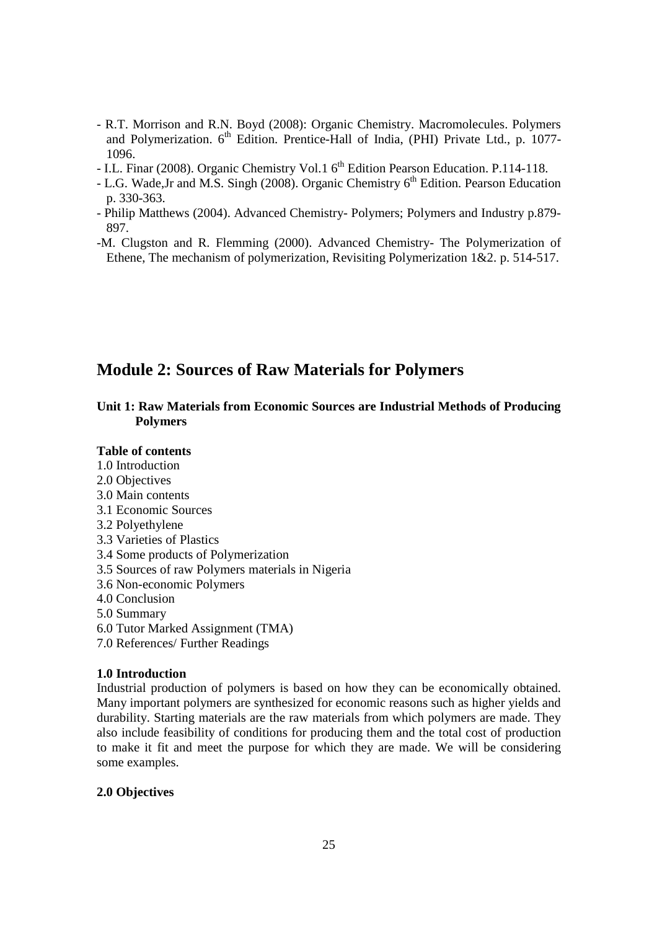- R.T. Morrison and R.N. Boyd (2008): Organic Chemistry. Macromolecules. Polymers and Polymerization. 6<sup>th</sup> Edition. Prentice-Hall of India, (PHI) Private Ltd., p. 1077-1096.
- I.L. Finar (2008). Organic Chemistry Vol.1 6<sup>th</sup> Edition Pearson Education. P.114-118.
- L.G. Wade, Jr and M.S. Singh (2008). Organic Chemistry 6<sup>th</sup> Edition. Pearson Education p. 330-363.
- Philip Matthews (2004). Advanced Chemistry- Polymers; Polymers and Industry p.879- 897.
- -M. Clugston and R. Flemming (2000). Advanced Chemistry- The Polymerization of Ethene, The mechanism of polymerization, Revisiting Polymerization 1&2. p. 514-517.

# **Module 2: Sources of Raw Materials for Polymers**

**Unit 1: Raw Materials from Economic Sources are Industrial Methods of Producing Polymers** 

#### **Table of contents**

- 1.0 Introduction
- 2.0 Objectives
- 3.0 Main contents
- 3.1 Economic Sources
- 3.2 Polyethylene
- 3.3 Varieties of Plastics
- 3.4 Some products of Polymerization
- 3.5 Sources of raw Polymers materials in Nigeria
- 3.6 Non-economic Polymers
- 4.0 Conclusion
- 5.0 Summary
- 6.0 Tutor Marked Assignment (TMA)
- 7.0 References/ Further Readings

#### **1.0 Introduction**

Industrial production of polymers is based on how they can be economically obtained. Many important polymers are synthesized for economic reasons such as higher yields and durability. Starting materials are the raw materials from which polymers are made. They also include feasibility of conditions for producing them and the total cost of production to make it fit and meet the purpose for which they are made. We will be considering some examples.

#### **2.0 Objectives**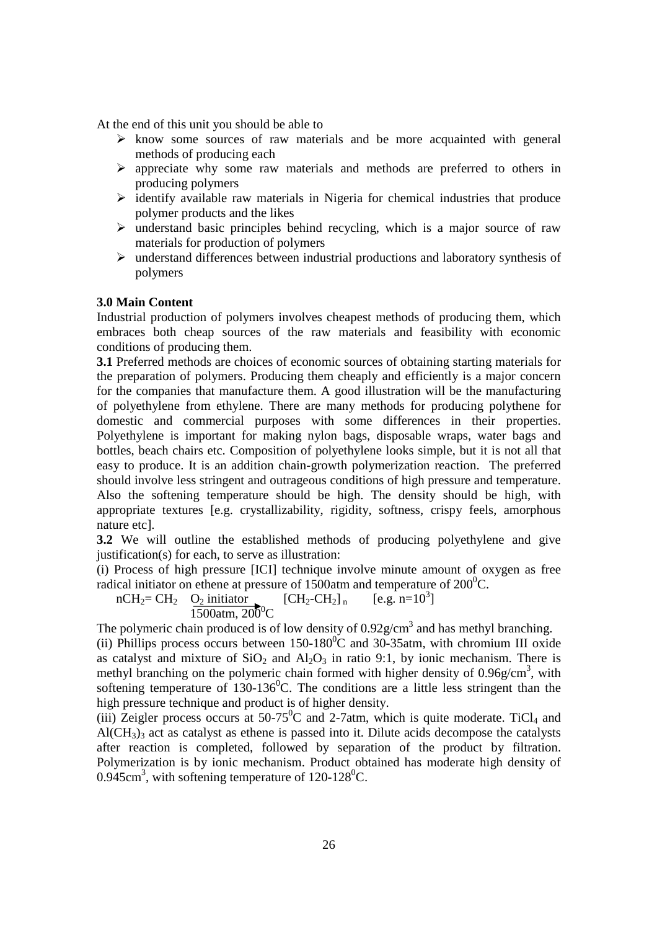At the end of this unit you should be able to

- $\triangleright$  know some sources of raw materials and be more acquainted with general methods of producing each
- appreciate why some raw materials and methods are preferred to others in producing polymers
- $\triangleright$  identify available raw materials in Nigeria for chemical industries that produce polymer products and the likes
- $\triangleright$  understand basic principles behind recycling, which is a major source of raw materials for production of polymers
- $\triangleright$  understand differences between industrial productions and laboratory synthesis of polymers

#### **3.0 Main Content**

Industrial production of polymers involves cheapest methods of producing them, which embraces both cheap sources of the raw materials and feasibility with economic conditions of producing them.

**3.1** Preferred methods are choices of economic sources of obtaining starting materials for the preparation of polymers. Producing them cheaply and efficiently is a major concern for the companies that manufacture them. A good illustration will be the manufacturing of polyethylene from ethylene. There are many methods for producing polythene for domestic and commercial purposes with some differences in their properties. Polyethylene is important for making nylon bags, disposable wraps, water bags and bottles, beach chairs etc. Composition of polyethylene looks simple, but it is not all that easy to produce. It is an addition chain-growth polymerization reaction. The preferred should involve less stringent and outrageous conditions of high pressure and temperature. Also the softening temperature should be high. The density should be high, with appropriate textures [e.g. crystallizability, rigidity, softness, crispy feels, amorphous nature etc].

**3.2** We will outline the established methods of producing polyethylene and give justification(s) for each, to serve as illustration:

(i) Process of high pressure [ICI] technique involve minute amount of oxygen as free radical initiator on ethene at pressure of 1500atm and temperature of  $200^{\circ}$ C.

 $nCH_2=CH_2$  O<sub>2</sub> initiator [CH<sub>2</sub>-CH<sub>2</sub>] <sub>n</sub> [e.g.  $n=10^3$ ]  $1500$ atm,  $200^0C$ 

The polymeric chain produced is of low density of  $0.92$   $\text{g/cm}^3$  and has methyl branching.

(ii) Phillips process occurs between  $150-180^{\circ}$ C and 30-35atm, with chromium III oxide as catalyst and mixture of  $SiO<sub>2</sub>$  and  $Al<sub>2</sub>O<sub>3</sub>$  in ratio 9:1, by ionic mechanism. There is methyl branching on the polymeric chain formed with higher density of  $0.96g/cm<sup>3</sup>$ , with softening temperature of  $130-136^{\circ}$ C. The conditions are a little less stringent than the high pressure technique and product is of higher density.

(iii) Zeigler process occurs at  $50-75^{\circ}$ C and 2-7atm, which is quite moderate. TiCl<sub>4</sub> and  $Al(CH<sub>3</sub>)<sub>3</sub>$  act as catalyst as ethene is passed into it. Dilute acids decompose the catalysts after reaction is completed, followed by separation of the product by filtration. Polymerization is by ionic mechanism. Product obtained has moderate high density of 0.945cm<sup>3</sup>, with softening temperature of 120-128<sup>0</sup>C.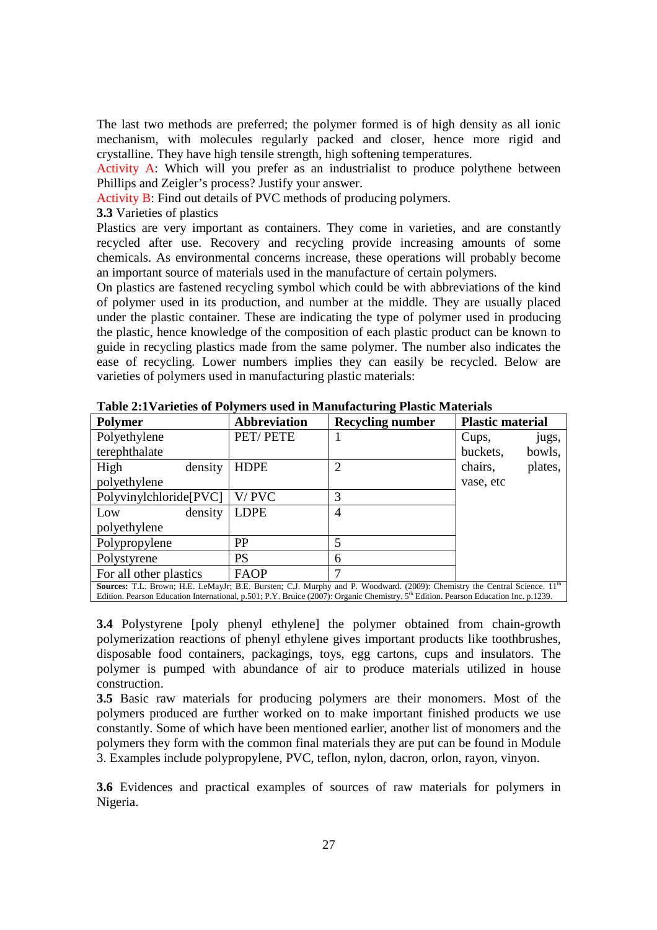The last two methods are preferred; the polymer formed is of high density as all ionic mechanism, with molecules regularly packed and closer, hence more rigid and crystalline. They have high tensile strength, high softening temperatures.

Activity A: Which will you prefer as an industrialist to produce polythene between Phillips and Zeigler's process? Justify your answer.

Activity B: Find out details of PVC methods of producing polymers.

**3.3** Varieties of plastics

Plastics are very important as containers. They come in varieties, and are constantly recycled after use. Recovery and recycling provide increasing amounts of some chemicals. As environmental concerns increase, these operations will probably become an important source of materials used in the manufacture of certain polymers.

On plastics are fastened recycling symbol which could be with abbreviations of the kind of polymer used in its production, and number at the middle. They are usually placed under the plastic container. These are indicating the type of polymer used in producing the plastic, hence knowledge of the composition of each plastic product can be known to guide in recycling plastics made from the same polymer. The number also indicates the ease of recycling. Lower numbers implies they can easily be recycled. Below are varieties of polymers used in manufacturing plastic materials:

| <b>Polymer</b>                                                                                                                                  | <b>Abbreviation</b> | <b>Recycling number</b> | <b>Plastic material</b> |
|-------------------------------------------------------------------------------------------------------------------------------------------------|---------------------|-------------------------|-------------------------|
| Polyethylene                                                                                                                                    | PET/PETE            |                         | Cups,<br>jugs,          |
| terephthalate                                                                                                                                   |                     |                         | bowls,<br>buckets,      |
| High<br>density                                                                                                                                 | <b>HDPE</b>         | 2                       | chairs,<br>plates,      |
| polyethylene                                                                                                                                    |                     |                         | vase, etc               |
| Polyvinylchloride[PVC]                                                                                                                          | V/PVC               | 3                       |                         |
| density<br>Low                                                                                                                                  | <b>LDPE</b>         | $\overline{A}$          |                         |
| polyethylene                                                                                                                                    |                     |                         |                         |
| Polypropylene                                                                                                                                   | PP                  | 5                       |                         |
| Polystyrene                                                                                                                                     | PS                  | 6                       |                         |
| For all other plastics                                                                                                                          | <b>FAOP</b>         |                         |                         |
| Sources: T.L. Brown; H.E. LeMayJr; B.E. Bursten; C.J. Murphy and P. Woodward. (2009): Chemistry the Central Science. 11 <sup>th</sup>           |                     |                         |                         |
| Edition. Pearson Education International, p.501; P.Y. Bruice (2007): Organic Chemistry. 5 <sup>th</sup> Edition. Pearson Education Inc. p.1239. |                     |                         |                         |

**Table 2:1Varieties of Polymers used in Manufacturing Plastic Materials** 

**3.4** Polystyrene [poly phenyl ethylene] the polymer obtained from chain-growth polymerization reactions of phenyl ethylene gives important products like toothbrushes, disposable food containers, packagings, toys, egg cartons, cups and insulators. The polymer is pumped with abundance of air to produce materials utilized in house construction.

**3.5** Basic raw materials for producing polymers are their monomers. Most of the polymers produced are further worked on to make important finished products we use constantly. Some of which have been mentioned earlier, another list of monomers and the polymers they form with the common final materials they are put can be found in Module 3. Examples include polypropylene, PVC, teflon, nylon, dacron, orlon, rayon, vinyon.

**3.6** Evidences and practical examples of sources of raw materials for polymers in Nigeria.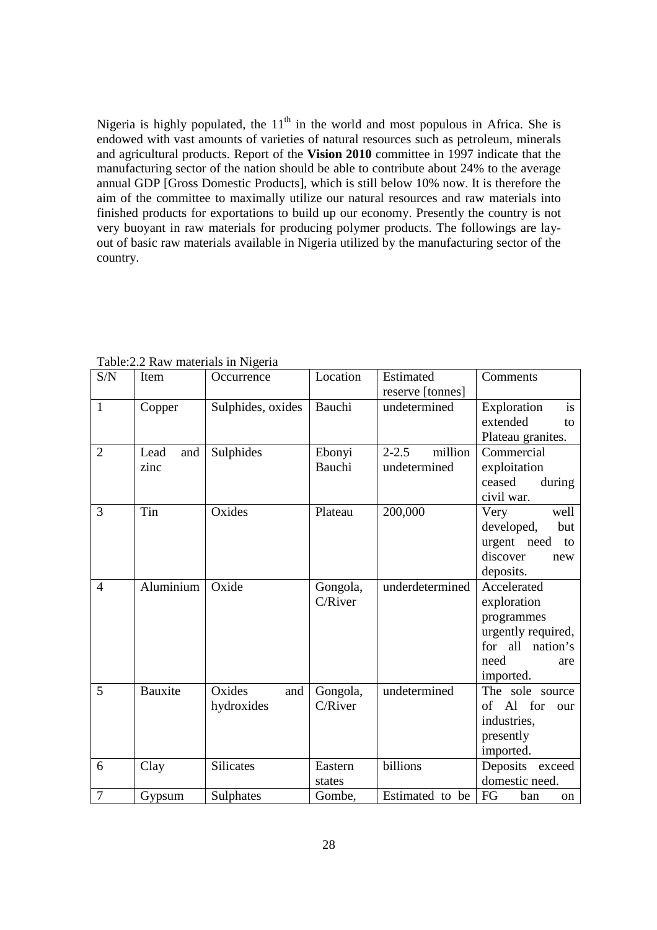Nigeria is highly populated, the  $11<sup>th</sup>$  in the world and most populous in Africa. She is endowed with vast amounts of varieties of natural resources such as petroleum, minerals and agricultural products. Report of the **Vision 2010** committee in 1997 indicate that the manufacturing sector of the nation should be able to contribute about 24% to the average annual GDP [Gross Domestic Products], which is still below 10% now. It is therefore the aim of the committee to maximally utilize our natural resources and raw materials into finished products for exportations to build up our economy. Presently the country is not very buoyant in raw materials for producing polymer products. The followings are layout of basic raw materials available in Nigeria utilized by the manufacturing sector of the country.

| reserve [tonnes]<br>Bauchi<br>undetermined<br>$\mathbf{1}$<br>Sulphides, oxides<br>Exploration<br>Copper<br>extended                                                                      |                    |
|-------------------------------------------------------------------------------------------------------------------------------------------------------------------------------------------|--------------------|
| Plateau granites.                                                                                                                                                                         | is<br>to           |
| million<br>$\overline{2}$<br>$2 - 2.5$<br>Commercial<br>Sulphides<br>Ebonyi<br>Lead<br>and<br>Bauchi<br>undetermined<br>exploitation<br>zinc<br>during<br>ceased<br>civil war.            |                    |
| Tin<br>Oxides<br>200,000<br>3<br>Plateau<br>Very<br>developed,<br>urgent need to<br>discover<br>deposits.                                                                                 | well<br>but<br>new |
| Aluminium<br>Oxide<br>underdetermined<br>Accelerated<br>Gongola,<br>$\overline{4}$<br>C/River<br>exploration<br>programmes<br>urgently required,<br>for all nation's<br>need<br>imported. | are                |
| 5<br><b>Bauxite</b><br>undetermined<br>Oxides<br>The sole source<br>Gongola,<br>and<br>C/River<br>of Al for<br>hydroxides<br>industries,<br>presently<br>imported.                        | our                |
| billions<br><b>Silicates</b><br>6<br>Clay<br>Eastern<br>Deposits<br>exceed                                                                                                                |                    |
| domestic need.<br>states<br>$\overline{7}$<br>Estimated to be<br>FG<br>Sulphates<br>Gombe,<br>ban<br>Gypsum                                                                               | on                 |

Table:2.2 Raw materials in Nigeria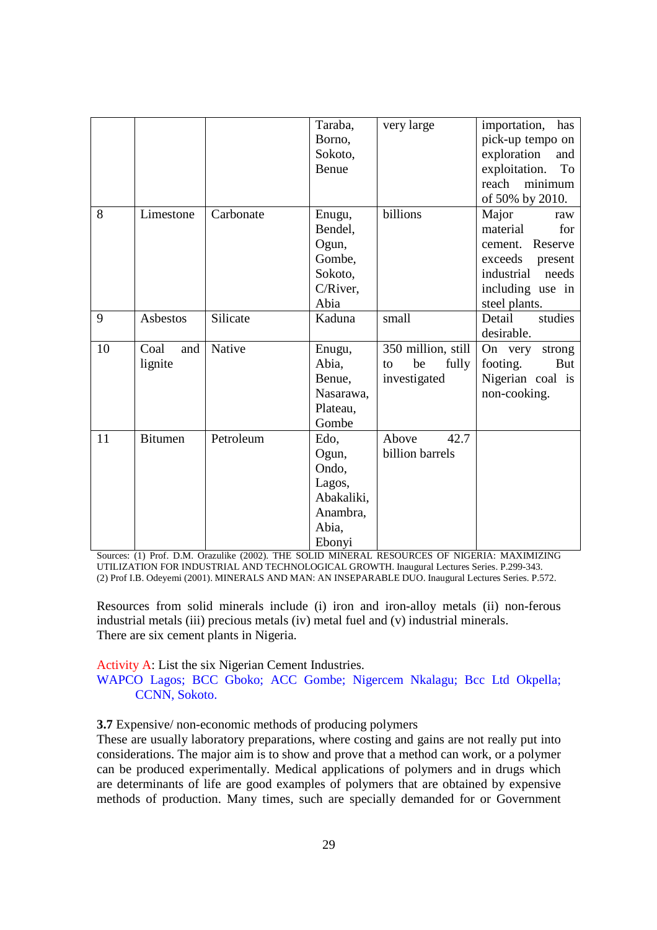| Taraba,<br>very large<br>Borno,                                    |                     |
|--------------------------------------------------------------------|---------------------|
|                                                                    | importation, has    |
|                                                                    | pick-up tempo on    |
| Sokoto,                                                            | exploration<br>and  |
| Benue                                                              | exploitation.<br>To |
|                                                                    | reach<br>minimum    |
|                                                                    | of 50% by 2010.     |
| billions<br>8<br>Carbonate<br>Limestone<br>Enugu,                  | Major<br>raw        |
| Bendel,                                                            | material<br>for     |
| Ogun,                                                              | Reserve<br>cement.  |
| Gombe,                                                             | exceeds<br>present  |
| Sokoto,                                                            | industrial<br>needs |
| C/River,                                                           | including use in    |
| Abia                                                               | steel plants.       |
| 9<br>Silicate<br>Asbestos<br>Kaduna<br>small                       | studies<br>Detail   |
|                                                                    | desirable.          |
| 10<br><b>Native</b><br>Coal<br>350 million, still<br>and<br>Enugu, | On very<br>strong   |
|                                                                    |                     |
| Abia,<br>fully<br>lignite<br>be<br>to                              | But<br>footing.     |
| investigated<br>Benue,                                             | Nigerian coal is    |
| Nasarawa,                                                          | non-cooking.        |
| Plateau,                                                           |                     |
| Gombe                                                              |                     |
| 42.7<br>11<br>Petroleum<br>Edo,<br>Above<br><b>Bitumen</b>         |                     |
| billion barrels<br>Ogun,                                           |                     |
| Ondo,                                                              |                     |
|                                                                    |                     |
| Lagos,<br>Abakaliki,                                               |                     |
| Anambra,                                                           |                     |
| Abia,                                                              |                     |

Sources: (1) Prof. D.M. Orazulike (2002). THE SOLID MINERAL RESOURCES OF NIGERIA: MAXIMIZING UTILIZATION FOR INDUSTRIAL AND TECHNOLOGICAL GROWTH. Inaugural Lectures Series. P.299-343. (2) Prof I.B. Odeyemi (2001). MINERALS AND MAN: AN INSEPARABLE DUO. Inaugural Lectures Series. P.572.

Resources from solid minerals include (i) iron and iron-alloy metals (ii) non-ferous industrial metals (iii) precious metals (iv) metal fuel and (v) industrial minerals. There are six cement plants in Nigeria.

### Activity A: List the six Nigerian Cement Industries. WAPCO Lagos; BCC Gboko; ACC Gombe; Nigercem Nkalagu; Bcc Ltd Okpella; CCNN, Sokoto.

**3.7** Expensive/ non-economic methods of producing polymers

These are usually laboratory preparations, where costing and gains are not really put into considerations. The major aim is to show and prove that a method can work, or a polymer can be produced experimentally. Medical applications of polymers and in drugs which are determinants of life are good examples of polymers that are obtained by expensive methods of production. Many times, such are specially demanded for or Government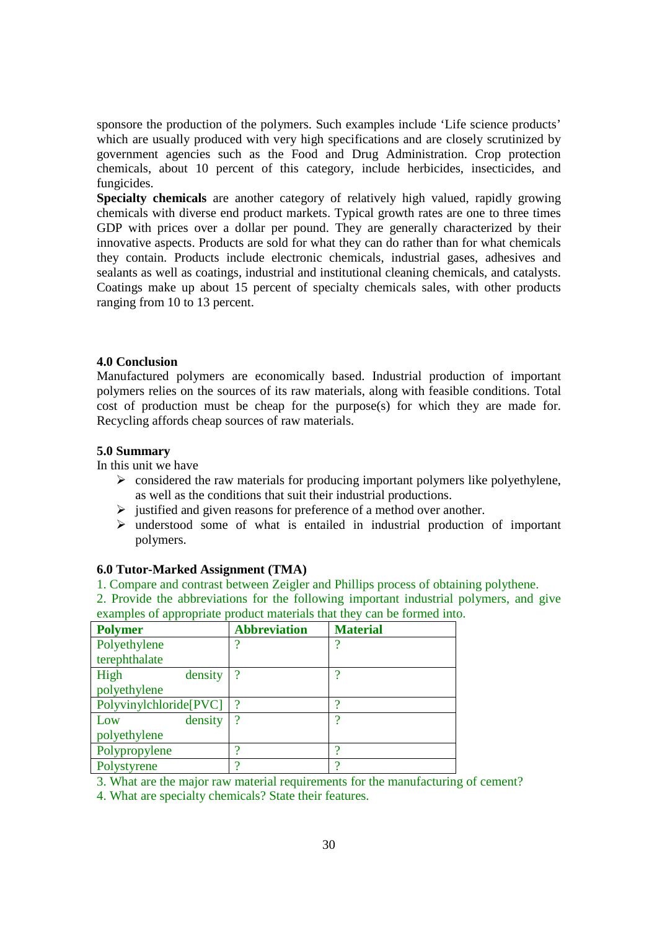sponsore the production of the polymers. Such examples include 'Life science products' which are usually produced with very high specifications and are closely scrutinized by government agencies such as the Food and Drug Administration. Crop protection chemicals, about 10 percent of this category, include herbicides, insecticides, and fungicides.

**Specialty chemicals** are another category of relatively high valued, rapidly growing chemicals with diverse end product markets. Typical growth rates are one to three times GDP with prices over a dollar per pound. They are generally characterized by their innovative aspects. Products are sold for what they can do rather than for what chemicals they contain. Products include electronic chemicals, industrial gases, adhesives and sealants as well as coatings, industrial and institutional cleaning chemicals, and catalysts. Coatings make up about 15 percent of specialty chemicals sales, with other products ranging from 10 to 13 percent.

#### **4.0 Conclusion**

Manufactured polymers are economically based. Industrial production of important polymers relies on the sources of its raw materials, along with feasible conditions. Total cost of production must be cheap for the purpose(s) for which they are made for. Recycling affords cheap sources of raw materials.

#### **5.0 Summary**

In this unit we have

- $\triangleright$  considered the raw materials for producing important polymers like polyethylene, as well as the conditions that suit their industrial productions.
- $\triangleright$  justified and given reasons for preference of a method over another.
- $\triangleright$  understood some of what is entailed in industrial production of important polymers.

#### **6.0 Tutor-Marked Assignment (TMA)**

1. Compare and contrast between Zeigler and Phillips process of obtaining polythene.

2. Provide the abbreviations for the following important industrial polymers, and give examples of appropriate product materials that they can be formed into.

| <b>Polymer</b>         |         | <b>Abbreviation</b> | <b>Material</b> |
|------------------------|---------|---------------------|-----------------|
| Polyethylene           |         |                     |                 |
| terephthalate          |         |                     |                 |
| High                   | density | റ                   | റ               |
| polyethylene           |         |                     |                 |
| Polyvinylchloride[PVC] |         |                     |                 |
| Low                    | density | റ                   | റ               |
| polyethylene           |         |                     |                 |
| Polypropylene          |         |                     |                 |
| Polystyrene            |         | റ                   | റ               |

3. What are the major raw material requirements for the manufacturing of cement?

4. What are specialty chemicals? State their features.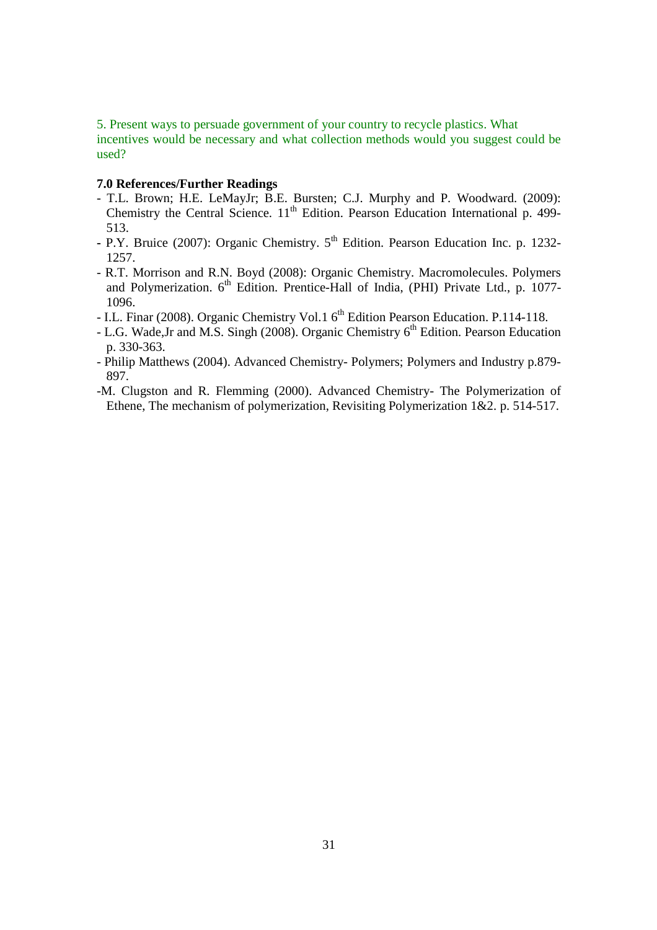5. Present ways to persuade government of your country to recycle plastics. What incentives would be necessary and what collection methods would you suggest could be used?

#### **7.0 References/Further Readings**

- T.L. Brown; H.E. LeMayJr; B.E. Bursten; C.J. Murphy and P. Woodward. (2009): Chemistry the Central Science. 11<sup>th</sup> Edition. Pearson Education International p. 499-513.
- **P.Y. Bruice (2007): Organic Chemistry. 5<sup>th</sup> Edition. Pearson Education Inc. p. 1232-**1257.
- R.T. Morrison and R.N. Boyd (2008): Organic Chemistry. Macromolecules. Polymers and Polymerization.  $6<sup>th</sup>$  Edition. Prentice-Hall of India, (PHI) Private Ltd., p. 1077-1096.
- I.L. Finar (2008). Organic Chemistry Vol.1 6<sup>th</sup> Edition Pearson Education. P.114-118.
- L.G. Wade, Jr and M.S. Singh (2008). Organic Chemistry 6<sup>th</sup> Edition. Pearson Education p. 330-363.
- Philip Matthews (2004). Advanced Chemistry- Polymers; Polymers and Industry p.879- 897.
- -M. Clugston and R. Flemming (2000). Advanced Chemistry- The Polymerization of Ethene, The mechanism of polymerization, Revisiting Polymerization 1&2. p. 514-517.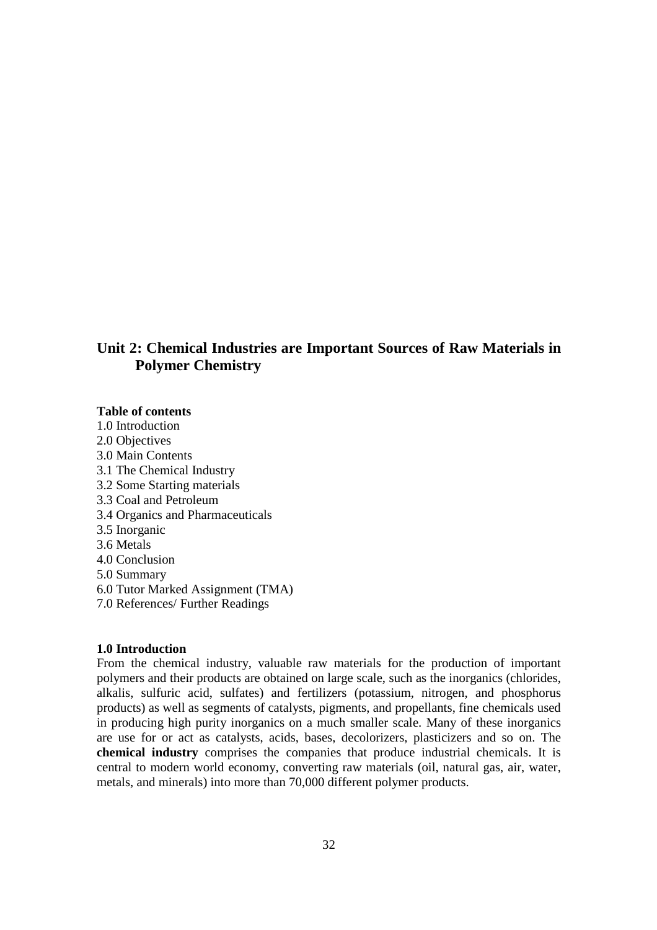# **Unit 2: Chemical Industries are Important Sources of Raw Materials in Polymer Chemistry**

#### **Table of contents**

1.0 Introduction 2.0 Objectives 3.0 Main Contents 3.1 The Chemical Industry 3.2 Some Starting materials 3.3 Coal and Petroleum 3.4 Organics and Pharmaceuticals 3.5 Inorganic 3.6 Metals 4.0 Conclusion 5.0 Summary 6.0 Tutor Marked Assignment (TMA) 7.0 References/ Further Readings

#### **1.0 Introduction**

From the chemical industry, valuable raw materials for the production of important polymers and their products are obtained on large scale, such as the inorganics (chlorides, alkalis, sulfuric acid, sulfates) and fertilizers (potassium, nitrogen, and phosphorus products) as well as segments of catalysts, pigments, and propellants, fine chemicals used in producing high purity inorganics on a much smaller scale. Many of these inorganics are use for or act as catalysts, acids, bases, decolorizers, plasticizers and so on. The **chemical industry** comprises the companies that produce industrial chemicals. It is central to modern world economy, converting raw materials (oil, natural gas, air, water, metals, and minerals) into more than 70,000 different polymer products.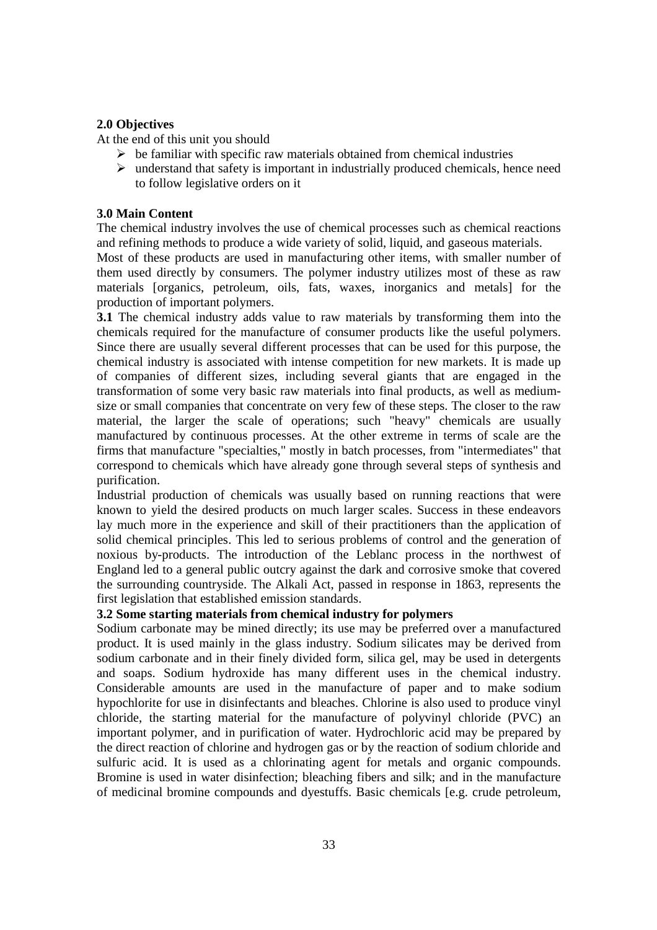#### **2.0 Objectives**

At the end of this unit you should

- $\triangleright$  be familiar with specific raw materials obtained from chemical industries
- $\triangleright$  understand that safety is important in industrially produced chemicals, hence need to follow legislative orders on it

#### **3.0 Main Content**

The chemical industry involves the use of chemical processes such as chemical reactions and refining methods to produce a wide variety of solid, liquid, and gaseous materials.

Most of these products are used in manufacturing other items, with smaller number of them used directly by consumers. The polymer industry utilizes most of these as raw materials [organics, petroleum, oils, fats, waxes, inorganics and metals] for the production of important polymers.

**3.1** The chemical industry adds value to raw materials by transforming them into the chemicals required for the manufacture of consumer products like the useful polymers. Since there are usually several different processes that can be used for this purpose, the chemical industry is associated with intense competition for new markets. It is made up of companies of different sizes, including several giants that are engaged in the transformation of some very basic raw materials into final products, as well as mediumsize or small companies that concentrate on very few of these steps. The closer to the raw material, the larger the scale of operations; such "heavy" chemicals are usually manufactured by continuous processes. At the other extreme in terms of scale are the firms that manufacture "specialties," mostly in batch processes, from "intermediates" that correspond to chemicals which have already gone through several steps of synthesis and purification.

Industrial production of chemicals was usually based on running reactions that were known to yield the desired products on much larger scales. Success in these endeavors lay much more in the experience and skill of their practitioners than the application of solid chemical principles. This led to serious problems of control and the generation of noxious by-products. The introduction of the Leblanc process in the northwest of England led to a general public outcry against the dark and corrosive smoke that covered the surrounding countryside. The Alkali Act, passed in response in 1863, represents the first legislation that established emission standards.

#### **3.2 Some starting materials from chemical industry for polymers**

Sodium carbonate may be mined directly; its use may be preferred over a manufactured product. It is used mainly in the glass industry. Sodium silicates may be derived from sodium carbonate and in their finely divided form, silica gel, may be used in detergents and soaps. Sodium hydroxide has many different uses in the chemical industry. Considerable amounts are used in the manufacture of paper and to make sodium hypochlorite for use in disinfectants and bleaches. Chlorine is also used to produce vinyl chloride, the starting material for the manufacture of polyvinyl chloride (PVC) an important polymer, and in purification of water. Hydrochloric acid may be prepared by the direct reaction of chlorine and hydrogen gas or by the reaction of sodium chloride and sulfuric acid. It is used as a chlorinating agent for metals and organic compounds. Bromine is used in water disinfection; bleaching fibers and silk; and in the manufacture of medicinal bromine compounds and dyestuffs. Basic chemicals [e.g. crude petroleum,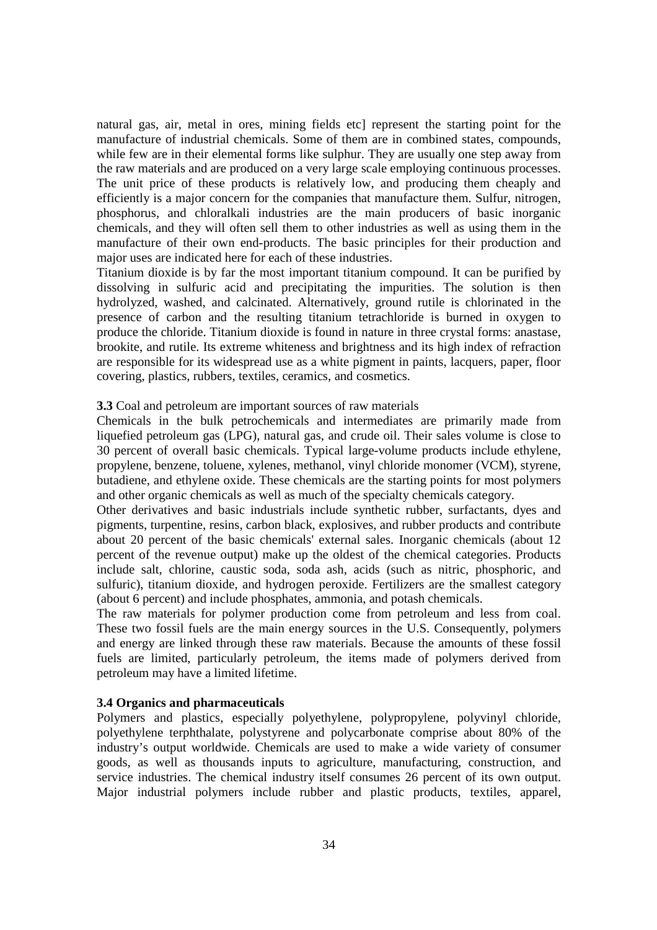natural gas, air, metal in ores, mining fields etc] represent the starting point for the manufacture of industrial chemicals. Some of them are in combined states, compounds, while few are in their elemental forms like sulphur. They are usually one step away from the raw materials and are produced on a very large scale employing continuous processes. The unit price of these products is relatively low, and producing them cheaply and efficiently is a major concern for the companies that manufacture them. Sulfur, nitrogen, phosphorus, and chloralkali industries are the main producers of basic inorganic chemicals, and they will often sell them to other industries as well as using them in the manufacture of their own end-products. The basic principles for their production and major uses are indicated here for each of these industries.

Titanium dioxide is by far the most important titanium compound. It can be purified by dissolving in sulfuric acid and precipitating the impurities. The solution is then hydrolyzed, washed, and calcinated. Alternatively, ground rutile is chlorinated in the presence of carbon and the resulting titanium tetrachloride is burned in oxygen to produce the chloride. Titanium dioxide is found in nature in three crystal forms: anastase, brookite, and rutile. Its extreme whiteness and brightness and its high index of refraction are responsible for its widespread use as a white pigment in paints, lacquers, paper, floor covering, plastics, rubbers, textiles, ceramics, and cosmetics.

#### **3.3** Coal and petroleum are important sources of raw materials

Chemicals in the bulk petrochemicals and intermediates are primarily made from liquefied petroleum gas (LPG), natural gas, and crude oil. Their sales volume is close to 30 percent of overall basic chemicals. Typical large-volume products include ethylene, propylene, benzene, toluene, xylenes, methanol, vinyl chloride monomer (VCM), styrene, butadiene, and ethylene oxide. These chemicals are the starting points for most polymers and other organic chemicals as well as much of the specialty chemicals category.

Other derivatives and basic industrials include synthetic rubber, surfactants, dyes and pigments, turpentine, resins, carbon black, explosives, and rubber products and contribute about 20 percent of the basic chemicals' external sales. Inorganic chemicals (about 12 percent of the revenue output) make up the oldest of the chemical categories. Products include salt, chlorine, caustic soda, soda ash, acids (such as nitric, phosphoric, and sulfuric), titanium dioxide, and hydrogen peroxide. Fertilizers are the smallest category (about 6 percent) and include phosphates, ammonia, and potash chemicals.

The raw materials for polymer production come from petroleum and less from coal. These two fossil fuels are the main energy sources in the U.S. Consequently, polymers and energy are linked through these raw materials. Because the amounts of these fossil fuels are limited, particularly petroleum, the items made of polymers derived from petroleum may have a limited lifetime.

#### **3.4 Organics and pharmaceuticals**

Polymers and plastics, especially polyethylene, polypropylene, polyvinyl chloride, polyethylene terphthalate, polystyrene and polycarbonate comprise about 80% of the industry's output worldwide. Chemicals are used to make a wide variety of consumer goods, as well as thousands inputs to agriculture, manufacturing, construction, and service industries. The chemical industry itself consumes 26 percent of its own output. Major industrial polymers include rubber and plastic products, textiles, apparel,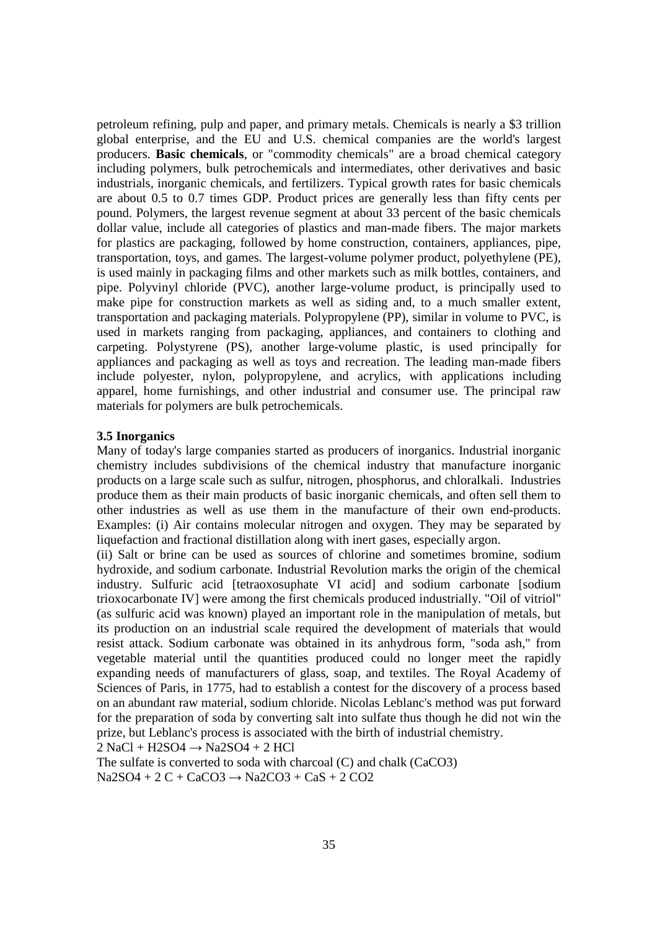petroleum refining, pulp and paper, and primary metals. Chemicals is nearly a \$3 trillion global enterprise, and the EU and U.S. chemical companies are the world's largest producers. **Basic chemicals**, or "commodity chemicals" are a broad chemical category including polymers, bulk petrochemicals and intermediates, other derivatives and basic industrials, inorganic chemicals, and fertilizers. Typical growth rates for basic chemicals are about 0.5 to 0.7 times GDP. Product prices are generally less than fifty cents per pound. Polymers, the largest revenue segment at about 33 percent of the basic chemicals dollar value, include all categories of plastics and man-made fibers. The major markets for plastics are packaging, followed by home construction, containers, appliances, pipe, transportation, toys, and games. The largest-volume polymer product, polyethylene (PE), is used mainly in packaging films and other markets such as milk bottles, containers, and pipe. Polyvinyl chloride (PVC), another large-volume product, is principally used to make pipe for construction markets as well as siding and, to a much smaller extent, transportation and packaging materials. Polypropylene (PP), similar in volume to PVC, is used in markets ranging from packaging, appliances, and containers to clothing and carpeting. Polystyrene (PS), another large-volume plastic, is used principally for appliances and packaging as well as toys and recreation. The leading man-made fibers include polyester, nylon, polypropylene, and acrylics, with applications including apparel, home furnishings, and other industrial and consumer use. The principal raw materials for polymers are bulk petrochemicals.

#### **3.5 Inorganics**

Many of today's large companies started as producers of inorganics. Industrial inorganic chemistry includes subdivisions of the chemical industry that manufacture inorganic products on a large scale such as sulfur, nitrogen, phosphorus, and chloralkali. Industries produce them as their main products of basic inorganic chemicals, and often sell them to other industries as well as use them in the manufacture of their own end-products. Examples: (i) Air contains molecular nitrogen and oxygen. They may be separated by liquefaction and fractional distillation along with inert gases, especially argon.

(ii) Salt or brine can be used as sources of chlorine and sometimes bromine, sodium hydroxide, and sodium carbonate. Industrial Revolution marks the origin of the chemical industry. Sulfuric acid [tetraoxosuphate VI acid] and sodium carbonate [sodium trioxocarbonate IV] were among the first chemicals produced industrially. "Oil of vitriol" (as sulfuric acid was known) played an important role in the manipulation of metals, but its production on an industrial scale required the development of materials that would resist attack. Sodium carbonate was obtained in its anhydrous form, "soda ash," from vegetable material until the quantities produced could no longer meet the rapidly expanding needs of manufacturers of glass, soap, and textiles. The Royal Academy of Sciences of Paris, in 1775, had to establish a contest for the discovery of a process based on an abundant raw material, sodium chloride. Nicolas Leblanc's method was put forward for the preparation of soda by converting salt into sulfate thus though he did not win the prize, but Leblanc's process is associated with the birth of industrial chemistry.

 $2$  NaCl + H2SO4  $\rightarrow$  Na2SO4 + 2 HCl

The sulfate is converted to soda with charcoal (C) and chalk (CaCO3)  $Na2SO4 + 2 C + CaCO3 \rightarrow Na2CO3 + CaS + 2 CO2$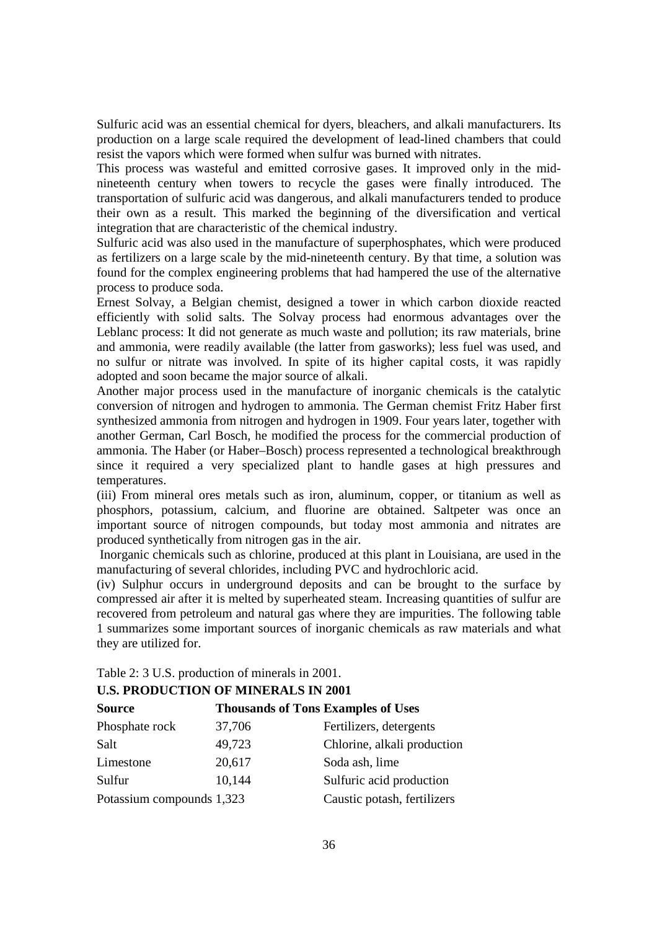Sulfuric acid was an essential chemical for dyers, bleachers, and alkali manufacturers. Its production on a large scale required the development of lead-lined chambers that could resist the vapors which were formed when sulfur was burned with nitrates.

This process was wasteful and emitted corrosive gases. It improved only in the midnineteenth century when towers to recycle the gases were finally introduced. The transportation of sulfuric acid was dangerous, and alkali manufacturers tended to produce their own as a result. This marked the beginning of the diversification and vertical integration that are characteristic of the chemical industry.

Sulfuric acid was also used in the manufacture of superphosphates, which were produced as fertilizers on a large scale by the mid-nineteenth century. By that time, a solution was found for the complex engineering problems that had hampered the use of the alternative process to produce soda.

Ernest Solvay, a Belgian chemist, designed a tower in which carbon dioxide reacted efficiently with solid salts. The Solvay process had enormous advantages over the Leblanc process: It did not generate as much waste and pollution; its raw materials, brine and ammonia, were readily available (the latter from gasworks); less fuel was used, and no sulfur or nitrate was involved. In spite of its higher capital costs, it was rapidly adopted and soon became the major source of alkali.

Another major process used in the manufacture of inorganic chemicals is the catalytic conversion of nitrogen and hydrogen to ammonia. The German chemist Fritz Haber first synthesized ammonia from nitrogen and hydrogen in 1909. Four years later, together with another German, Carl Bosch, he modified the process for the commercial production of ammonia. The Haber (or Haber–Bosch) process represented a technological breakthrough since it required a very specialized plant to handle gases at high pressures and temperatures.

(iii) From mineral ores metals such as iron, aluminum, copper, or titanium as well as phosphors, potassium, calcium, and fluorine are obtained. Saltpeter was once an important source of nitrogen compounds, but today most ammonia and nitrates are produced synthetically from nitrogen gas in the air.

 Inorganic chemicals such as chlorine, produced at this plant in Louisiana, are used in the manufacturing of several chlorides, including PVC and hydrochloric acid.

(iv) Sulphur occurs in underground deposits and can be brought to the surface by compressed air after it is melted by superheated steam. Increasing quantities of sulfur are recovered from petroleum and natural gas where they are impurities. The following table 1 summarizes some important sources of inorganic chemicals as raw materials and what they are utilized for.

Table 2: 3 U.S. production of minerals in 2001.

#### **U.S. PRODUCTION OF MINERALS IN 2001**

| <b>Source</b>             | <b>Thousands of Tons Examples of Uses</b> |                             |
|---------------------------|-------------------------------------------|-----------------------------|
| Phosphate rock            | 37,706                                    | Fertilizers, detergents     |
| Salt                      | 49,723                                    | Chlorine, alkali production |
| Limestone                 | 20,617                                    | Soda ash, lime              |
| Sulfur                    | 10,144                                    | Sulfuric acid production    |
| Potassium compounds 1,323 |                                           | Caustic potash, fertilizers |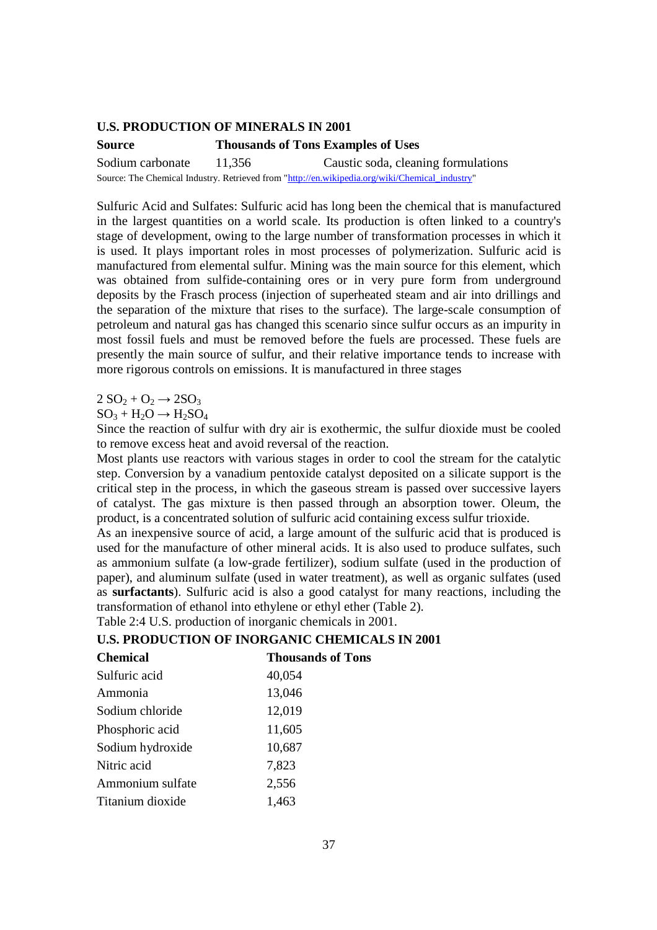#### **U.S. PRODUCTION OF MINERALS IN 2001**

# **Source Thousands of Tons Examples of Uses**

Sodium carbonate 11,356 Caustic soda, cleaning formulations Source: The Chemical Industry. Retrieved from "http://en.wikipedia.org/wiki/Chemical\_industry"

Sulfuric Acid and Sulfates: Sulfuric acid has long been the chemical that is manufactured in the largest quantities on a world scale. Its production is often linked to a country's stage of development, owing to the large number of transformation processes in which it is used. It plays important roles in most processes of polymerization. Sulfuric acid is manufactured from elemental sulfur. Mining was the main source for this element, which was obtained from sulfide-containing ores or in very pure form from underground deposits by the Frasch process (injection of superheated steam and air into drillings and the separation of the mixture that rises to the surface). The large-scale consumption of petroleum and natural gas has changed this scenario since sulfur occurs as an impurity in most fossil fuels and must be removed before the fuels are processed. These fuels are presently the main source of sulfur, and their relative importance tends to increase with more rigorous controls on emissions. It is manufactured in three stages

 $2$  SO<sub>2</sub> + O<sub>2</sub>  $\rightarrow$  2SO<sub>3</sub>

 $SO_3 + H_2O \rightarrow H_2SO_4$ 

Since the reaction of sulfur with dry air is exothermic, the sulfur dioxide must be cooled to remove excess heat and avoid reversal of the reaction.

Most plants use reactors with various stages in order to cool the stream for the catalytic step. Conversion by a vanadium pentoxide catalyst deposited on a silicate support is the critical step in the process, in which the gaseous stream is passed over successive layers of catalyst. The gas mixture is then passed through an absorption tower. Oleum, the product, is a concentrated solution of sulfuric acid containing excess sulfur trioxide.

As an inexpensive source of acid, a large amount of the sulfuric acid that is produced is used for the manufacture of other mineral acids. It is also used to produce sulfates, such as ammonium sulfate (a low-grade fertilizer), sodium sulfate (used in the production of paper), and aluminum sulfate (used in water treatment), as well as organic sulfates (used as **surfactants**). Sulfuric acid is also a good catalyst for many reactions, including the transformation of ethanol into ethylene or ethyl ether (Table 2).

Table 2:4 U.S. production of inorganic chemicals in 2001.

# **U.S. PRODUCTION OF INORGANIC CHEMICALS IN 2001**

| <b>Thousands of Tons</b> |
|--------------------------|
| 40,054                   |
| 13,046                   |
| 12,019                   |
| 11,605                   |
| 10,687                   |
| 7,823                    |
| 2,556                    |
| 1,463                    |
|                          |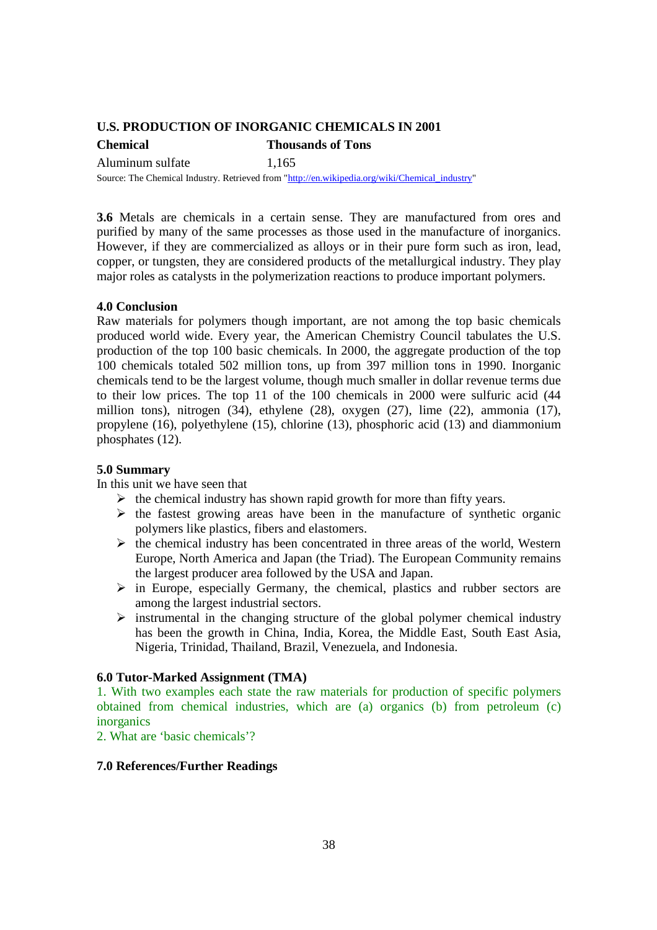# **U.S. PRODUCTION OF INORGANIC CHEMICALS IN 2001**

# **Chemical Thousands of Tons**

Aluminum sulfate 1,165

Source: The Chemical Industry. Retrieved from "http://en.wikipedia.org/wiki/Chemical\_industry"

**3.6** Metals are chemicals in a certain sense. They are manufactured from ores and purified by many of the same processes as those used in the manufacture of inorganics. However, if they are commercialized as alloys or in their pure form such as iron, lead, copper, or tungsten, they are considered products of the metallurgical industry. They play major roles as catalysts in the polymerization reactions to produce important polymers.

#### **4.0 Conclusion**

Raw materials for polymers though important, are not among the top basic chemicals produced world wide. Every year, the American Chemistry Council tabulates the U.S. production of the top 100 basic chemicals. In 2000, the aggregate production of the top 100 chemicals totaled 502 million tons, up from 397 million tons in 1990. Inorganic chemicals tend to be the largest volume, though much smaller in dollar revenue terms due to their low prices. The top 11 of the 100 chemicals in 2000 were sulfuric acid (44 million tons), nitrogen (34), ethylene (28), oxygen (27), lime (22), ammonia (17), propylene (16), polyethylene (15), chlorine (13), phosphoric acid (13) and diammonium phosphates (12).

#### **5.0 Summary**

In this unit we have seen that

- $\triangleright$  the chemical industry has shown rapid growth for more than fifty years.
- $\triangleright$  the fastest growing areas have been in the manufacture of synthetic organic polymers like plastics, fibers and elastomers.
- polymers like plastics, fibers and elastomers.<br>  $\triangleright$  the chemical industry has been concentrated in three areas of the world, Western Europe, North America and Japan (the Triad). The European Community remains the largest producer area followed by the USA and Japan.
- $\triangleright$  in Europe, especially Germany, the chemical, plastics and rubber sectors are among the largest industrial sectors.
- $\triangleright$  instrumental in the changing structure of the global polymer chemical industry has been the growth in China, India, Korea, the Middle East, South East Asia, Nigeria, Trinidad, Thailand, Brazil, Venezuela, and Indonesia.

#### **6.0 Tutor-Marked Assignment (TMA)**

1. With two examples each state the raw materials for production of specific polymers obtained from chemical industries, which are (a) organics (b) from petroleum (c) inorganics

2. What are 'basic chemicals'?

#### **7.0 References/Further Readings**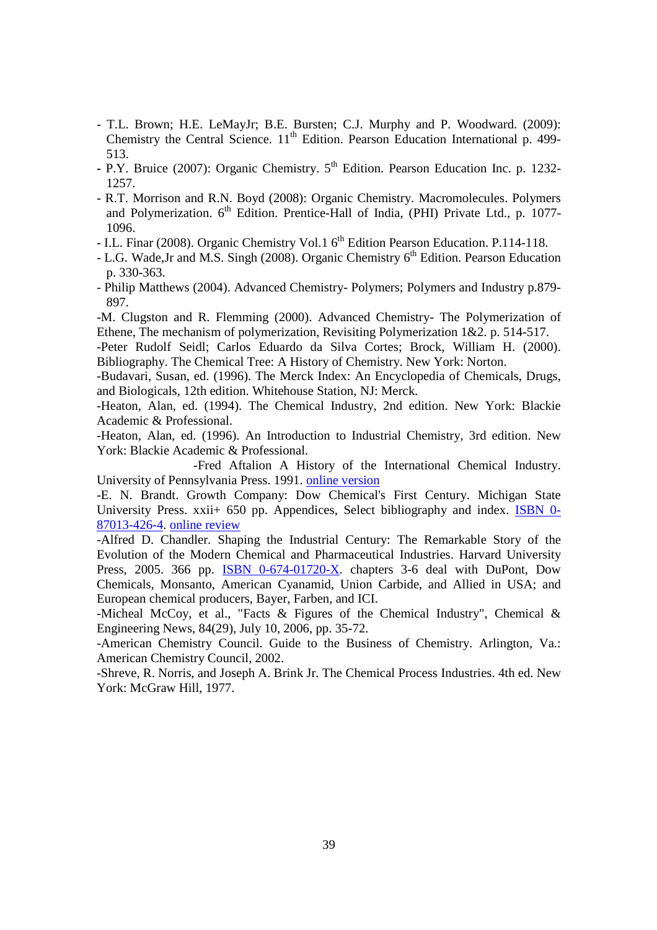- T.L. Brown; H.E. LeMayJr; B.E. Bursten; C.J. Murphy and P. Woodward. (2009): Chemistry the Central Science. 11<sup>th</sup> Edition. Pearson Education International p. 499-513.
- **P.Y. Bruice (2007): Organic Chemistry.** 5<sup>th</sup> Edition. Pearson Education Inc. p. 1232-1257.
- R.T. Morrison and R.N. Boyd (2008): Organic Chemistry. Macromolecules. Polymers and Polymerization. 6<sup>th</sup> Edition. Prentice-Hall of India, (PHI) Private Ltd., p. 1077-1096.
- I.L. Finar (2008). Organic Chemistry Vol.1 6<sup>th</sup> Edition Pearson Education. P.114-118.
- L.G. Wade, Jr and M.S. Singh (2008). Organic Chemistry 6<sup>th</sup> Edition. Pearson Education p. 330-363.
- Philip Matthews (2004). Advanced Chemistry- Polymers; Polymers and Industry p.879- 897.

-M. Clugston and R. Flemming (2000). Advanced Chemistry- The Polymerization of Ethene, The mechanism of polymerization, Revisiting Polymerization 1&2. p. 514-517.

-Peter Rudolf Seidl; Carlos Eduardo da Silva Cortes; Brock, William H. (2000). Bibliography. The Chemical Tree: A History of Chemistry. New York: Norton.

-Budavari, Susan, ed. (1996). The Merck Index: An Encyclopedia of Chemicals, Drugs, and Biologicals, 12th edition. Whitehouse Station, NJ: Merck.

-Heaton, Alan, ed. (1994). The Chemical Industry, 2nd edition. New York: Blackie Academic & Professional.

-Heaton, Alan, ed. (1996). An Introduction to Industrial Chemistry, 3rd edition. New York: Blackie Academic & Professional.

-Fred Aftalion A History of the International Chemical Industry. University of Pennsylvania Press. 1991. online version

-E. N. Brandt. Growth Company: Dow Chemical's First Century. Michigan State University Press. xxii+ 650 pp. Appendices, Select bibliography and index. ISBN 0-87013-426-4. online review

-Alfred D. Chandler. Shaping the Industrial Century: The Remarkable Story of the Evolution of the Modern Chemical and Pharmaceutical Industries. Harvard University Press, 2005. 366 pp. ISBN 0-674-01720-X. chapters 3-6 deal with DuPont, Dow Chemicals, Monsanto, American Cyanamid, Union Carbide, and Allied in USA; and European chemical producers, Bayer, Farben, and ICI.

-Micheal McCoy, et al., "Facts & Figures of the Chemical Industry", Chemical & Engineering News, 84(29), July 10, 2006, pp. 35-72.

-American Chemistry Council. Guide to the Business of Chemistry. Arlington, Va.: American Chemistry Council, 2002.

-Shreve, R. Norris, and Joseph A. Brink Jr. The Chemical Process Industries. 4th ed. New York: McGraw Hill, 1977.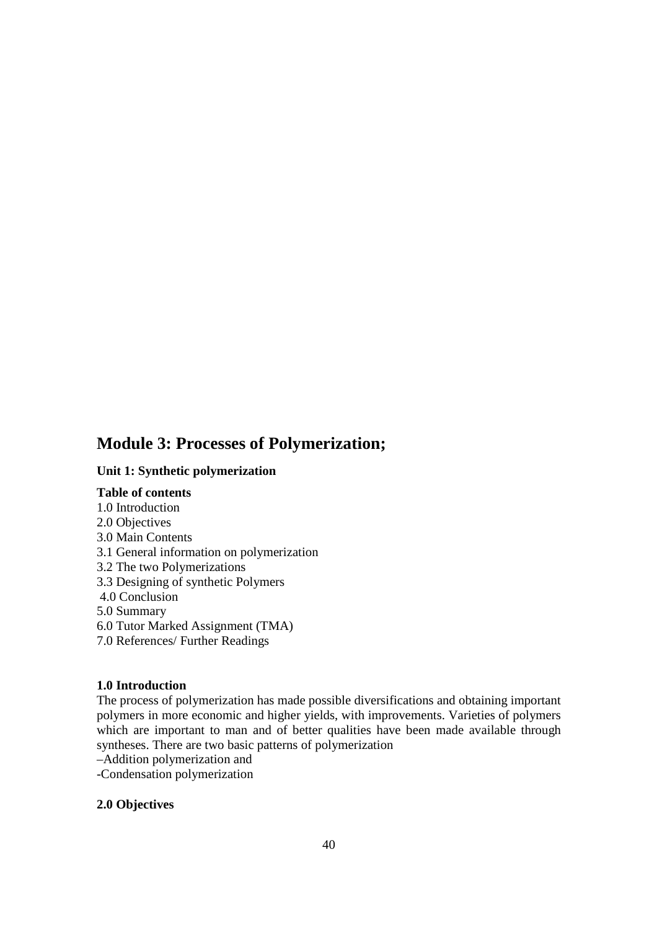# **Module 3: Processes of Polymerization;**

# **Unit 1: Synthetic polymerization**

#### **Table of contents**

- 1.0 Introduction
- 2.0 Objectives
- 3.0 Main Contents
- 3.1 General information on polymerization
- 3.2 The two Polymerizations
- 3.3 Designing of synthetic Polymers
- 4.0 Conclusion
- 5.0 Summary
- 6.0 Tutor Marked Assignment (TMA)
- 7.0 References/ Further Readings

# **1.0 Introduction**

The process of polymerization has made possible diversifications and obtaining important polymers in more economic and higher yields, with improvements. Varieties of polymers which are important to man and of better qualities have been made available through syntheses. There are two basic patterns of polymerization

–Addition polymerization and

-Condensation polymerization

#### **2.0 Objectives**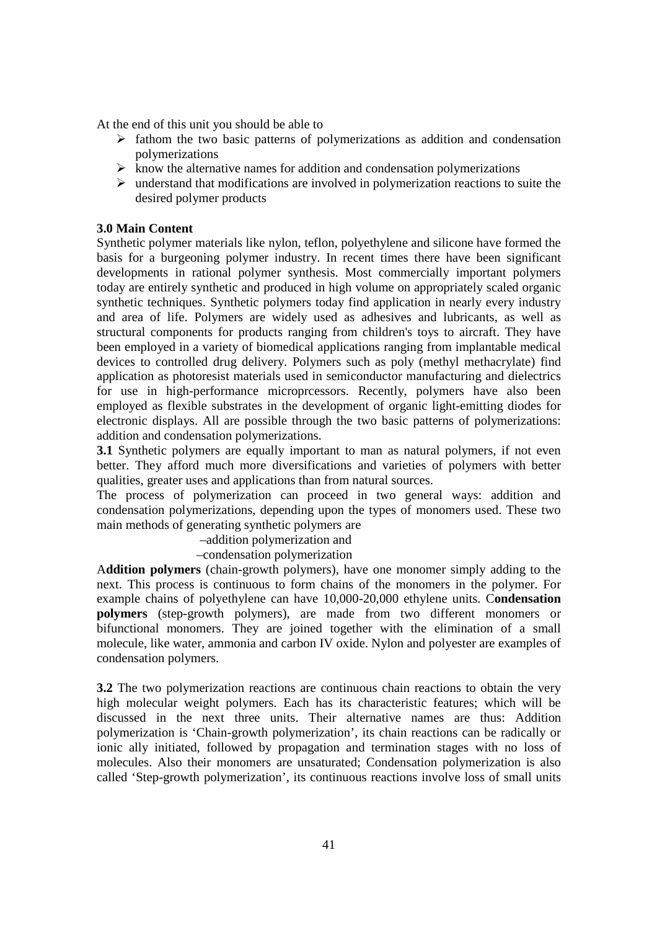At the end of this unit you should be able to

- $\triangleright$  fathom the two basic patterns of polymerizations as addition and condensation polymerizations
- $\triangleright$  know the alternative names for addition and condensation polymerizations
- $\triangleright$  understand that modifications are involved in polymerization reactions to suite the desired polymer products

#### **3.0 Main Content**

Synthetic polymer materials like nylon, teflon, polyethylene and silicone have formed the basis for a burgeoning polymer industry. In recent times there have been significant developments in rational polymer synthesis. Most commercially important polymers today are entirely synthetic and produced in high volume on appropriately scaled organic synthetic techniques. Synthetic polymers today find application in nearly every industry and area of life. Polymers are widely used as adhesives and lubricants, as well as structural components for products ranging from children's toys to aircraft. They have been employed in a variety of biomedical applications ranging from implantable medical devices to controlled drug delivery. Polymers such as poly (methyl methacrylate) find application as photoresist materials used in semiconductor manufacturing and dielectrics for use in high-performance microprcessors. Recently, polymers have also been employed as flexible substrates in the development of organic light-emitting diodes for electronic displays. All are possible through the two basic patterns of polymerizations: addition and condensation polymerizations.

**3.1** Synthetic polymers are equally important to man as natural polymers, if not even better. They afford much more diversifications and varieties of polymers with better qualities, greater uses and applications than from natural sources.

The process of polymerization can proceed in two general ways: addition and condensation polymerizations, depending upon the types of monomers used. These two main methods of generating synthetic polymers are

–addition polymerization and

–condensation polymerization

A**ddition polymers** (chain-growth polymers), have one monomer simply adding to the next. This process is continuous to form chains of the monomers in the polymer. For example chains of polyethylene can have 10,000-20,000 ethylene units. C**ondensation polymers** (step-growth polymers), are made from two different monomers or bifunctional monomers. They are joined together with the elimination of a small molecule, like water, ammonia and carbon IV oxide. Nylon and polyester are examples of condensation polymers.

**3.2** The two polymerization reactions are continuous chain reactions to obtain the very high molecular weight polymers. Each has its characteristic features; which will be discussed in the next three units. Their alternative names are thus: Addition polymerization is 'Chain-growth polymerization', its chain reactions can be radically or ionic ally initiated, followed by propagation and termination stages with no loss of molecules. Also their monomers are unsaturated; Condensation polymerization is also called 'Step-growth polymerization', its continuous reactions involve loss of small units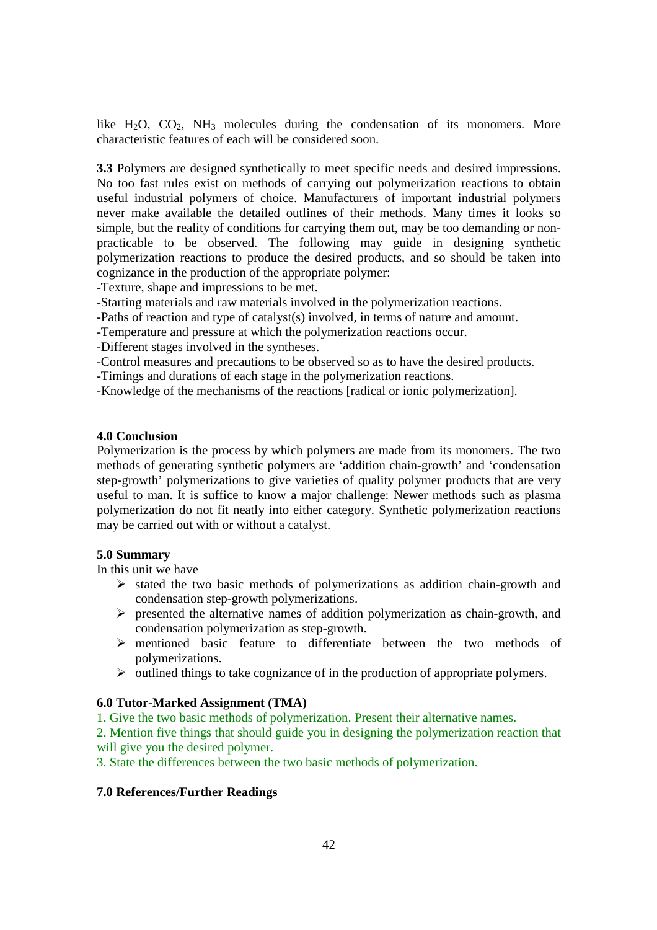like  $H_2O$ ,  $CO_2$ ,  $NH_3$  molecules during the condensation of its monomers. More characteristic features of each will be considered soon.

**3.3** Polymers are designed synthetically to meet specific needs and desired impressions. No too fast rules exist on methods of carrying out polymerization reactions to obtain useful industrial polymers of choice. Manufacturers of important industrial polymers never make available the detailed outlines of their methods. Many times it looks so simple, but the reality of conditions for carrying them out, may be too demanding or nonpracticable to be observed. The following may guide in designing synthetic polymerization reactions to produce the desired products, and so should be taken into cognizance in the production of the appropriate polymer:

-Texture, shape and impressions to be met.

-Starting materials and raw materials involved in the polymerization reactions.

-Paths of reaction and type of catalyst(s) involved, in terms of nature and amount.

-Temperature and pressure at which the polymerization reactions occur.

-Different stages involved in the syntheses.

-Control measures and precautions to be observed so as to have the desired products.

-Timings and durations of each stage in the polymerization reactions.

-Knowledge of the mechanisms of the reactions [radical or ionic polymerization].

#### **4.0 Conclusion**

Polymerization is the process by which polymers are made from its monomers. The two methods of generating synthetic polymers are 'addition chain-growth' and 'condensation step-growth' polymerizations to give varieties of quality polymer products that are very useful to man. It is suffice to know a major challenge: Newer methods such as plasma polymerization do not fit neatly into either category. Synthetic polymerization reactions may be carried out with or without a catalyst.

# **5.0 Summary**

In this unit we have

- $\triangleright$  stated the two basic methods of polymerizations as addition chain-growth and condensation step-growth polymerizations.
- $\triangleright$  presented the alternative names of addition polymerization as chain-growth, and condensation polymerization as step-growth.
- $\triangleright$  mentioned basic feature to differentiate between the two methods of polymerizations.
- $\triangleright$  outlined things to take cognizance of in the production of appropriate polymers.

#### **6.0 Tutor-Marked Assignment (TMA)**

1. Give the two basic methods of polymerization. Present their alternative names.

2. Mention five things that should guide you in designing the polymerization reaction that will give you the desired polymer.

3. State the differences between the two basic methods of polymerization.

#### **7.0 References/Further Readings**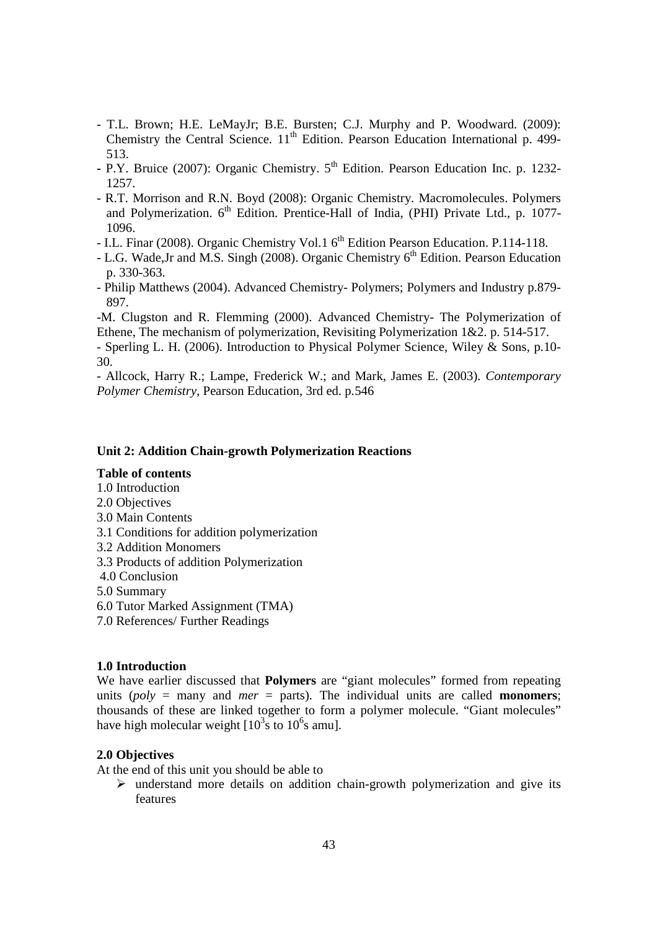- T.L. Brown; H.E. LeMayJr; B.E. Bursten; C.J. Murphy and P. Woodward. (2009): Chemistry the Central Science. 11<sup>th</sup> Edition. Pearson Education International p. 499-513.
- **P.Y. Bruice (2007): Organic Chemistry.** 5<sup>th</sup> Edition. Pearson Education Inc. p. 1232-1257.
- R.T. Morrison and R.N. Boyd (2008): Organic Chemistry. Macromolecules. Polymers and Polymerization. 6<sup>th</sup> Edition. Prentice-Hall of India, (PHI) Private Ltd., p. 1077-1096.
- I.L. Finar (2008). Organic Chemistry Vol.1 6<sup>th</sup> Edition Pearson Education. P.114-118.
- L.G. Wade, Jr and M.S. Singh (2008). Organic Chemistry 6<sup>th</sup> Edition. Pearson Education p. 330-363.
- Philip Matthews (2004). Advanced Chemistry- Polymers; Polymers and Industry p.879- 897.

-M. Clugston and R. Flemming (2000). Advanced Chemistry- The Polymerization of Ethene, The mechanism of polymerization, Revisiting Polymerization 1&2. p. 514-517.

- Sperling L. H. (2006). Introduction to Physical Polymer Science, Wiley & Sons, p.10- 30.

- Allcock, Harry R.; Lampe, Frederick W.; and Mark, James E. (2003). *Contemporary Polymer Chemistry*, Pearson Education, 3rd ed. p.546

#### **Unit 2: Addition Chain-growth Polymerization Reactions**

#### **Table of contents**

- 1.0 Introduction
- 2.0 Objectives
- 3.0 Main Contents
- 3.1 Conditions for addition polymerization
- 3.2 Addition Monomers
- 3.3 Products of addition Polymerization
- 4.0 Conclusion
- 5.0 Summary
- 6.0 Tutor Marked Assignment (TMA)
- 7.0 References/ Further Readings

#### **1.0 Introduction**

We have earlier discussed that **Polymers** are "giant molecules" formed from repeating units  $(poly = \text{many} and \text{mer} = \text{parts})$ . The individual units are called **monomers**; thousands of these are linked together to form a polymer molecule. "Giant molecules" have high molecular weight  $[10^3s]$  to  $10^6s$  amu].

#### **2.0 Objectives**

At the end of this unit you should be able to

 $\triangleright$  understand more details on addition chain-growth polymerization and give its features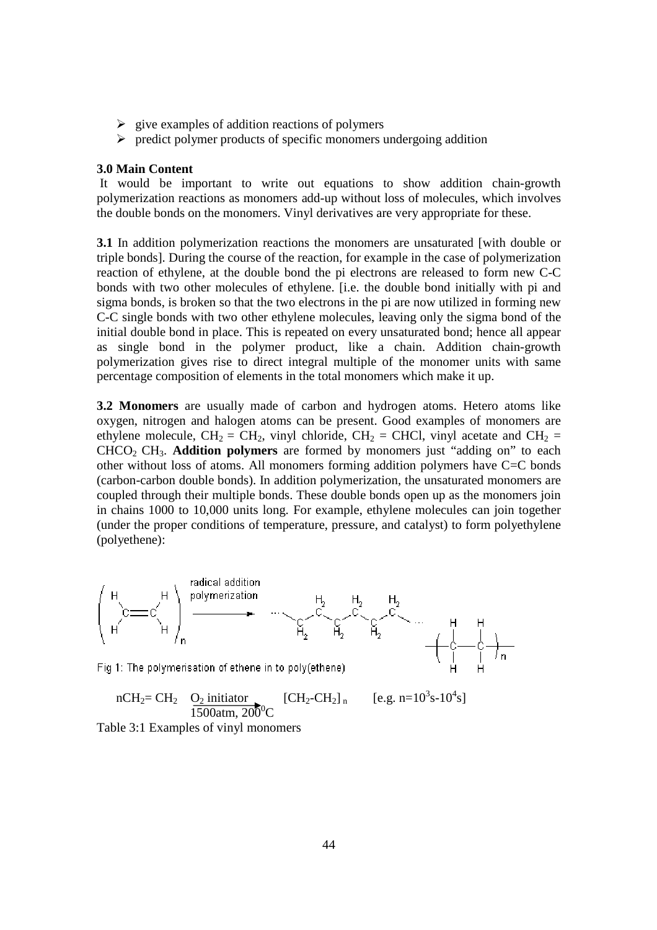- $\triangleright$  give examples of addition reactions of polymers
- $\triangleright$  predict polymer products of specific monomers undergoing addition

#### **3.0 Main Content**

It would be important to write out equations to show addition chain-growth polymerization reactions as monomers add-up without loss of molecules, which involves the double bonds on the monomers. Vinyl derivatives are very appropriate for these.

**3.1** In addition polymerization reactions the monomers are unsaturated [with double or triple bonds]. During the course of the reaction, for example in the case of polymerization reaction of ethylene, at the double bond the pi electrons are released to form new C-C bonds with two other molecules of ethylene. [i.e. the double bond initially with pi and sigma bonds, is broken so that the two electrons in the pi are now utilized in forming new C-C single bonds with two other ethylene molecules, leaving only the sigma bond of the initial double bond in place. This is repeated on every unsaturated bond; hence all appear as single bond in the polymer product, like a chain. Addition chain-growth polymerization gives rise to direct integral multiple of the monomer units with same percentage composition of elements in the total monomers which make it up.

**3.2 Monomers** are usually made of carbon and hydrogen atoms. Hetero atoms like oxygen, nitrogen and halogen atoms can be present. Good examples of monomers are ethylene molecule, CH<sub>2</sub> = CH<sub>2</sub>, vinyl chloride, CH<sub>2</sub> = CHCl, vinyl acetate and CH<sub>2</sub> = CHCO2 CH3. **Addition polymers** are formed by monomers just "adding on" to each other without loss of atoms. All monomers forming addition polymers have C=C bonds (carbon-carbon double bonds). In addition polymerization, the unsaturated monomers are coupled through their multiple bonds. These double bonds open up as the monomers join in chains 1000 to 10,000 units long. For example, ethylene molecules can join together (under the proper conditions of temperature, pressure, and catalyst) to form polyethylene (polyethene):



Table 3:1 Examples of vinyl monomers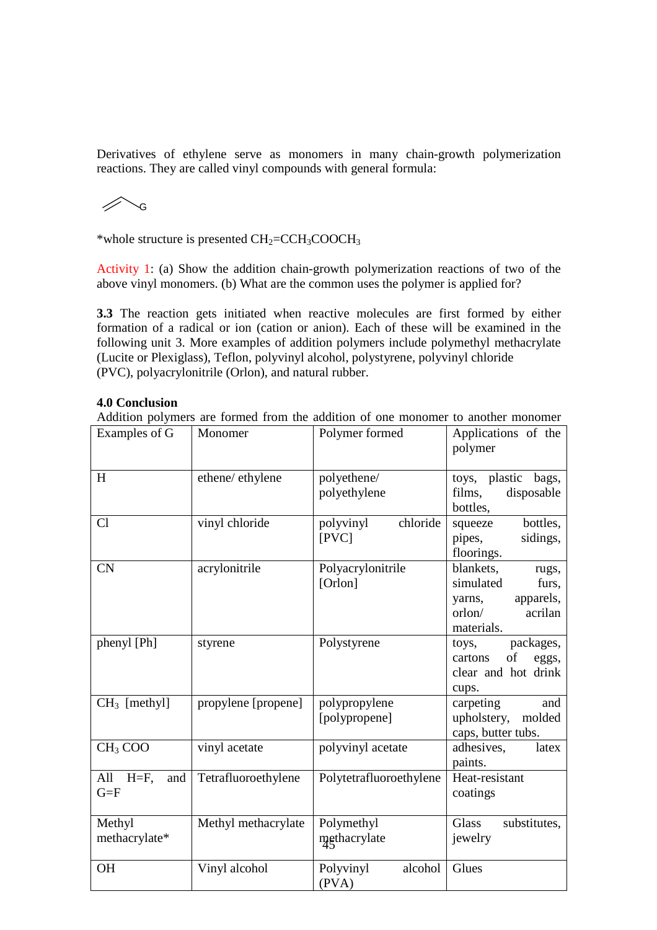Derivatives of ethylene serve as monomers in many chain-growth polymerization reactions. They are called vinyl compounds with general formula:



\*whole structure is presented  $CH<sub>2</sub>=CCH<sub>3</sub>COOCH<sub>3</sub>$ 

Activity 1: (a) Show the addition chain-growth polymerization reactions of two of the above vinyl monomers. (b) What are the common uses the polymer is applied for?

**3.3** The reaction gets initiated when reactive molecules are first formed by either formation of a radical or ion (cation or anion). Each of these will be examined in the following unit 3. More examples of addition polymers include polymethyl methacrylate (Lucite or Plexiglass), Teflon, polyvinyl alcohol, polystyrene, polyvinyl chloride (PVC), polyacrylonitrile (Orlon), and natural rubber.

# **4.0 Conclusion**

Addition polymers are formed from the addition of one monomer to another monomer

| Examples of G                   | Monomer             | Polymer formed                 | Applications of the<br>polymer                                                                     |
|---------------------------------|---------------------|--------------------------------|----------------------------------------------------------------------------------------------------|
| H                               | ethene/ethylene     | polyethene/<br>polyethylene    | toys, plastic<br>bags,<br>films,<br>disposable<br>bottles,                                         |
| Cl                              | vinyl chloride      | chloride<br>polyvinyl<br>[PVC] | bottles,<br>squeeze<br>sidings,<br>pipes,<br>floorings.                                            |
| <b>CN</b>                       | acrylonitrile       | Polyacrylonitrile<br>[Orlon]   | blankets,<br>rugs,<br>simulated<br>furs,<br>apparels,<br>yarns,<br>orlon/<br>acrilan<br>materials. |
| phenyl [Ph]                     | styrene             | Polystyrene                    | packages,<br>toys,<br>of<br>cartons<br>eggs,<br>clear and hot drink<br>cups.                       |
| $CH3$ [methyl]                  | propylene [propene] | polypropylene<br>[polypropene] | carpeting<br>and<br>upholstery,<br>molded<br>caps, butter tubs.                                    |
| CH <sub>3</sub> COO             | vinyl acetate       | polyvinyl acetate              | adhesives,<br>latex<br>paints.                                                                     |
| $All$ $H=F$ ,<br>and<br>$G = F$ | Tetrafluoroethylene | Polytetrafluoroethylene        | Heat-resistant<br>coatings                                                                         |
| Methyl<br>methacrylate*         | Methyl methacrylate | Polymethyl<br>methacrylate     | Glass<br>substitutes,<br>jewelry                                                                   |
| OH                              | Vinyl alcohol       | alcohol<br>Polyvinyl<br>(PVA)  | Glues                                                                                              |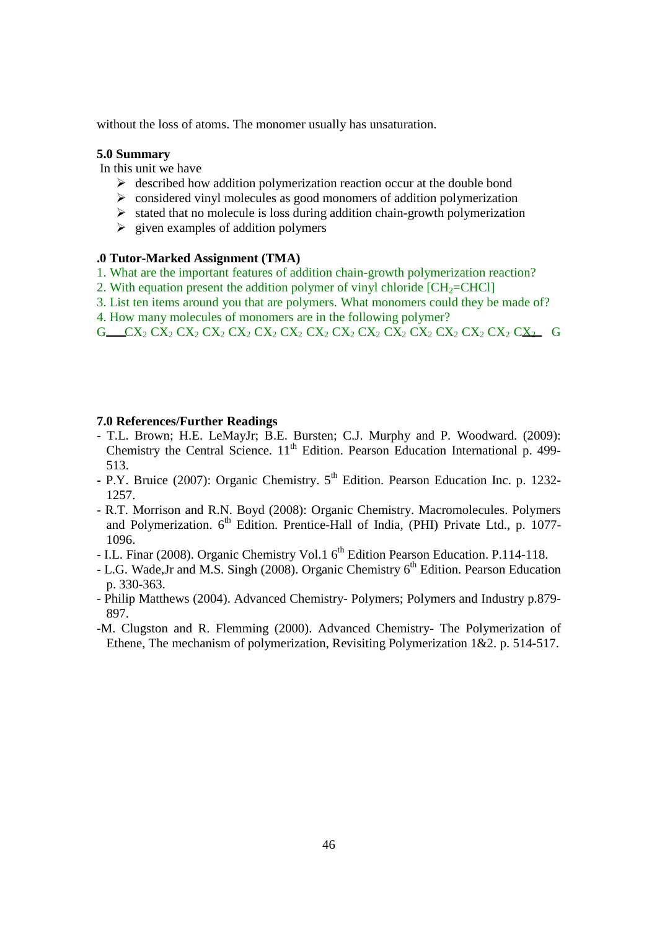without the loss of atoms. The monomer usually has unsaturation.

#### **5.0 Summary**

In this unit we have

- $\triangleright$  described how addition polymerization reaction occur at the double bond
- $\triangleright$  considered vinyl molecules as good monomers of addition polymerization
- $\triangleright$  stated that no molecule is loss during addition chain-growth polymerization
- $\triangleright$  given examples of addition polymers

#### **.0 Tutor-Marked Assignment (TMA)**

- 1. What are the important features of addition chain-growth polymerization reaction?
- 2. With equation present the addition polymer of vinyl chloride  $[CH<sub>2</sub>=CHCl]$
- 3. List ten items around you that are polymers. What monomers could they be made of?
- 4. How many molecules of monomers are in the following polymer?

G CX2 CX2 CX2 CX2 CX2 CX2 CX2 CX2 CX2 CX2 CX2 CX2 CX2 CX2 CX2 CX2 G

#### **7.0 References/Further Readings**

- T.L. Brown; H.E. LeMayJr; B.E. Bursten; C.J. Murphy and P. Woodward. (2009): Chemistry the Central Science. 11<sup>th</sup> Edition. Pearson Education International p. 499-513.
- **P.Y. Bruice (2007): Organic Chemistry. 5<sup>th</sup> Edition. Pearson Education Inc. p. 1232-**1257.
- R.T. Morrison and R.N. Boyd (2008): Organic Chemistry. Macromolecules. Polymers and Polymerization.  $6<sup>th</sup>$  Edition. Prentice-Hall of India, (PHI) Private Ltd., p. 1077-1096.
- I.L. Finar (2008). Organic Chemistry Vol.1 6<sup>th</sup> Edition Pearson Education. P.114-118.
- L.G. Wade, Jr and M.S. Singh (2008). Organic Chemistry 6<sup>th</sup> Edition. Pearson Education p. 330-363.
- Philip Matthews (2004). Advanced Chemistry- Polymers; Polymers and Industry p.879- 897.
- -M. Clugston and R. Flemming (2000). Advanced Chemistry- The Polymerization of Ethene, The mechanism of polymerization, Revisiting Polymerization 1&2. p. 514-517.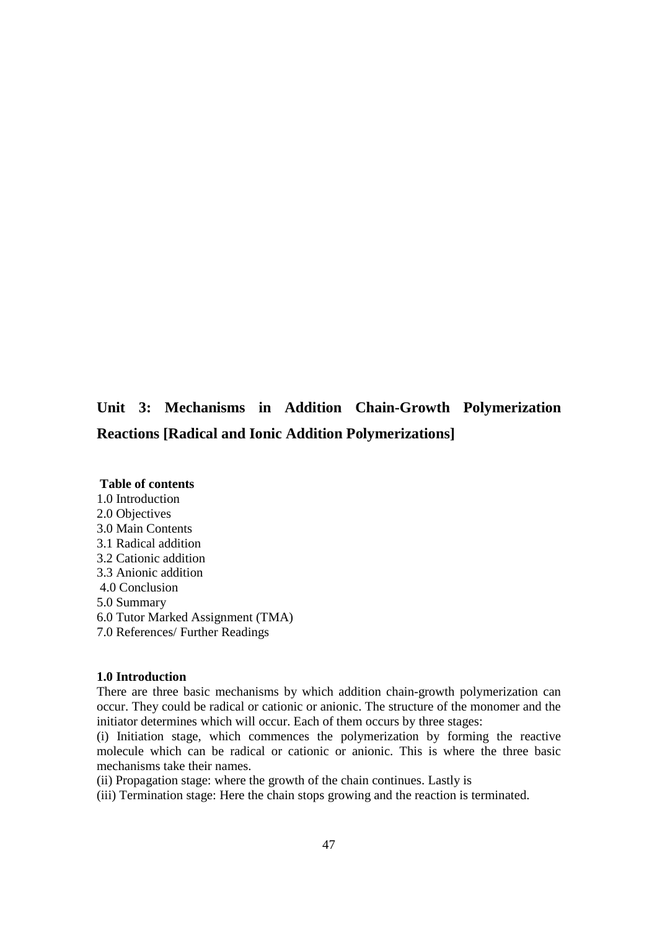# **Unit 3: Mechanisms in Addition Chain-Growth Polymerization Reactions [Radical and Ionic Addition Polymerizations]**

#### **Table of contents**

1.0 Introduction 2.0 Objectives 3.0 Main Contents 3.1 Radical addition 3.2 Cationic addition 3.3 Anionic addition 4.0 Conclusion 5.0 Summary 6.0 Tutor Marked Assignment (TMA) 7.0 References/ Further Readings

#### **1.0 Introduction**

There are three basic mechanisms by which addition chain-growth polymerization can occur. They could be radical or cationic or anionic. The structure of the monomer and the initiator determines which will occur. Each of them occurs by three stages:

(i) Initiation stage, which commences the polymerization by forming the reactive molecule which can be radical or cationic or anionic. This is where the three basic mechanisms take their names.

(ii) Propagation stage: where the growth of the chain continues. Lastly is

(iii) Termination stage: Here the chain stops growing and the reaction is terminated.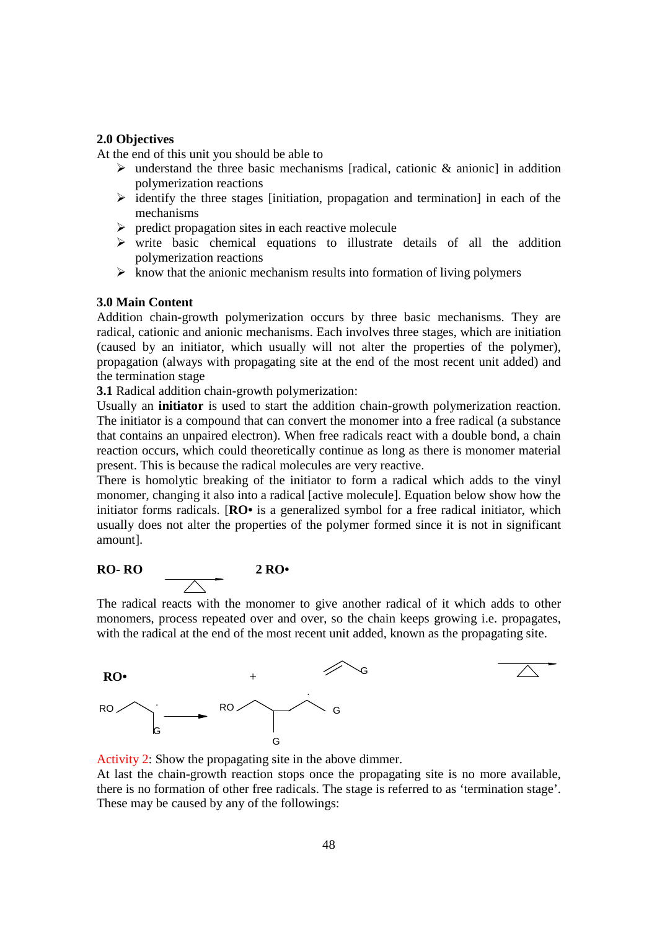#### **2.0 Objectives**

At the end of this unit you should be able to

- $\triangleright$  understand the three basic mechanisms [radical, cationic & anionic] in addition polymerization reactions
- $\triangleright$  identify the three stages [initiation, propagation and termination] in each of the mechanisms
- $\triangleright$  predict propagation sites in each reactive molecule
- $\triangleright$  write basic chemical equations to illustrate details of all the addition polymerization reactions
- $\triangleright$  know that the anionic mechanism results into formation of living polymers

#### **3.0 Main Content**

Addition chain-growth polymerization occurs by three basic mechanisms. They are radical, cationic and anionic mechanisms. Each involves three stages, which are initiation (caused by an initiator, which usually will not alter the properties of the polymer), propagation (always with propagating site at the end of the most recent unit added) and the termination stage

**3.1** Radical addition chain-growth polymerization:

Usually an **initiator** is used to start the addition chain-growth polymerization reaction. The initiator is a compound that can convert the monomer into a free radical (a substance that contains an unpaired electron). When free radicals react with a double bond, a chain reaction occurs, which could theoretically continue as long as there is monomer material present. This is because the radical molecules are very reactive.

There is homolytic breaking of the initiator to form a radical which adds to the vinyl monomer, changing it also into a radical [active molecule]. Equation below show how the initiator forms radicals. [**RO•** is a generalized symbol for a free radical initiator, which usually does not alter the properties of the polymer formed since it is not in significant amount].

# **RO- RO 2 RO•**

The radical reacts with the monomer to give another radical of it which adds to other monomers, process repeated over and over, so the chain keeps growing i.e. propagates, with the radical at the end of the most recent unit added, known as the propagating site.



Activity 2: Show the propagating site in the above dimmer.

At last the chain-growth reaction stops once the propagating site is no more available, there is no formation of other free radicals. The stage is referred to as 'termination stage'. These may be caused by any of the followings: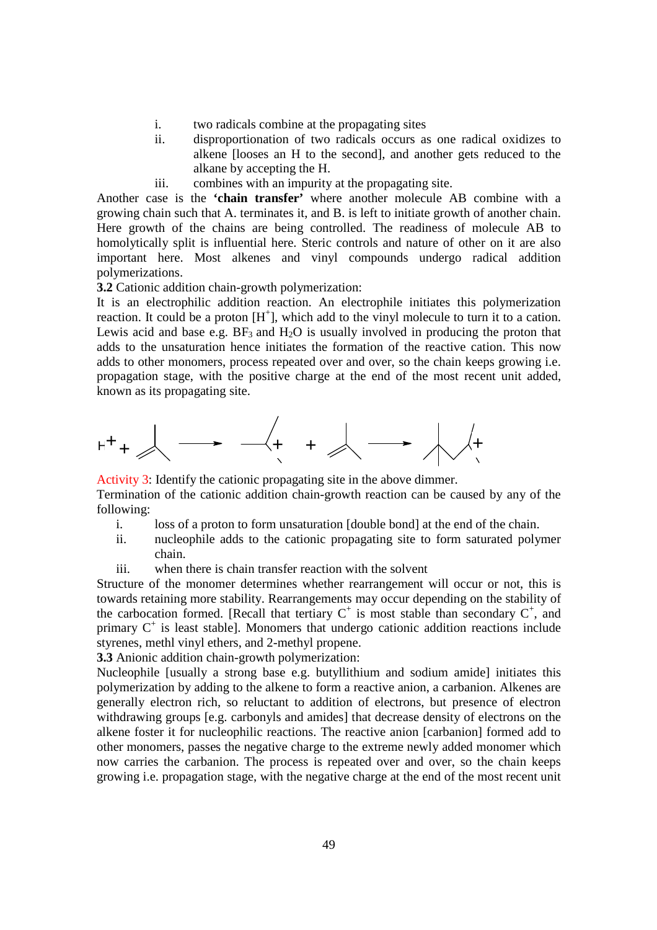- i. two radicals combine at the propagating sites
- ii. disproportionation of two radicals occurs as one radical oxidizes to alkene [looses an H to the second], and another gets reduced to the alkane by accepting the H.
- iii. combines with an impurity at the propagating site.

Another case is the **'chain transfer'** where another molecule AB combine with a growing chain such that A. terminates it, and B. is left to initiate growth of another chain. Here growth of the chains are being controlled. The readiness of molecule AB to homolytically split is influential here. Steric controls and nature of other on it are also important here. Most alkenes and vinyl compounds undergo radical addition polymerizations.

**3.2** Cationic addition chain-growth polymerization:

It is an electrophilic addition reaction. An electrophile initiates this polymerization reaction. It could be a proton  $[H^+]$ , which add to the vinyl molecule to turn it to a cation. Lewis acid and base e.g.  $BF_3$  and  $H_2O$  is usually involved in producing the proton that adds to the unsaturation hence initiates the formation of the reactive cation. This now adds to other monomers, process repeated over and over, so the chain keeps growing i.e. propagation stage, with the positive charge at the end of the most recent unit added, known as its propagating site.



Activity 3: Identify the cationic propagating site in the above dimmer.

Termination of the cationic addition chain-growth reaction can be caused by any of the following:

- i. loss of a proton to form unsaturation [double bond] at the end of the chain.
- ii. nucleophile adds to the cationic propagating site to form saturated polymer chain.
- iii. when there is chain transfer reaction with the solvent

Structure of the monomer determines whether rearrangement will occur or not, this is towards retaining more stability. Rearrangements may occur depending on the stability of the carbocation formed. [Recall that tertiary  $C^+$  is most stable than secondary  $C^+$ , and primary C<sup>+</sup> is least stable]. Monomers that undergo cationic addition reactions include styrenes, methl vinyl ethers, and 2-methyl propene.

**3.3** Anionic addition chain-growth polymerization:

Nucleophile [usually a strong base e.g. butyllithium and sodium amide] initiates this polymerization by adding to the alkene to form a reactive anion, a carbanion. Alkenes are generally electron rich, so reluctant to addition of electrons, but presence of electron withdrawing groups [e.g. carbonyls and amides] that decrease density of electrons on the alkene foster it for nucleophilic reactions. The reactive anion [carbanion] formed add to other monomers, passes the negative charge to the extreme newly added monomer which now carries the carbanion. The process is repeated over and over, so the chain keeps growing i.e. propagation stage, with the negative charge at the end of the most recent unit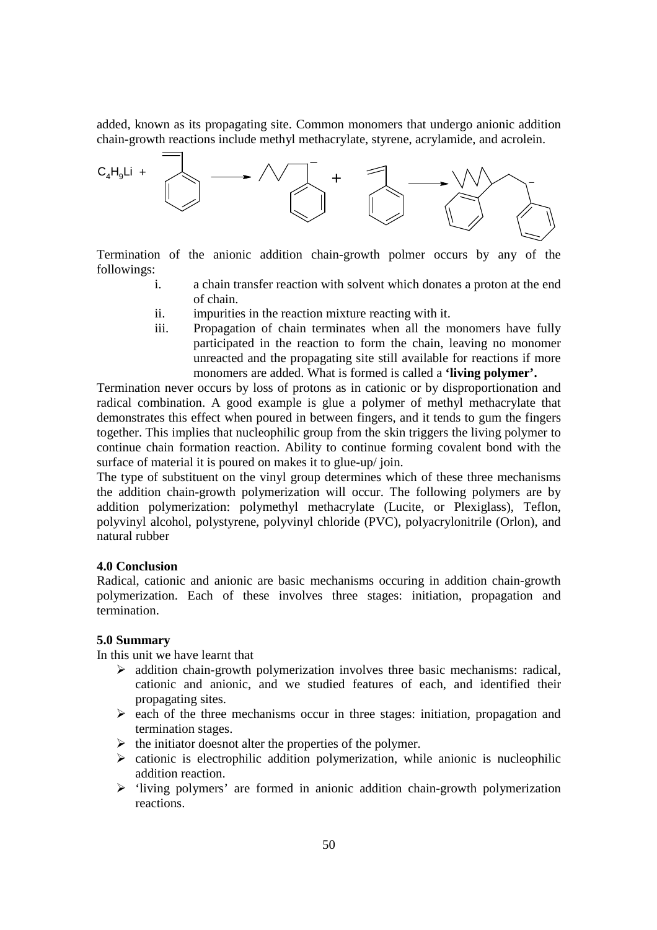added, known as its propagating site. Common monomers that undergo anionic addition chain-growth reactions include methyl methacrylate, styrene, acrylamide, and acrolein.



Termination of the anionic addition chain-growth polmer occurs by any of the followings:

- i. a chain transfer reaction with solvent which donates a proton at the end of chain.
- ii. impurities in the reaction mixture reacting with it.
- iii. Propagation of chain terminates when all the monomers have fully participated in the reaction to form the chain, leaving no monomer unreacted and the propagating site still available for reactions if more monomers are added. What is formed is called a **'living polymer'.**

Termination never occurs by loss of protons as in cationic or by disproportionation and radical combination. A good example is glue a polymer of methyl methacrylate that demonstrates this effect when poured in between fingers, and it tends to gum the fingers together. This implies that nucleophilic group from the skin triggers the living polymer to continue chain formation reaction. Ability to continue forming covalent bond with the surface of material it is poured on makes it to glue-up/ join.

The type of substituent on the vinyl group determines which of these three mechanisms the addition chain-growth polymerization will occur. The following polymers are by addition polymerization: polymethyl methacrylate (Lucite, or Plexiglass), Teflon, polyvinyl alcohol, polystyrene, polyvinyl chloride (PVC), polyacrylonitrile (Orlon), and natural rubber

#### **4.0 Conclusion**

Radical, cationic and anionic are basic mechanisms occuring in addition chain-growth polymerization. Each of these involves three stages: initiation, propagation and termination.

#### **5.0 Summary**

In this unit we have learnt that

- $\triangleright$  addition chain-growth polymerization involves three basic mechanisms: radical, cationic and anionic, and we studied features of each, and identified their propagating sites.
- $\triangleright$  each of the three mechanisms occur in three stages: initiation, propagation and termination stages.
- $\triangleright$  the initiator doesnot alter the properties of the polymer.
- $\triangleright$  cationic is electrophilic addition polymerization, while anionic is nucleophilic addition reaction.
- $\triangleright$  'living polymers' are formed in anionic addition chain-growth polymerization reactions.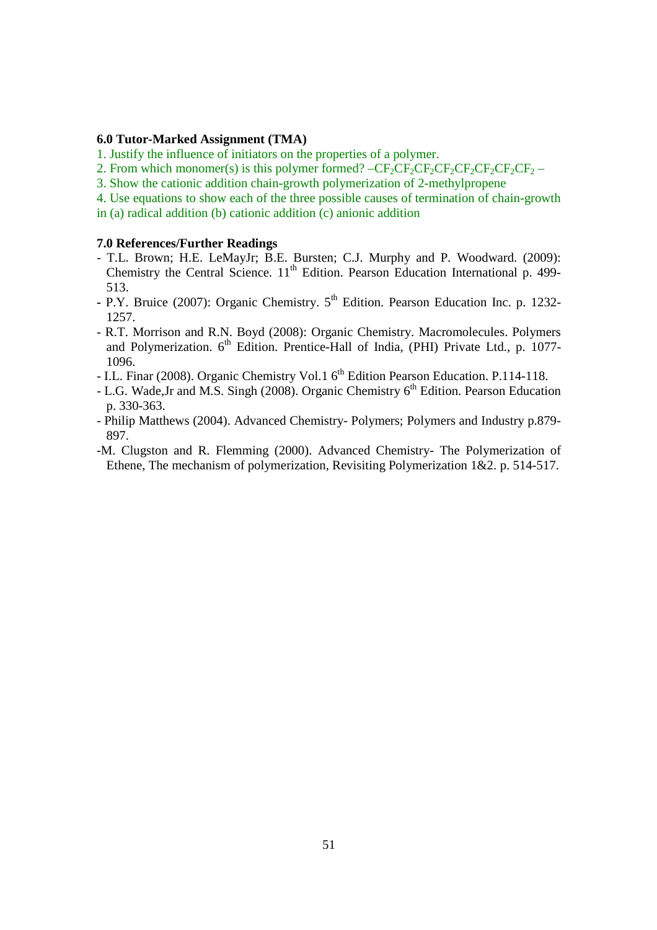#### **6.0 Tutor-Marked Assignment (TMA)**

- 1. Justify the influence of initiators on the properties of a polymer.
- 2. From which monomer(s) is this polymer formed?  $-CF_2CF_2CF_2CF_2CF_2CF_2CF_2CF_2CF_2CF_2C$
- 3. Show the cationic addition chain-growth polymerization of 2-methylpropene
- 4. Use equations to show each of the three possible causes of termination of chain-growth

in (a) radical addition (b) cationic addition (c) anionic addition

#### **7.0 References/Further Readings**

- T.L. Brown; H.E. LeMayJr; B.E. Bursten; C.J. Murphy and P. Woodward. (2009): Chemistry the Central Science. 11<sup>th</sup> Edition. Pearson Education International p. 499-513.
- **P.Y. Bruice (2007): Organic Chemistry. 5<sup>th</sup> Edition. Pearson Education Inc. p. 1232-**1257.
- R.T. Morrison and R.N. Boyd (2008): Organic Chemistry. Macromolecules. Polymers and Polymerization. 6<sup>th</sup> Edition. Prentice-Hall of India, (PHI) Private Ltd., p. 1077-1096.
- I.L. Finar (2008). Organic Chemistry Vol.1 6<sup>th</sup> Edition Pearson Education. P.114-118.
- L.G. Wade, Jr and M.S. Singh (2008). Organic Chemistry 6<sup>th</sup> Edition. Pearson Education p. 330-363.
- Philip Matthews (2004). Advanced Chemistry- Polymers; Polymers and Industry p.879- 897.
- -M. Clugston and R. Flemming (2000). Advanced Chemistry- The Polymerization of Ethene, The mechanism of polymerization, Revisiting Polymerization 1&2. p. 514-517.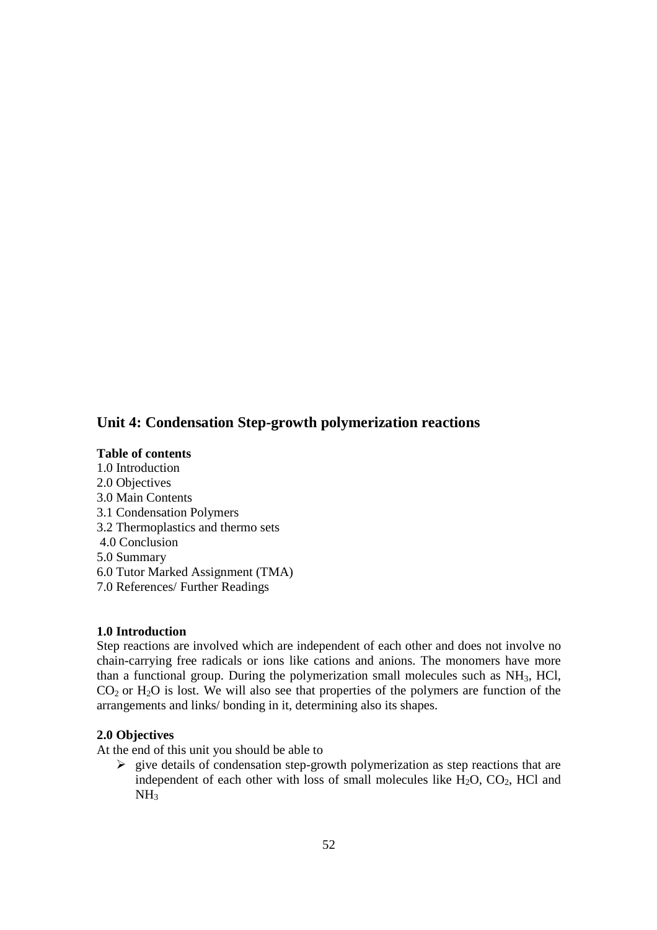# **Unit 4: Condensation Step-growth polymerization reactions**

# **Table of contents**

1.0 Introduction 2.0 Objectives 3.0 Main Contents 3.1 Condensation Polymers 3.2 Thermoplastics and thermo sets 4.0 Conclusion 5.0 Summary 6.0 Tutor Marked Assignment (TMA) 7.0 References/ Further Readings

#### **1.0 Introduction**

Step reactions are involved which are independent of each other and does not involve no chain-carrying free radicals or ions like cations and anions. The monomers have more than a functional group. During the polymerization small molecules such as  $NH<sub>3</sub>$ , HCl,  $CO<sub>2</sub>$  or  $H<sub>2</sub>O$  is lost. We will also see that properties of the polymers are function of the arrangements and links/ bonding in it, determining also its shapes.

#### **2.0 Objectives**

At the end of this unit you should be able to

 $\triangleright$  give details of condensation step-growth polymerization as step reactions that are independent of each other with loss of small molecules like  $H_2O$ , CO<sub>2</sub>, HCl and  $NH<sub>3</sub>$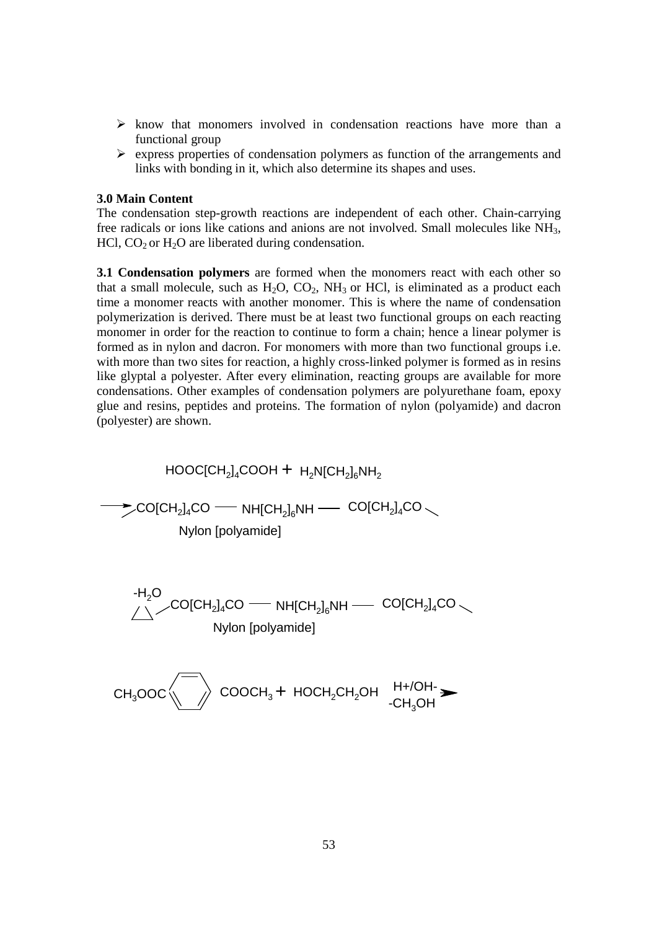- $\triangleright$  know that monomers involved in condensation reactions have more than a functional group
- $\triangleright$  express properties of condensation polymers as function of the arrangements and links with bonding in it, which also determine its shapes and uses.

#### **3.0 Main Content**

The condensation step-growth reactions are independent of each other. Chain-carrying free radicals or ions like cations and anions are not involved. Small molecules like NH<sub>3</sub>, HCl,  $CO<sub>2</sub>$  or  $H<sub>2</sub>O$  are liberated during condensation.

**3.1 Condensation polymers** are formed when the monomers react with each other so that a small molecule, such as  $H_2O$ ,  $CO_2$ ,  $NH_3$  or HCl, is eliminated as a product each time a monomer reacts with another monomer. This is where the name of condensation polymerization is derived. There must be at least two functional groups on each reacting monomer in order for the reaction to continue to form a chain; hence a linear polymer is formed as in nylon and dacron. For monomers with more than two functional groups i.e. with more than two sites for reaction, a highly cross-linked polymer is formed as in resins like glyptal a polyester. After every elimination, reacting groups are available for more condensations. Other examples of condensation polymers are polyurethane foam, epoxy glue and resins, peptides and proteins. The formation of nylon (polyamide) and dacron (polyester) are shown.

$$
\text{HOOC}[\text{CH}_2]_4\text{COOH} + \text{H}_2\text{N}[\text{CH}_2]_6\text{NH}_2
$$

 $\rm CO[CH_2]_4$ CO — NH[CH $_2]_6$ NH — CO[CH $_2]_4$ CO Nylon [polyamide]

$$
\begin{array}{l} \text{-H}_{2}\text{O} \\ \triangle \end{array} \begin{array}{c} \text{-H}_{2}\text{O} \\ \text{C}\text{O}[\text{CH}_{2}]_{4}\text{CO} \end{array} \begin{array}{c} \text{-NH}[\text{CH}_{2}]_{6}\text{NH} \end{array} \begin{array}{c} \text{CO}[\text{CH}_{2}]_{4}\text{CO} \\ \text{Nylon [polyamide]} \end{array}
$$

$$
\text{CH}_{3} \text{OOC} \sqrt{\text{OOC}} \text{COOCH}_{3} + \text{HOCH}_{2} \text{CH}_{2} \text{OH} \xrightarrow{\text{H+/OH-}} \text{CH}_{3} \text{OH}
$$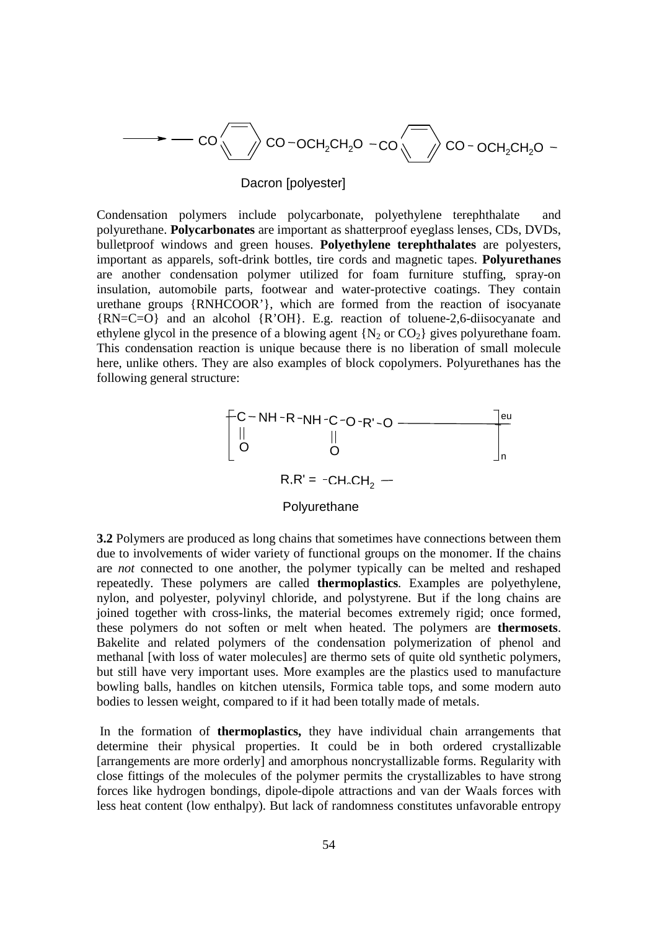$$
\longrightarrow \hspace{-6mm} \longrightarrow \hspace{-6mm} \longrightarrow \hspace{-6mm} \longrightarrow \hspace{-6mm} \longrightarrow \hspace{-6mm} \longrightarrow \hspace{-6mm} \longrightarrow \hspace{-6mm} \longrightarrow \hspace{-6mm} \longrightarrow \hspace{-6mm} \longrightarrow \hspace{-6mm} \longrightarrow \hspace{-6mm} \longrightarrow \hspace{-6mm} \longrightarrow \hspace{-6mm} \longrightarrow \hspace{-6mm} \longrightarrow \hspace{-6mm} \longrightarrow \hspace{-6mm} \longrightarrow \hspace{-6mm} \longrightarrow \hspace{-6mm} \longrightarrow \hspace{-6mm} \longrightarrow \hspace{-6mm} \longrightarrow \hspace{-6mm} \longrightarrow \hspace{-6mm} \longrightarrow \hspace{-6mm} \longrightarrow \hspace{-6mm} \longrightarrow \hspace{-6mm} \longrightarrow \hspace{-6mm} \longrightarrow \hspace{-6mm} \longrightarrow \hspace{-6mm} \longrightarrow \hspace{-6mm} \longrightarrow \hspace{-6mm} \longrightarrow \hspace{-6mm} \longrightarrow \hspace{-6mm} \longrightarrow \hspace{-6mm} \longrightarrow \hspace{-6mm} \longrightarrow \hspace{-6mm} \longrightarrow \hspace{-6mm} \longrightarrow \hspace{-6mm} \longrightarrow \hspace{-6mm} \longrightarrow \hspace{-6mm} \longrightarrow \hspace{-6mm} \longrightarrow \hspace{-6mm} \longrightarrow \hspace{-6mm} \longrightarrow \hspace{-6mm} \longrightarrow \hspace{-6mm} \longrightarrow \hspace{-6mm} \longrightarrow \hspace{-6mm} \longrightarrow \hspace{-6mm} \longrightarrow \hspace{-6mm} \longrightarrow \hspace{-6mm} \longrightarrow \hspace{-6mm} \longrightarrow \hspace{-6mm} \longrightarrow \hspace{-6mm} \longrightarrow \hspace{-6mm} \longrightarrow \hspace{-6mm} \longrightarrow \hspace{-6mm} \longrightarrow \hspace{-6mm} \longrightarrow \hspace{-6mm} \longrightarrow \hspace{-6mm} \longrightarrow \hspace{-6mm} \longrightarrow \hspace{-6mm} \longrightarrow \hspace{-6mm} \longrightarrow \hspace{-6mm} \longrightarrow \hspace{-6mm} \longrightarrow \hspace{-6mm} \longrightarrow \hspace{-6mm} \longrightarrow \hspace{-6mm} \longrightarrow \hspace{-6mm} \longrightarrow \hspace{-6mm} \longrightarrow \hspace{-6mm} \longrightarrow \hspace{-6mm} \longrightarrow \hspace{-6mm} \longrightarrow \hspace{-6mm} \longrightarrow \hspace{-6mm} \longrightarrow \hspace{-6mm} \longrightarrow \hspace{-6mm} \longrightarrow \hspace{-6mm} \longrightarrow \hspace{-6mm} \longrightarrow \hspace{-6mm} \longrightarrow \hspace{-6mm} \longrightarrow \hspace{-6mm} \longrightarrow \hspace{-6mm} \longrightarrow \hspace{-6mm} \longrightarrow \hspace{-6mm} \longrightarrow \hspace{-6mm} \longrightarrow \hs
$$

Dacron [polyester]

Condensation polymers include polycarbonate, polyethylene terephthalate and polyurethane. **Polycarbonates** are important as shatterproof eyeglass lenses, CDs, DVDs, bulletproof windows and green houses. **Polyethylene terephthalates** are polyesters, important as apparels, soft-drink bottles, tire cords and magnetic tapes. **Polyurethanes** are another condensation polymer utilized for foam furniture stuffing, spray-on insulation, automobile parts, footwear and water-protective coatings. They contain urethane groups {RNHCOOR'}, which are formed from the reaction of isocyanate {RN=C=O} and an alcohol {R'OH}. E.g. reaction of toluene-2,6-diisocyanate and ethylene glycol in the presence of a blowing agent  $\{N_2 \text{ or } CO_2\}$  gives polyurethane foam. This condensation reaction is unique because there is no liberation of small molecule here, unlike others. They are also examples of block copolymers. Polyurethanes has the following general structure:



**3.2** Polymers are produced as long chains that sometimes have connections between them due to involvements of wider variety of functional groups on the monomer. If the chains are *not* connected to one another, the polymer typically can be melted and reshaped repeatedly. These polymers are called **thermoplastics***.* Examples are polyethylene, nylon, and polyester, polyvinyl chloride, and polystyrene. But if the long chains are joined together with cross-links, the material becomes extremely rigid; once formed, these polymers do not soften or melt when heated. The polymers are **thermosets**. Bakelite and related polymers of the condensation polymerization of phenol and methanal [with loss of water molecules] are thermo sets of quite old synthetic polymers, but still have very important uses. More examples are the plastics used to manufacture bowling balls, handles on kitchen utensils, Formica table tops, and some modern auto bodies to lessen weight, compared to if it had been totally made of metals.

In the formation of **thermoplastics,** they have individual chain arrangements that determine their physical properties. It could be in both ordered crystallizable [arrangements are more orderly] and amorphous noncrystallizable forms. Regularity with close fittings of the molecules of the polymer permits the crystallizables to have strong forces like hydrogen bondings, dipole-dipole attractions and van der Waals forces with less heat content (low enthalpy). But lack of randomness constitutes unfavorable entropy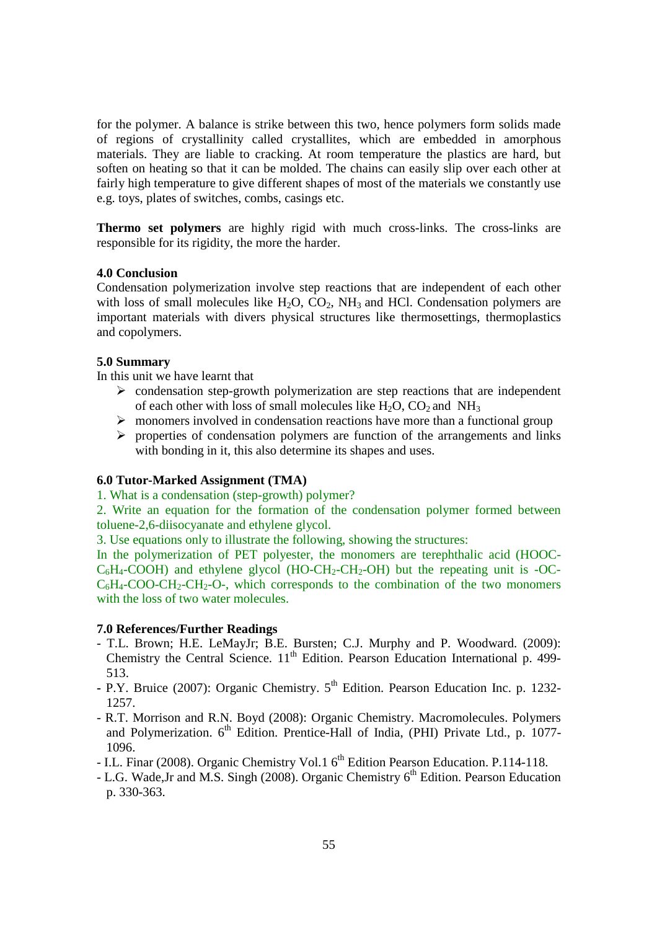for the polymer. A balance is strike between this two, hence polymers form solids made of regions of crystallinity called crystallites, which are embedded in amorphous materials. They are liable to cracking. At room temperature the plastics are hard, but soften on heating so that it can be molded. The chains can easily slip over each other at fairly high temperature to give different shapes of most of the materials we constantly use e.g. toys, plates of switches, combs, casings etc.

**Thermo set polymers** are highly rigid with much cross-links. The cross-links are responsible for its rigidity, the more the harder.

#### **4.0 Conclusion**

Condensation polymerization involve step reactions that are independent of each other with loss of small molecules like  $H_2O$ ,  $CO_2$ ,  $NH_3$  and HCl. Condensation polymers are important materials with divers physical structures like thermosettings, thermoplastics and copolymers.

#### **5.0 Summary**

In this unit we have learnt that

- $\triangleright$  condensation step-growth polymerization are step reactions that are independent of each other with loss of small molecules like  $H_2O$ ,  $CO_2$  and  $NH_3$
- $\triangleright$  monomers involved in condensation reactions have more than a functional group
- $\triangleright$  properties of condensation polymers are function of the arrangements and links with bonding in it, this also determine its shapes and uses.

#### **6.0 Tutor-Marked Assignment (TMA)**

1. What is a condensation (step-growth) polymer?

2. Write an equation for the formation of the condensation polymer formed between toluene-2,6-diisocyanate and ethylene glycol.

3. Use equations only to illustrate the following, showing the structures:

In the polymerization of PET polyester, the monomers are terephthalic acid (HOOC- $C_6H_4$ -COOH) and ethylene glycol (HO-CH<sub>2</sub>-CH<sub>2</sub>-OH) but the repeating unit is -OC- $C_6H_4$ -COO-CH<sub>2</sub>-CH<sub>2</sub>-O-, which corresponds to the combination of the two monomers with the loss of two water molecules.

#### **7.0 References/Further Readings**

- T.L. Brown; H.E. LeMayJr; B.E. Bursten; C.J. Murphy and P. Woodward. (2009): Chemistry the Central Science. 11<sup>th</sup> Edition. Pearson Education International p. 499-513.
- **P.Y. Bruice (2007): Organic Chemistry. 5<sup>th</sup> Edition. Pearson Education Inc. p. 1232-**1257.
- R.T. Morrison and R.N. Boyd (2008): Organic Chemistry. Macromolecules. Polymers and Polymerization. 6<sup>th</sup> Edition. Prentice-Hall of India, (PHI) Private Ltd., p. 1077-1096.
- I.L. Finar (2008). Organic Chemistry Vol.1 6<sup>th</sup> Edition Pearson Education. P.114-118.
- L.G. Wade, Jr and M.S. Singh (2008). Organic Chemistry 6<sup>th</sup> Edition. Pearson Education p. 330-363.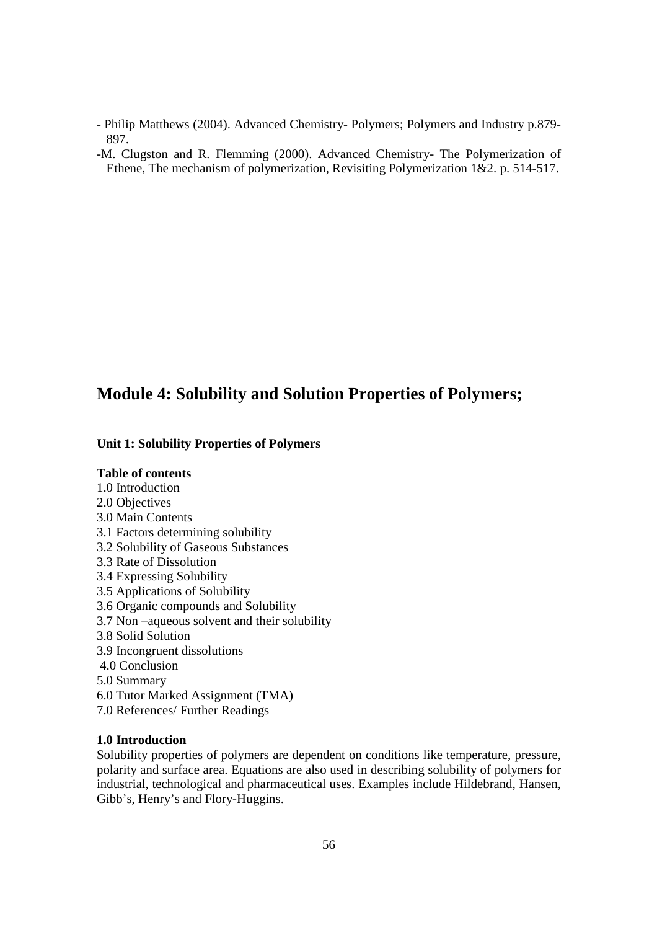- Philip Matthews (2004). Advanced Chemistry- Polymers; Polymers and Industry p.879- 897.
- -M. Clugston and R. Flemming (2000). Advanced Chemistry- The Polymerization of Ethene, The mechanism of polymerization, Revisiting Polymerization 1&2. p. 514-517.

# **Module 4: Solubility and Solution Properties of Polymers;**

#### **Unit 1: Solubility Properties of Polymers**

#### **Table of contents**

- 1.0 Introduction
- 2.0 Objectives
- 3.0 Main Contents
- 3.1 Factors determining solubility
- 3.2 Solubility of Gaseous Substances
- 3.3 Rate of Dissolution
- 3.4 Expressing Solubility
- 3.5 Applications of Solubility
- 3.6 Organic compounds and Solubility
- 3.7 Non –aqueous solvent and their solubility
- 3.8 Solid Solution
- 3.9 Incongruent dissolutions
- 4.0 Conclusion
- 5.0 Summary
- 6.0 Tutor Marked Assignment (TMA)
- 7.0 References/ Further Readings

#### **1.0 Introduction**

Solubility properties of polymers are dependent on conditions like temperature, pressure, polarity and surface area. Equations are also used in describing solubility of polymers for industrial, technological and pharmaceutical uses. Examples include Hildebrand, Hansen, Gibb's, Henry's and Flory-Huggins.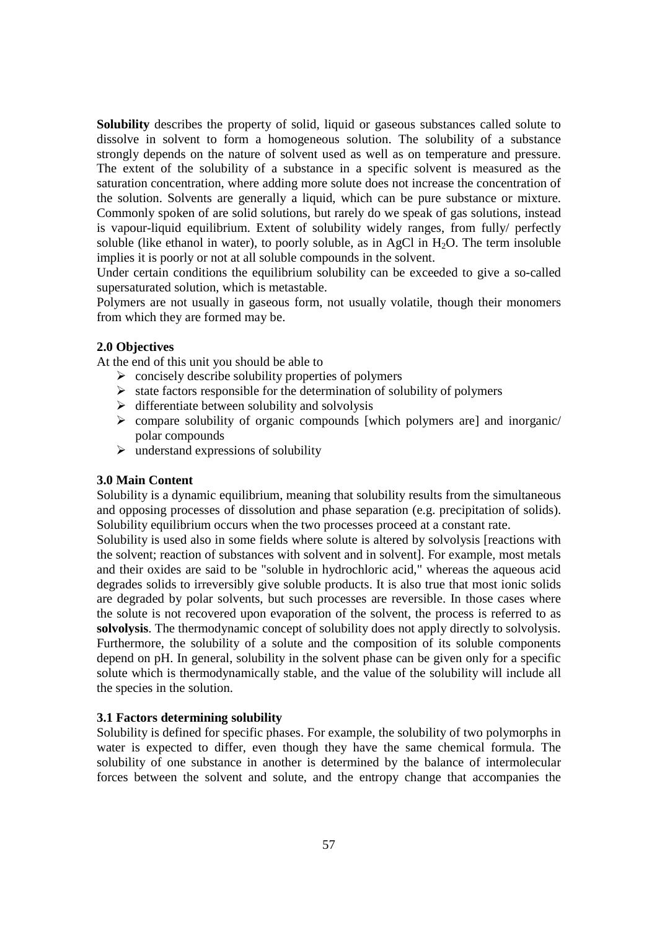**Solubility** describes the property of solid, liquid or gaseous substances called solute to dissolve in solvent to form a homogeneous solution. The solubility of a substance strongly depends on the nature of solvent used as well as on temperature and pressure. The extent of the solubility of a substance in a specific solvent is measured as the saturation concentration, where adding more solute does not increase the concentration of the solution. Solvents are generally a liquid, which can be pure substance or mixture. Commonly spoken of are solid solutions, but rarely do we speak of gas solutions, instead is vapour-liquid equilibrium. Extent of solubility widely ranges, from fully/ perfectly soluble (like ethanol in water), to poorly soluble, as in AgCl in  $H_2O$ . The term insoluble implies it is poorly or not at all soluble compounds in the solvent.

Under certain conditions the equilibrium solubility can be exceeded to give a so-called supersaturated solution, which is metastable.

Polymers are not usually in gaseous form, not usually volatile, though their monomers from which they are formed may be.

#### **2.0 Objectives**

At the end of this unit you should be able to

- $\triangleright$  concisely describe solubility properties of polymers
- $\triangleright$  state factors responsible for the determination of solubility of polymers
- $\triangleright$  differentiate between solubility and solvolysis
- $\triangleright$  compare solubility of organic compounds [which polymers are] and inorganic/ polar compounds
- $\triangleright$  understand expressions of solubility

#### **3.0 Main Content**

Solubility is a dynamic equilibrium, meaning that solubility results from the simultaneous and opposing processes of dissolution and phase separation (e.g. precipitation of solids). Solubility equilibrium occurs when the two processes proceed at a constant rate.

Solubility is used also in some fields where solute is altered by solvolysis [reactions with the solvent; reaction of substances with solvent and in solvent]. For example, most metals and their oxides are said to be "soluble in hydrochloric acid," whereas the aqueous acid degrades solids to irreversibly give soluble products. It is also true that most ionic solids are degraded by polar solvents, but such processes are reversible. In those cases where the solute is not recovered upon evaporation of the solvent, the process is referred to as **solvolysis**. The thermodynamic concept of solubility does not apply directly to solvolysis. Furthermore, the solubility of a solute and the composition of its soluble components depend on pH. In general, solubility in the solvent phase can be given only for a specific solute which is thermodynamically stable, and the value of the solubility will include all the species in the solution.

#### **3.1 Factors determining solubility**

Solubility is defined for specific phases. For example, the solubility of two polymorphs in water is expected to differ, even though they have the same chemical formula. The solubility of one substance in another is determined by the balance of intermolecular forces between the solvent and solute, and the entropy change that accompanies the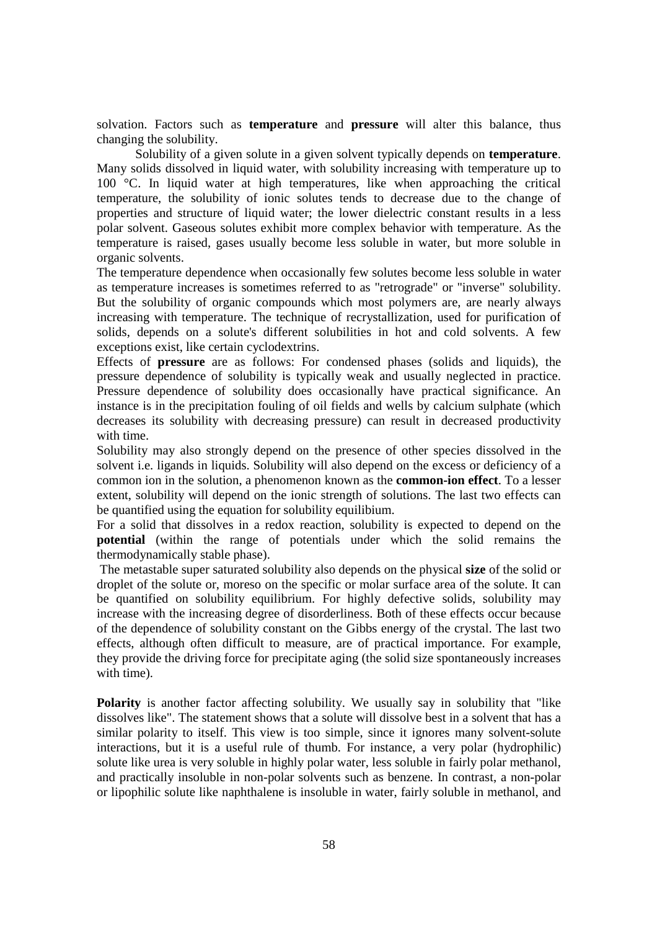solvation. Factors such as **temperature** and **pressure** will alter this balance, thus changing the solubility.

 Solubility of a given solute in a given solvent typically depends on **temperature**. Many solids dissolved in liquid water, with solubility increasing with temperature up to 100 °C. In liquid water at high temperatures, like when approaching the critical temperature, the solubility of ionic solutes tends to decrease due to the change of properties and structure of liquid water; the lower dielectric constant results in a less polar solvent. Gaseous solutes exhibit more complex behavior with temperature. As the temperature is raised, gases usually become less soluble in water, but more soluble in organic solvents.

The temperature dependence when occasionally few solutes become less soluble in water as temperature increases is sometimes referred to as "retrograde" or "inverse" solubility. But the solubility of organic compounds which most polymers are, are nearly always increasing with temperature. The technique of recrystallization, used for purification of solids, depends on a solute's different solubilities in hot and cold solvents. A few exceptions exist, like certain cyclodextrins.

Effects of **pressure** are as follows: For condensed phases (solids and liquids), the pressure dependence of solubility is typically weak and usually neglected in practice. Pressure dependence of solubility does occasionally have practical significance. An instance is in the precipitation fouling of oil fields and wells by calcium sulphate (which decreases its solubility with decreasing pressure) can result in decreased productivity with time.

Solubility may also strongly depend on the presence of other species dissolved in the solvent i.e. ligands in liquids. Solubility will also depend on the excess or deficiency of a common ion in the solution, a phenomenon known as the **common-ion effect**. To a lesser extent, solubility will depend on the ionic strength of solutions. The last two effects can be quantified using the equation for solubility equilibium.

For a solid that dissolves in a redox reaction, solubility is expected to depend on the **potential** (within the range of potentials under which the solid remains the thermodynamically stable phase).

 The metastable super saturated solubility also depends on the physical **size** of the solid or droplet of the solute or, moreso on the specific or molar surface area of the solute. It can be quantified on solubility equilibrium. For highly defective solids, solubility may increase with the increasing degree of disorderliness. Both of these effects occur because of the dependence of solubility constant on the Gibbs energy of the crystal. The last two effects, although often difficult to measure, are of practical importance. For example, they provide the driving force for precipitate aging (the solid size spontaneously increases with time).

**Polarity** is another factor affecting solubility. We usually say in solubility that "like dissolves like". The statement shows that a solute will dissolve best in a solvent that has a similar polarity to itself. This view is too simple, since it ignores many solvent-solute interactions, but it is a useful rule of thumb. For instance, a very polar (hydrophilic) solute like urea is very soluble in highly polar water, less soluble in fairly polar methanol, and practically insoluble in non-polar solvents such as benzene. In contrast, a non-polar or lipophilic solute like naphthalene is insoluble in water, fairly soluble in methanol, and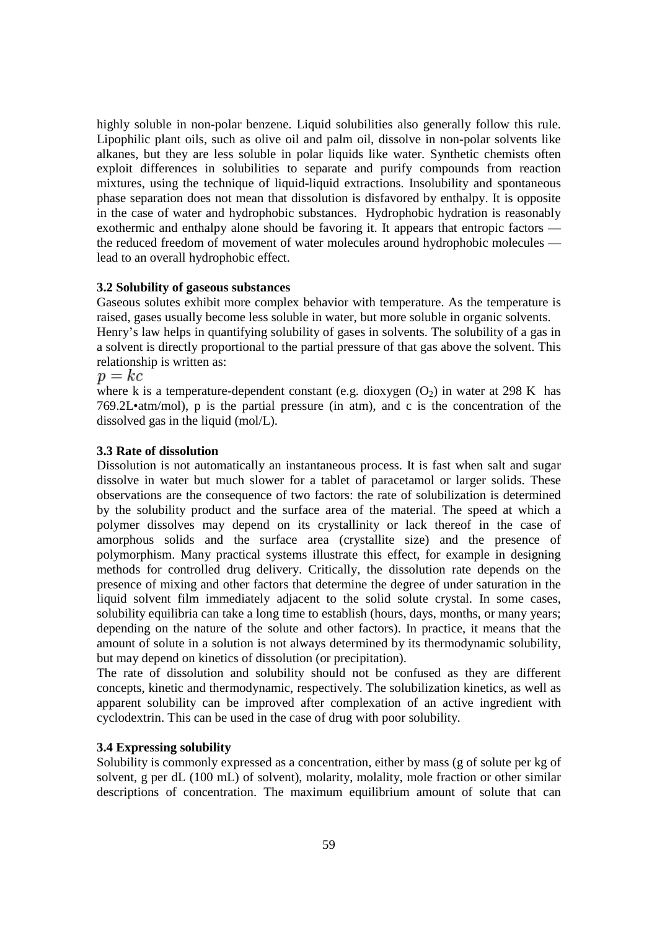highly soluble in non-polar benzene. Liquid solubilities also generally follow this rule. Lipophilic plant oils, such as olive oil and palm oil, dissolve in non-polar solvents like alkanes, but they are less soluble in polar liquids like water. Synthetic chemists often exploit differences in solubilities to separate and purify compounds from reaction mixtures, using the technique of liquid-liquid extractions. Insolubility and spontaneous phase separation does not mean that dissolution is disfavored by enthalpy. It is opposite in the case of water and hydrophobic substances. Hydrophobic hydration is reasonably exothermic and enthalpy alone should be favoring it. It appears that entropic factors the reduced freedom of movement of water molecules around hydrophobic molecules lead to an overall hydrophobic effect.

#### **3.2 Solubility of gaseous substances**

Gaseous solutes exhibit more complex behavior with temperature. As the temperature is raised, gases usually become less soluble in water, but more soluble in organic solvents. Henry's law helps in quantifying solubility of gases in solvents. The solubility of a gas in a solvent is directly proportional to the partial pressure of that gas above the solvent. This relationship is written as:

 $p = kc$ 

where k is a temperature-dependent constant (e.g. dioxygen  $(O_2)$ ) in water at 298 K has 769.2L•atm/mol), p is the partial pressure (in atm), and c is the concentration of the dissolved gas in the liquid (mol/L).

#### **3.3 Rate of dissolution**

Dissolution is not automatically an instantaneous process. It is fast when salt and sugar dissolve in water but much slower for a tablet of paracetamol or larger solids. These observations are the consequence of two factors: the rate of solubilization is determined by the solubility product and the surface area of the material. The speed at which a polymer dissolves may depend on its crystallinity or lack thereof in the case of amorphous solids and the surface area (crystallite size) and the presence of polymorphism. Many practical systems illustrate this effect, for example in designing methods for controlled drug delivery. Critically, the dissolution rate depends on the presence of mixing and other factors that determine the degree of under saturation in the liquid solvent film immediately adjacent to the solid solute crystal. In some cases, solubility equilibria can take a long time to establish (hours, days, months, or many years; depending on the nature of the solute and other factors). In practice, it means that the amount of solute in a solution is not always determined by its thermodynamic solubility, but may depend on kinetics of dissolution (or precipitation).

The rate of dissolution and solubility should not be confused as they are different concepts, kinetic and thermodynamic, respectively. The solubilization kinetics, as well as apparent solubility can be improved after complexation of an active ingredient with cyclodextrin. This can be used in the case of drug with poor solubility.

#### **3.4 Expressing solubility**

Solubility is commonly expressed as a concentration, either by mass (g of solute per kg of solvent, g per dL (100 mL) of solvent), molarity, molality, mole fraction or other similar descriptions of concentration. The maximum equilibrium amount of solute that can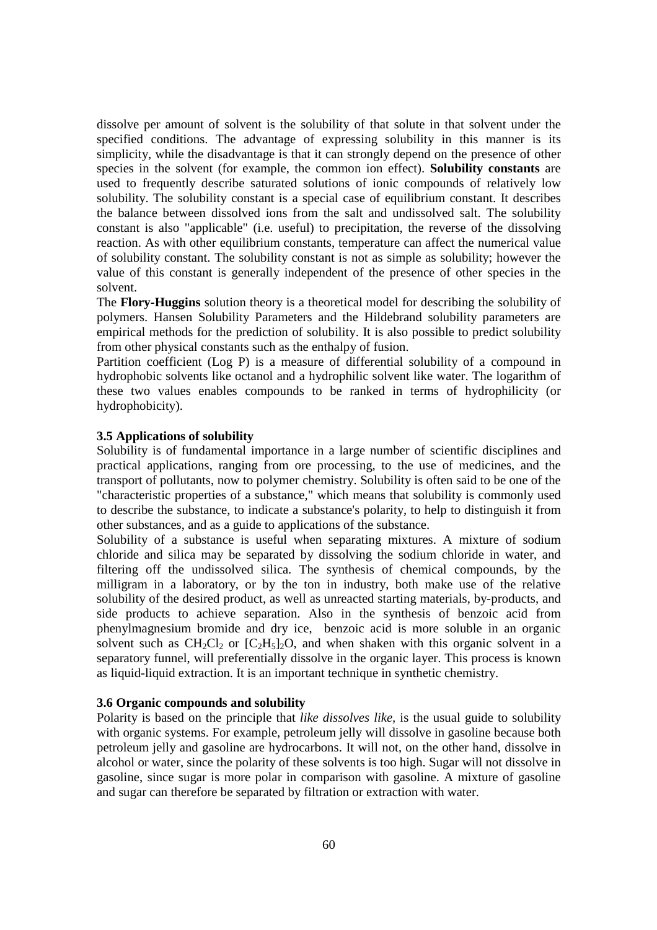dissolve per amount of solvent is the solubility of that solute in that solvent under the specified conditions. The advantage of expressing solubility in this manner is its simplicity, while the disadvantage is that it can strongly depend on the presence of other species in the solvent (for example, the common ion effect). **Solubility constants** are used to frequently describe saturated solutions of ionic compounds of relatively low solubility. The solubility constant is a special case of equilibrium constant. It describes the balance between dissolved ions from the salt and undissolved salt. The solubility constant is also "applicable" (i.e. useful) to precipitation, the reverse of the dissolving reaction. As with other equilibrium constants, temperature can affect the numerical value of solubility constant. The solubility constant is not as simple as solubility; however the value of this constant is generally independent of the presence of other species in the solvent.

The **Flory-Huggins** solution theory is a theoretical model for describing the solubility of polymers. Hansen Solubility Parameters and the Hildebrand solubility parameters are empirical methods for the prediction of solubility. It is also possible to predict solubility from other physical constants such as the enthalpy of fusion.

Partition coefficient (Log P) is a measure of differential solubility of a compound in hydrophobic solvents like octanol and a hydrophilic solvent like water. The logarithm of these two values enables compounds to be ranked in terms of hydrophilicity (or hydrophobicity).

#### **3.5 Applications of solubility**

Solubility is of fundamental importance in a large number of scientific disciplines and practical applications, ranging from ore processing, to the use of medicines, and the transport of pollutants, now to polymer chemistry. Solubility is often said to be one of the "characteristic properties of a substance," which means that solubility is commonly used to describe the substance, to indicate a substance's polarity, to help to distinguish it from other substances, and as a guide to applications of the substance.

Solubility of a substance is useful when separating mixtures. A mixture of sodium chloride and silica may be separated by dissolving the sodium chloride in water, and filtering off the undissolved silica. The synthesis of chemical compounds, by the milligram in a laboratory, or by the ton in industry, both make use of the relative solubility of the desired product, as well as unreacted starting materials, by-products, and side products to achieve separation. Also in the synthesis of benzoic acid from phenylmagnesium bromide and dry ice, benzoic acid is more soluble in an organic solvent such as  $CH_2Cl_2$  or  $[C_2H_5]_2O$ , and when shaken with this organic solvent in a separatory funnel, will preferentially dissolve in the organic layer. This process is known as liquid-liquid extraction. It is an important technique in synthetic chemistry.

#### **3.6 Organic compounds and solubility**

Polarity is based on the principle that *like dissolves like,* is the usual guide to solubility with organic systems. For example, petroleum jelly will dissolve in gasoline because both petroleum jelly and gasoline are hydrocarbons. It will not, on the other hand, dissolve in alcohol or water, since the polarity of these solvents is too high. Sugar will not dissolve in gasoline, since sugar is more polar in comparison with gasoline. A mixture of gasoline and sugar can therefore be separated by filtration or extraction with water.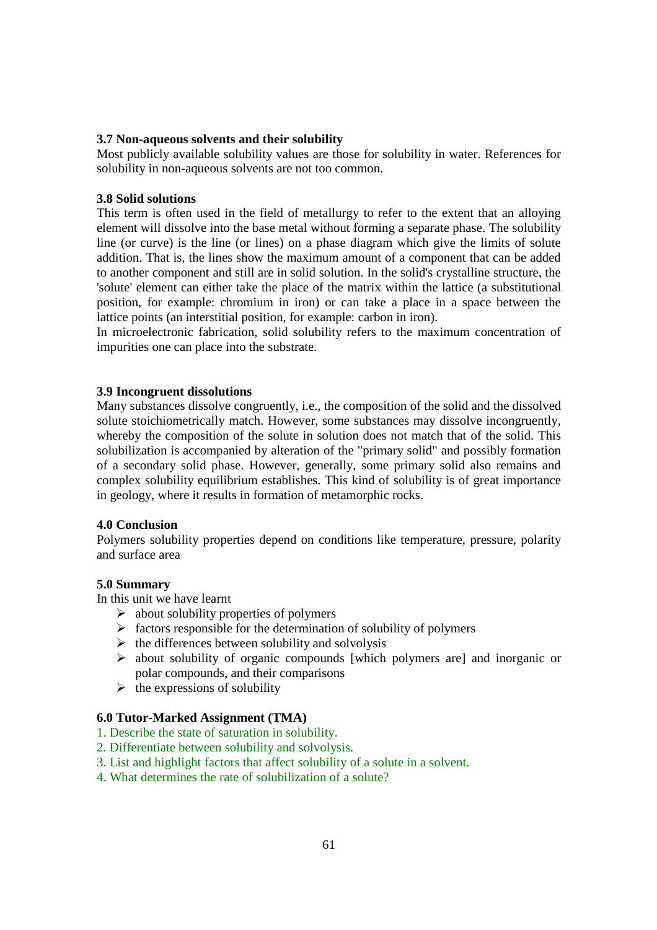#### **3.7 Non-aqueous solvents and their solubility**

Most publicly available solubility values are those for solubility in water. References for solubility in non-aqueous solvents are not too common.

# **3.8 Solid solutions**

This term is often used in the field of metallurgy to refer to the extent that an alloying element will dissolve into the base metal without forming a separate phase. The solubility line (or curve) is the line (or lines) on a phase diagram which give the limits of solute addition. That is, the lines show the maximum amount of a component that can be added to another component and still are in solid solution. In the solid's crystalline structure, the 'solute' element can either take the place of the matrix within the lattice (a substitutional position, for example: chromium in iron) or can take a place in a space between the lattice points (an interstitial position, for example: carbon in iron).

In microelectronic fabrication, solid solubility refers to the maximum concentration of impurities one can place into the substrate.

# **3.9 Incongruent dissolutions**

Many substances dissolve congruently, i.e., the composition of the solid and the dissolved solute stoichiometrically match. However, some substances may dissolve incongruently, whereby the composition of the solute in solution does not match that of the solid. This solubilization is accompanied by alteration of the "primary solid" and possibly formation of a secondary solid phase. However, generally, some primary solid also remains and complex solubility equilibrium establishes. This kind of solubility is of great importance in geology, where it results in formation of metamorphic rocks.

#### **4.0 Conclusion**

Polymers solubility properties depend on conditions like temperature, pressure, polarity and surface area

#### **5.0 Summary**

In this unit we have learnt

- $\triangleright$  about solubility properties of polymers
- $\triangleright$  factors responsible for the determination of solubility of polymers
- $\triangleright$  the differences between solubility and solvolysis
- $\triangleright$  about solubility of organic compounds [which polymers are] and inorganic or polar compounds, and their comparisons
- $\triangleright$  the expressions of solubility

#### **6.0 Tutor-Marked Assignment (TMA)**

- 1. Describe the state of saturation in solubility.
- 2. Differentiate between solubility and solvolysis.
- 3. List and highlight factors that affect solubility of a solute in a solvent.
- 4. What determines the rate of solubilization of a solute?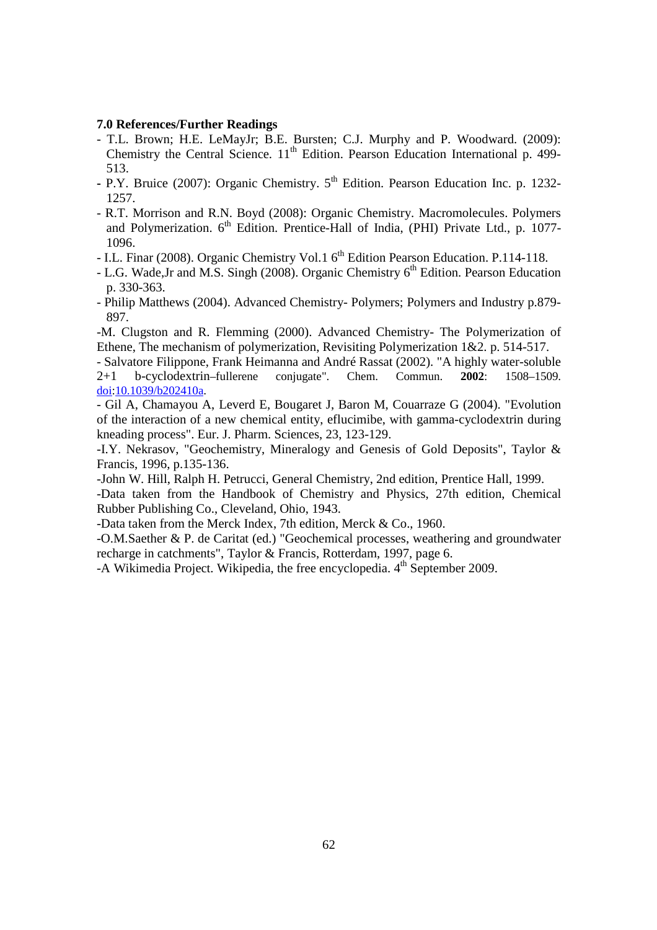#### **7.0 References/Further Readings**

- T.L. Brown; H.E. LeMayJr; B.E. Bursten; C.J. Murphy and P. Woodward. (2009): Chemistry the Central Science. 11<sup>th</sup> Edition. Pearson Education International p. 499-513.
- **P.Y. Bruice (2007): Organic Chemistry. 5<sup>th</sup> Edition. Pearson Education Inc. p. 1232-**1257.
- R.T. Morrison and R.N. Boyd (2008): Organic Chemistry. Macromolecules. Polymers and Polymerization.  $6<sup>th</sup>$  Edition. Prentice-Hall of India, (PHI) Private Ltd., p. 1077-1096.
- I.L. Finar (2008). Organic Chemistry Vol.1 6<sup>th</sup> Edition Pearson Education. P.114-118.
- L.G. Wade, Jr and M.S. Singh (2008). Organic Chemistry 6<sup>th</sup> Edition. Pearson Education p. 330-363.
- Philip Matthews (2004). Advanced Chemistry- Polymers; Polymers and Industry p.879- 897.

-M. Clugston and R. Flemming (2000). Advanced Chemistry- The Polymerization of Ethene, The mechanism of polymerization, Revisiting Polymerization 1&2. p. 514-517.

- Salvatore Filippone, Frank Heimanna and André Rassat (2002). "A highly water-soluble 2+1 b-cyclodextrin–fullerene conjugate". Chem. Commun. **2002**: 1508–1509. doi:10.1039/b202410a.

- Gil A, Chamayou A, Leverd E, Bougaret J, Baron M, Couarraze G (2004). "Evolution of the interaction of a new chemical entity, eflucimibe, with gamma-cyclodextrin during kneading process". Eur. J. Pharm. Sciences, 23, 123-129.

-I.Y. Nekrasov, "Geochemistry, Mineralogy and Genesis of Gold Deposits", Taylor & Francis, 1996, p.135-136.

-John W. Hill, Ralph H. Petrucci, General Chemistry, 2nd edition, Prentice Hall, 1999.

-Data taken from the Handbook of Chemistry and Physics, 27th edition, Chemical Rubber Publishing Co., Cleveland, Ohio, 1943.

-Data taken from the Merck Index, 7th edition, Merck & Co., 1960.

-O.M.Saether & P. de Caritat (ed.) "Geochemical processes, weathering and groundwater recharge in catchments", Taylor & Francis, Rotterdam, 1997, page 6.

-A Wikimedia Project. Wikipedia, the free encyclopedia. 4<sup>th</sup> September 2009.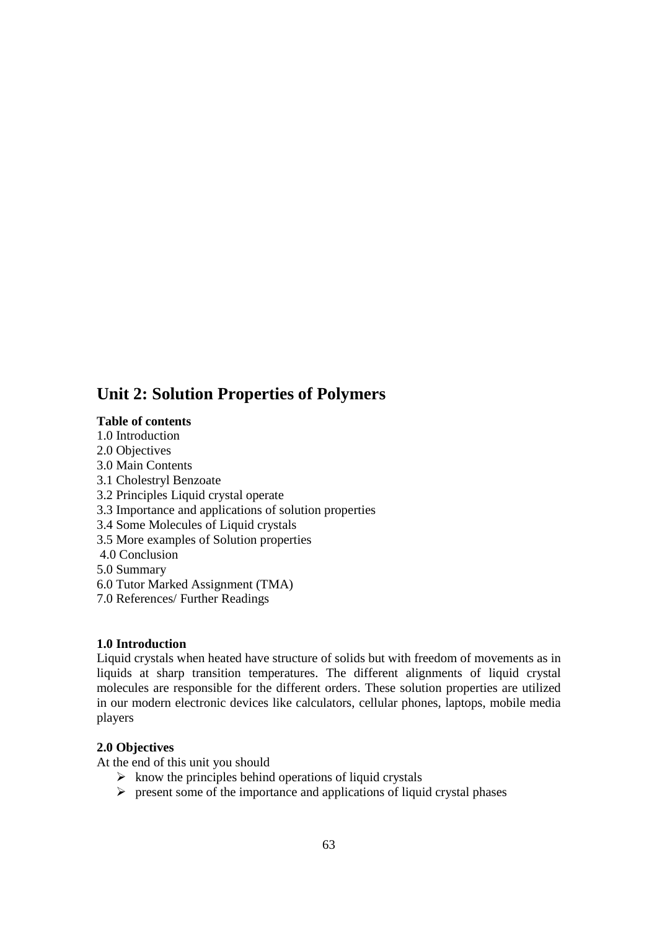# **Unit 2: Solution Properties of Polymers**

#### **Table of contents**

- 1.0 Introduction
- 2.0 Objectives
- 3.0 Main Contents
- 3.1 Cholestryl Benzoate
- 3.2 Principles Liquid crystal operate
- 3.3 Importance and applications of solution properties
- 3.4 Some Molecules of Liquid crystals
- 3.5 More examples of Solution properties
- 4.0 Conclusion
- 5.0 Summary
- 6.0 Tutor Marked Assignment (TMA)
- 7.0 References/ Further Readings

# **1.0 Introduction**

Liquid crystals when heated have structure of solids but with freedom of movements as in liquids at sharp transition temperatures. The different alignments of liquid crystal molecules are responsible for the different orders. These solution properties are utilized in our modern electronic devices like calculators, cellular phones, laptops, mobile media players

# **2.0 Objectives**

At the end of this unit you should

- $\triangleright$  know the principles behind operations of liquid crystals
- $\triangleright$  present some of the importance and applications of liquid crystal phases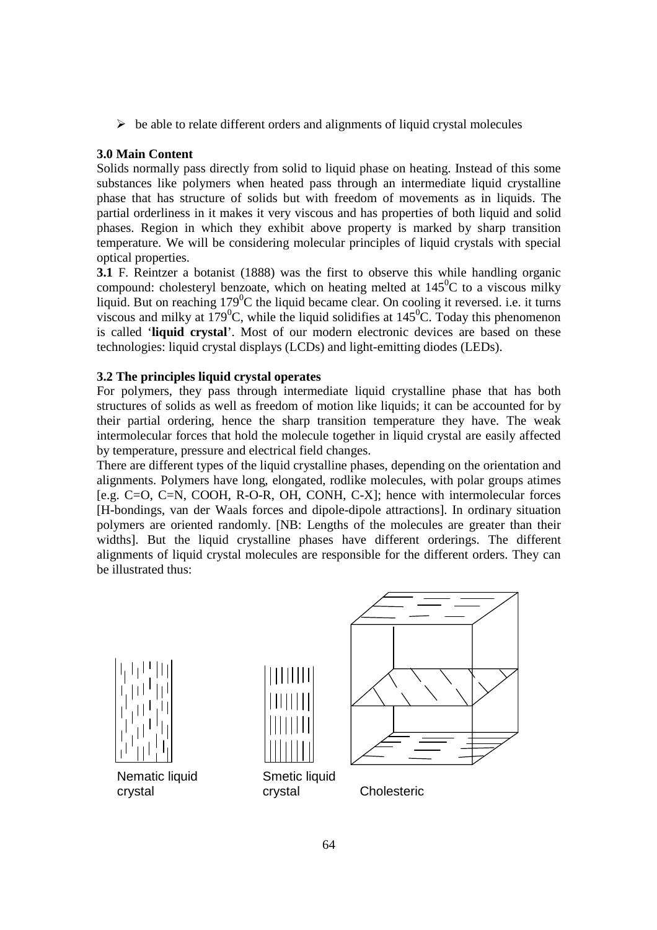$\triangleright$  be able to relate different orders and alignments of liquid crystal molecules

# **3.0 Main Content**

Solids normally pass directly from solid to liquid phase on heating. Instead of this some substances like polymers when heated pass through an intermediate liquid crystalline phase that has structure of solids but with freedom of movements as in liquids. The partial orderliness in it makes it very viscous and has properties of both liquid and solid phases. Region in which they exhibit above property is marked by sharp transition temperature. We will be considering molecular principles of liquid crystals with special optical properties.

**3.1** F. Reintzer a botanist (1888) was the first to observe this while handling organic compound: cholesteryl benzoate, which on heating melted at  $145^{\circ}$ C to a viscous milky liquid. But on reaching  $179^{\circ}$ C the liquid became clear. On cooling it reversed. i.e. it turns viscous and milky at  $179^0C$ , while the liquid solidifies at  $145^0C$ . Today this phenomenon is called '**liquid crystal**'. Most of our modern electronic devices are based on these technologies: liquid crystal displays (LCDs) and light-emitting diodes (LEDs).

#### **3.2 The principles liquid crystal operates**

For polymers, they pass through intermediate liquid crystalline phase that has both structures of solids as well as freedom of motion like liquids; it can be accounted for by their partial ordering, hence the sharp transition temperature they have. The weak intermolecular forces that hold the molecule together in liquid crystal are easily affected by temperature, pressure and electrical field changes.

There are different types of the liquid crystalline phases, depending on the orientation and alignments. Polymers have long, elongated, rodlike molecules, with polar groups atimes [e.g. C=O, C=N, COOH, R-O-R, OH, CONH, C-X]; hence with intermolecular forces [H-bondings, van der Waals forces and dipole-dipole attractions]. In ordinary situation polymers are oriented randomly. [NB: Lengths of the molecules are greater than their widths]. But the liquid crystalline phases have different orderings. The different alignments of liquid crystal molecules are responsible for the different orders. They can be illustrated thus:



Cholesteric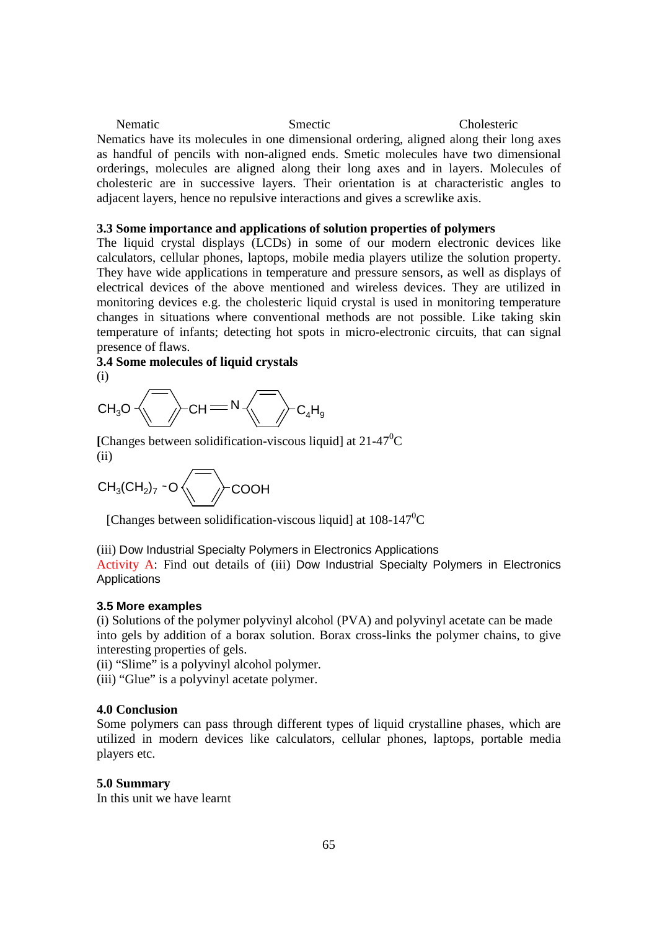Nematic Smectic Smectic Cholesteric Nematics have its molecules in one dimensional ordering, aligned along their long axes as handful of pencils with non-aligned ends. Smetic molecules have two dimensional orderings, molecules are aligned along their long axes and in layers. Molecules of cholesteric are in successive layers. Their orientation is at characteristic angles to adjacent layers, hence no repulsive interactions and gives a screwlike axis.

#### **3.3 Some importance and applications of solution properties of polymers**

The liquid crystal displays (LCDs) in some of our modern electronic devices like calculators, cellular phones, laptops, mobile media players utilize the solution property. They have wide applications in temperature and pressure sensors, as well as displays of electrical devices of the above mentioned and wireless devices. They are utilized in monitoring devices e.g. the cholesteric liquid crystal is used in monitoring temperature changes in situations where conventional methods are not possible. Like taking skin temperature of infants; detecting hot spots in micro-electronic circuits, that can signal presence of flaws.

# **3.4 Some molecules of liquid crystals**

$$
\text{CH}_3\text{O} \left\langle \overline{\phantom{a}} \right\rangle \text{CH} \text{=N} \left\langle \overline{\phantom{a}} \right\rangle \text{C}_4\text{H}_9
$$

**[Changes between solidification-viscous liquid] at**  $21-47^{\circ}C$ (ii)

$$
\text{CH}_3(\text{CH}_2)_7 \cdot \text{O} \left\langle \overline{\phantom{a}} \right\rangle \text{COOH}
$$

[Changes between solidification-viscous liquid] at  $108-147^{\circ}$ C

(iii) Dow Industrial Specialty Polymers in Electronics Applications

Activity A: Find out details of (iii) Dow Industrial Specialty Polymers in Electronics Applications

#### **3.5 More examples**

(i)

(i) Solutions of the polymer polyvinyl alcohol (PVA) and polyvinyl acetate can be made into gels by addition of a borax solution. Borax cross-links the polymer chains, to give interesting properties of gels.

(ii) "Slime" is a polyvinyl alcohol polymer.

(iii) "Glue" is a polyvinyl acetate polymer.

#### **4.0 Conclusion**

Some polymers can pass through different types of liquid crystalline phases, which are utilized in modern devices like calculators, cellular phones, laptops, portable media players etc.

#### **5.0 Summary**

In this unit we have learnt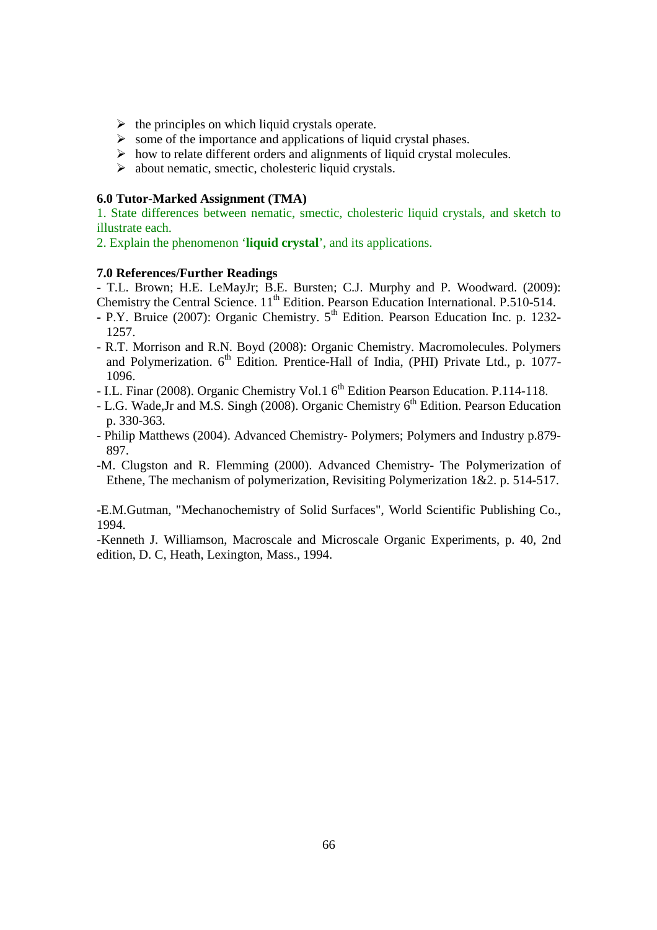- $\triangleright$  the principles on which liquid crystals operate.
- $\triangleright$  some of the importance and applications of liquid crystal phases.
- $\triangleright$  how to relate different orders and alignments of liquid crystal molecules.
- $\triangleright$  about nematic, smectic, cholesteric liquid crystals.

#### **6.0 Tutor-Marked Assignment (TMA)**

1. State differences between nematic, smectic, cholesteric liquid crystals, and sketch to illustrate each.

2. Explain the phenomenon '**liquid crystal**', and its applications.

#### **7.0 References/Further Readings**

- T.L. Brown; H.E. LeMayJr; B.E. Bursten; C.J. Murphy and P. Woodward. (2009): Chemistry the Central Science. 11<sup>th</sup> Edition. Pearson Education International. P.510-514.

- **P.Y. Bruice (2007): Organic Chemistry. 5<sup>th</sup> Edition. Pearson Education Inc. p. 1232-**1257.
- R.T. Morrison and R.N. Boyd (2008): Organic Chemistry. Macromolecules. Polymers and Polymerization.  $6<sup>th</sup>$  Edition. Prentice-Hall of India, (PHI) Private Ltd., p. 1077-1096.
- I.L. Finar (2008). Organic Chemistry Vol.1 6<sup>th</sup> Edition Pearson Education. P.114-118.
- L.G. Wade, Jr and M.S. Singh (2008). Organic Chemistry 6<sup>th</sup> Edition. Pearson Education p. 330-363.
- Philip Matthews (2004). Advanced Chemistry- Polymers; Polymers and Industry p.879- 897.
- -M. Clugston and R. Flemming (2000). Advanced Chemistry- The Polymerization of Ethene, The mechanism of polymerization, Revisiting Polymerization 1&2. p. 514-517.

-E.M.Gutman, "Mechanochemistry of Solid Surfaces", World Scientific Publishing Co., 1994.

-Kenneth J. Williamson, Macroscale and Microscale Organic Experiments, p. 40, 2nd edition, D. C, Heath, Lexington, Mass., 1994.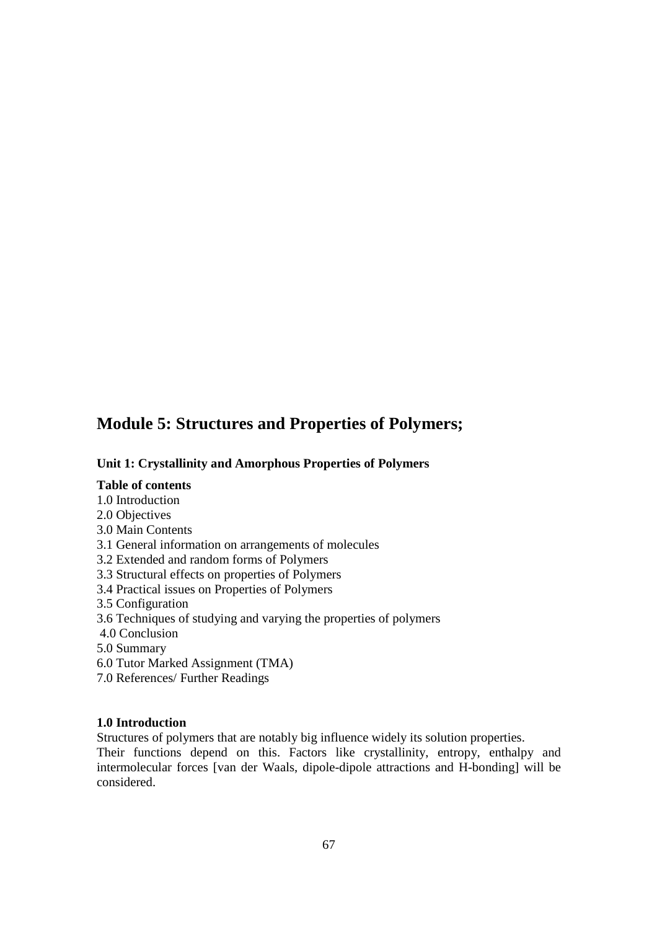# **Module 5: Structures and Properties of Polymers;**

#### **Unit 1: Crystallinity and Amorphous Properties of Polymers**

#### **Table of contents**

- 1.0 Introduction
- 2.0 Objectives
- 3.0 Main Contents
- 3.1 General information on arrangements of molecules
- 3.2 Extended and random forms of Polymers
- 3.3 Structural effects on properties of Polymers
- 3.4 Practical issues on Properties of Polymers
- 3.5 Configuration
- 3.6 Techniques of studying and varying the properties of polymers
- 4.0 Conclusion
- 5.0 Summary
- 6.0 Tutor Marked Assignment (TMA)
- 7.0 References/ Further Readings

#### **1.0 Introduction**

Structures of polymers that are notably big influence widely its solution properties.

Their functions depend on this. Factors like crystallinity, entropy, enthalpy and intermolecular forces [van der Waals, dipole-dipole attractions and H-bonding] will be considered.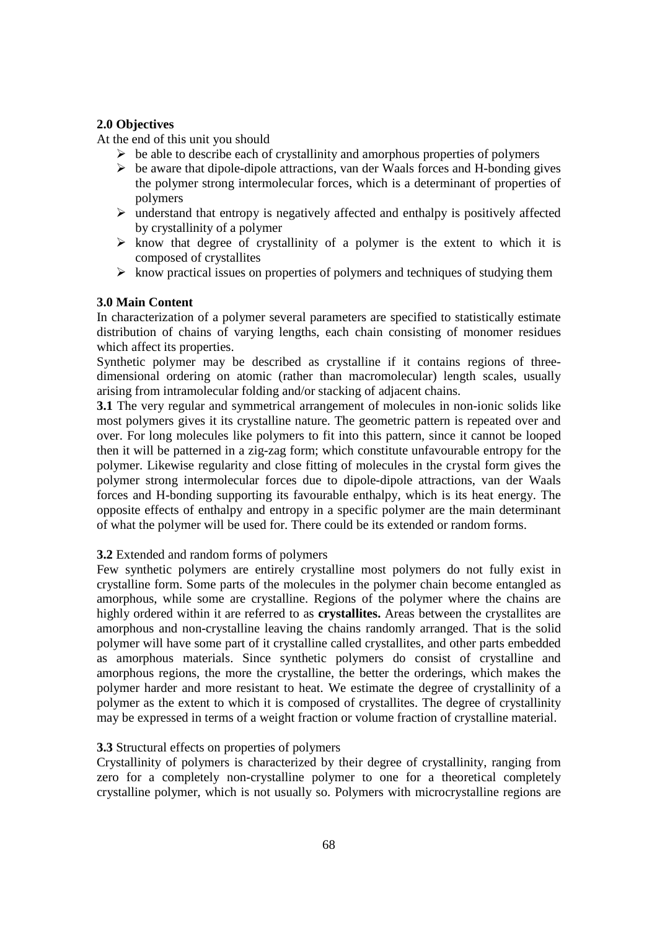#### **2.0 Objectives**

At the end of this unit you should

- $\triangleright$  be able to describe each of crystallinity and amorphous properties of polymers
- $\triangleright$  be aware that dipole-dipole attractions, van der Waals forces and H-bonding gives the polymer strong intermolecular forces, which is a determinant of properties of polymers
- $\triangleright$  understand that entropy is negatively affected and enthalpy is positively affected by crystallinity of a polymer
- $\triangleright$  know that degree of crystallinity of a polymer is the extent to which it is composed of crystallites
- $\triangleright$  know practical issues on properties of polymers and techniques of studying them

# **3.0 Main Content**

In characterization of a polymer several parameters are specified to statistically estimate distribution of chains of varying lengths, each chain consisting of monomer residues which affect its properties.

Synthetic polymer may be described as crystalline if it contains regions of threedimensional ordering on atomic (rather than macromolecular) length scales, usually arising from intramolecular folding and/or stacking of adjacent chains.

**3.1** The very regular and symmetrical arrangement of molecules in non-ionic solids like most polymers gives it its crystalline nature. The geometric pattern is repeated over and over. For long molecules like polymers to fit into this pattern, since it cannot be looped then it will be patterned in a zig-zag form; which constitute unfavourable entropy for the polymer. Likewise regularity and close fitting of molecules in the crystal form gives the polymer strong intermolecular forces due to dipole-dipole attractions, van der Waals forces and H-bonding supporting its favourable enthalpy, which is its heat energy. The opposite effects of enthalpy and entropy in a specific polymer are the main determinant of what the polymer will be used for. There could be its extended or random forms.

# **3.2** Extended and random forms of polymers

Few synthetic polymers are entirely crystalline most polymers do not fully exist in crystalline form. Some parts of the molecules in the polymer chain become entangled as amorphous, while some are crystalline. Regions of the polymer where the chains are highly ordered within it are referred to as **crystallites.** Areas between the crystallites are amorphous and non-crystalline leaving the chains randomly arranged. That is the solid polymer will have some part of it crystalline called crystallites, and other parts embedded as amorphous materials. Since synthetic polymers do consist of crystalline and amorphous regions, the more the crystalline, the better the orderings, which makes the polymer harder and more resistant to heat. We estimate the degree of crystallinity of a polymer as the extent to which it is composed of crystallites. The degree of crystallinity may be expressed in terms of a weight fraction or volume fraction of crystalline material.

#### **3.3** Structural effects on properties of polymers

Crystallinity of polymers is characterized by their degree of crystallinity, ranging from zero for a completely non-crystalline polymer to one for a theoretical completely crystalline polymer, which is not usually so. Polymers with microcrystalline regions are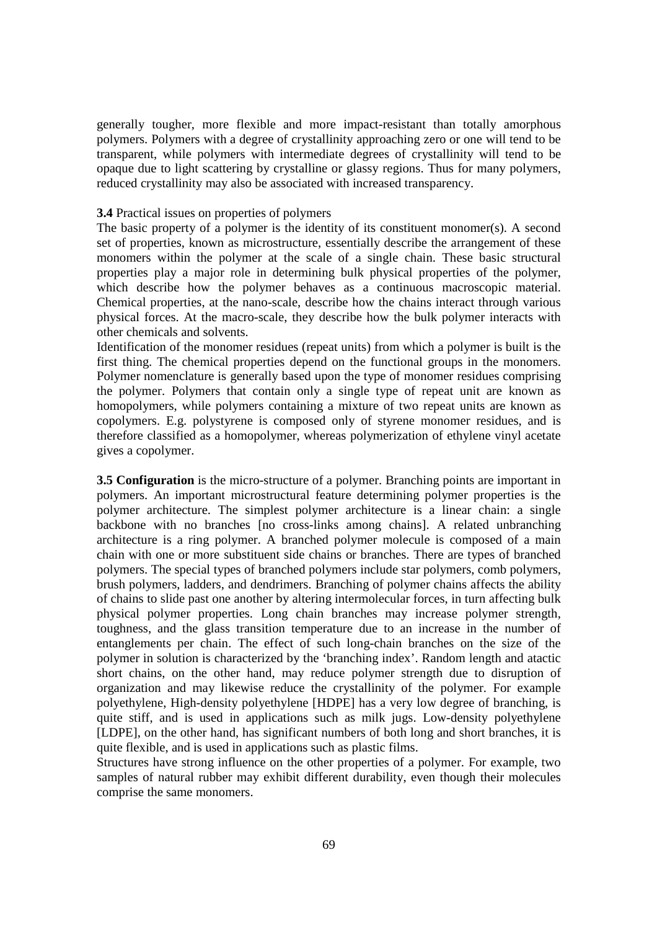generally tougher, more flexible and more impact-resistant than totally amorphous polymers. Polymers with a degree of crystallinity approaching zero or one will tend to be transparent, while polymers with intermediate degrees of crystallinity will tend to be opaque due to light scattering by crystalline or glassy regions. Thus for many polymers, reduced crystallinity may also be associated with increased transparency.

#### **3.4** Practical issues on properties of polymers

The basic property of a polymer is the identity of its constituent monomer(s). A second set of properties, known as microstructure, essentially describe the arrangement of these monomers within the polymer at the scale of a single chain. These basic structural properties play a major role in determining bulk physical properties of the polymer, which describe how the polymer behaves as a continuous macroscopic material. Chemical properties, at the nano-scale, describe how the chains interact through various physical forces. At the macro-scale, they describe how the bulk polymer interacts with other chemicals and solvents.

Identification of the monomer residues (repeat units) from which a polymer is built is the first thing. The chemical properties depend on the functional groups in the monomers. Polymer nomenclature is generally based upon the type of monomer residues comprising the polymer. Polymers that contain only a single type of repeat unit are known as homopolymers, while polymers containing a mixture of two repeat units are known as copolymers. E.g. polystyrene is composed only of styrene monomer residues, and is therefore classified as a homopolymer, whereas polymerization of ethylene vinyl acetate gives a copolymer.

**3.5 Configuration** is the micro-structure of a polymer. Branching points are important in polymers. An important microstructural feature determining polymer properties is the polymer architecture. The simplest polymer architecture is a linear chain: a single backbone with no branches [no cross-links among chains]. A related unbranching architecture is a ring polymer. A branched polymer molecule is composed of a main chain with one or more substituent side chains or branches. There are types of branched polymers. The special types of branched polymers include star polymers, comb polymers, brush polymers, ladders, and dendrimers. Branching of polymer chains affects the ability of chains to slide past one another by altering intermolecular forces, in turn affecting bulk physical polymer properties. Long chain branches may increase polymer strength, toughness, and the glass transition temperature due to an increase in the number of entanglements per chain. The effect of such long-chain branches on the size of the polymer in solution is characterized by the 'branching index'. Random length and atactic short chains, on the other hand, may reduce polymer strength due to disruption of organization and may likewise reduce the crystallinity of the polymer. For example polyethylene, High-density polyethylene [HDPE] has a very low degree of branching, is quite stiff, and is used in applications such as milk jugs. Low-density polyethylene [LDPE], on the other hand, has significant numbers of both long and short branches, it is quite flexible, and is used in applications such as plastic films.

Structures have strong influence on the other properties of a polymer. For example, two samples of natural rubber may exhibit different durability, even though their molecules comprise the same monomers.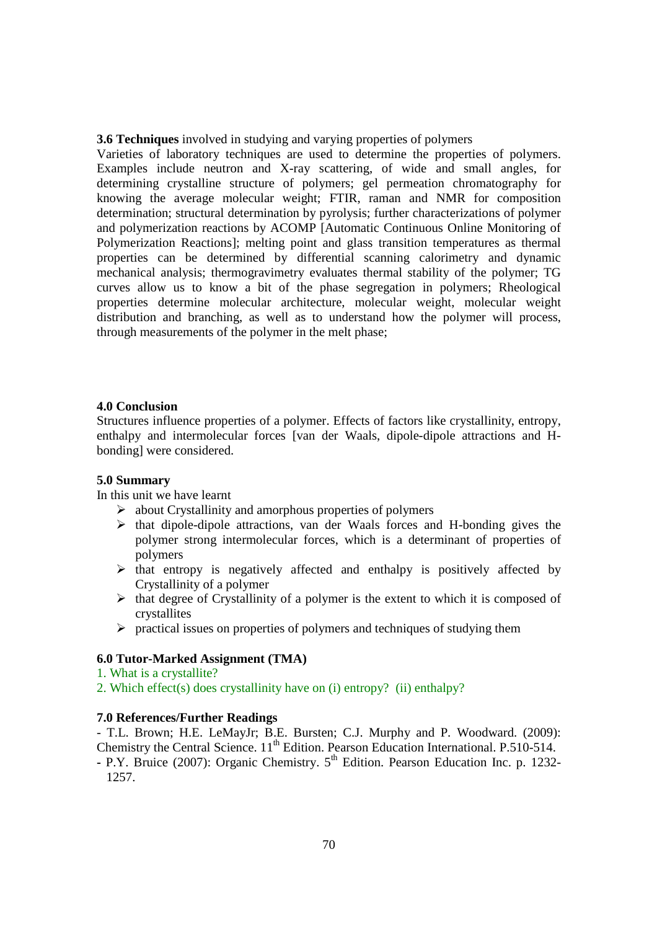**3.6 Techniques** involved in studying and varying properties of polymers

Varieties of laboratory techniques are used to determine the properties of polymers. Examples include neutron and X-ray scattering, of wide and small angles, for determining crystalline structure of polymers; gel permeation chromatography for knowing the average molecular weight; FTIR, raman and NMR for composition determination; structural determination by pyrolysis; further characterizations of polymer and polymerization reactions by ACOMP [Automatic Continuous Online Monitoring of Polymerization Reactions]; melting point and glass transition temperatures as thermal properties can be determined by differential scanning calorimetry and dynamic mechanical analysis; thermogravimetry evaluates thermal stability of the polymer; TG curves allow us to know a bit of the phase segregation in polymers; Rheological properties determine molecular architecture, molecular weight, molecular weight distribution and branching, as well as to understand how the polymer will process, through measurements of the polymer in the melt phase;

#### **4.0 Conclusion**

Structures influence properties of a polymer. Effects of factors like crystallinity, entropy, enthalpy and intermolecular forces [van der Waals, dipole-dipole attractions and Hbonding] were considered.

#### **5.0 Summary**

In this unit we have learnt

- $\triangleright$  about Crystallinity and amorphous properties of polymers
- $\triangleright$  that dipole-dipole attractions, van der Waals forces and H-bonding gives the polymer strong intermolecular forces, which is a determinant of properties of polymers
- $\triangleright$  that entropy is negatively affected and enthalpy is positively affected by Crystallinity of a polymer
- $\triangleright$  that degree of Crystallinity of a polymer is the extent to which it is composed of crystallites
- $\triangleright$  practical issues on properties of polymers and techniques of studying them

#### **6.0 Tutor-Marked Assignment (TMA)**

1. What is a crystallite?

2. Which effect(s) does crystallinity have on (i) entropy? (ii) enthalpy?

#### **7.0 References/Further Readings**

- T.L. Brown; H.E. LeMayJr; B.E. Bursten; C.J. Murphy and P. Woodward. (2009): Chemistry the Central Science. 11<sup>th</sup> Edition. Pearson Education International. P.510-514. **- P.Y. Bruice (2007): Organic Chemistry. 5<sup>th</sup> Edition. Pearson Education Inc. p. 1232-**1257.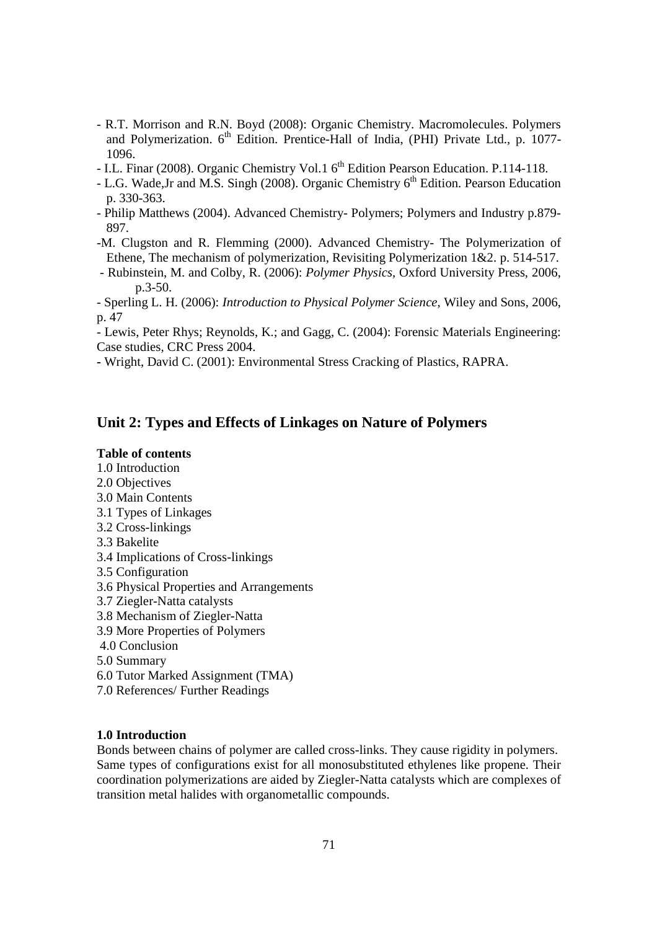- R.T. Morrison and R.N. Boyd (2008): Organic Chemistry. Macromolecules. Polymers and Polymerization. 6<sup>th</sup> Edition. Prentice-Hall of India, (PHI) Private Ltd., p. 1077-1096.
- I.L. Finar (2008). Organic Chemistry Vol.1 6<sup>th</sup> Edition Pearson Education. P.114-118.
- L.G. Wade, Jr and M.S. Singh (2008). Organic Chemistry 6<sup>th</sup> Edition. Pearson Education p. 330-363.
- Philip Matthews (2004). Advanced Chemistry- Polymers; Polymers and Industry p.879- 897.
- -M. Clugston and R. Flemming (2000). Advanced Chemistry- The Polymerization of Ethene, The mechanism of polymerization, Revisiting Polymerization 1&2. p. 514-517.
- Rubinstein, M. and Colby, R. (2006): *Polymer Physics*, Oxford University Press, 2006, p.3-50.

- Sperling L. H. (2006): *Introduction to Physical Polymer Science*, Wiley and Sons, 2006, p. 47

- Lewis, Peter Rhys; Reynolds, K.; and Gagg, C. (2004): Forensic Materials Engineering: Case studies, CRC Press 2004.

**-** Wright, David C. (2001): Environmental Stress Cracking of Plastics, RAPRA.

# **Unit 2: Types and Effects of Linkages on Nature of Polymers**

# **Table of contents**

- 1.0 Introduction
- 2.0 Objectives
- 3.0 Main Contents
- 3.1 Types of Linkages
- 3.2 Cross-linkings
- 3.3 Bakelite
- 3.4 Implications of Cross-linkings
- 3.5 Configuration
- 3.6 Physical Properties and Arrangements
- 3.7 Ziegler-Natta catalysts
- 3.8 Mechanism of Ziegler-Natta
- 3.9 More Properties of Polymers
- 4.0 Conclusion
- 5.0 Summary
- 6.0 Tutor Marked Assignment (TMA)
- 7.0 References/ Further Readings

#### **1.0 Introduction**

Bonds between chains of polymer are called cross-links. They cause rigidity in polymers. Same types of configurations exist for all monosubstituted ethylenes like propene. Their coordination polymerizations are aided by Ziegler-Natta catalysts which are complexes of transition metal halides with organometallic compounds.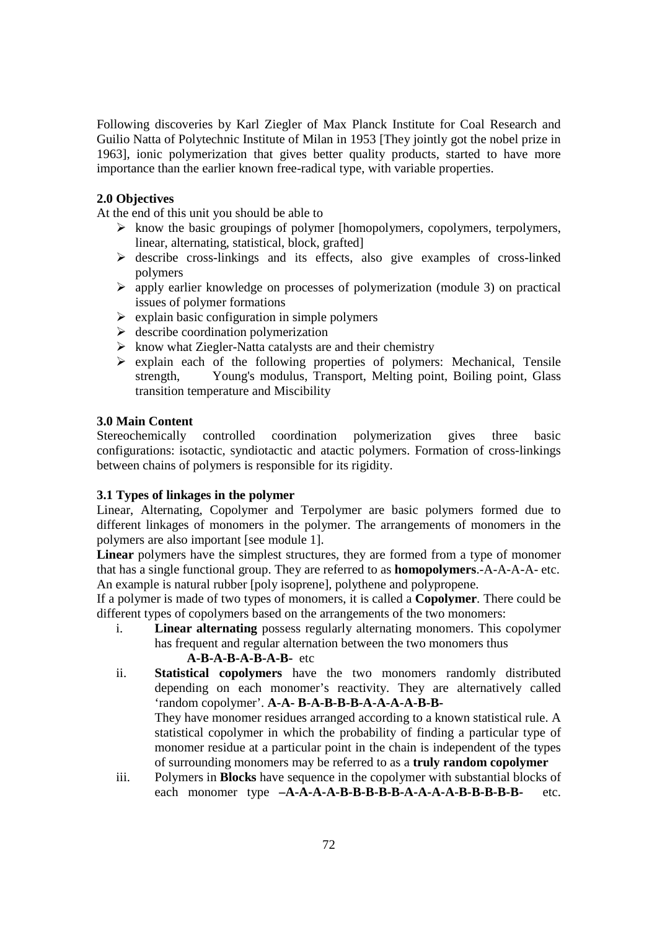Following discoveries by Karl Ziegler of Max Planck Institute for Coal Research and Guilio Natta of Polytechnic Institute of Milan in 1953 [They jointly got the nobel prize in 1963], ionic polymerization that gives better quality products, started to have more importance than the earlier known free-radical type, with variable properties.

#### **2.0 Objectives**

At the end of this unit you should be able to

- $\triangleright$  know the basic groupings of polymer [homopolymers, copolymers, terpolymers, linear, alternating, statistical, block, grafted]
- $\triangleright$  describe cross-linkings and its effects, also give examples of cross-linked polymers
- $\triangleright$  apply earlier knowledge on processes of polymerization (module 3) on practical issues of polymer formations
- $\triangleright$  explain basic configuration in simple polymers
- $\triangleright$  describe coordination polymerization
- $\triangleright$  know what Ziegler-Natta catalysts are and their chemistry
- $\triangleright$  explain each of the following properties of polymers: Mechanical, Tensile strength, Young's modulus, Transport, Melting point, Boiling point, Glass transition temperature and Miscibility

#### **3.0 Main Content**

Stereochemically controlled coordination polymerization gives three basic configurations: isotactic, syndiotactic and atactic polymers. Formation of cross-linkings between chains of polymers is responsible for its rigidity.

#### **3.1 Types of linkages in the polymer**

Linear, Alternating, Copolymer and Terpolymer are basic polymers formed due to different linkages of monomers in the polymer. The arrangements of monomers in the polymers are also important [see module 1].

**Linear** polymers have the simplest structures, they are formed from a type of monomer that has a single functional group. They are referred to as **homopolymers**.-A-A-A-A- etc. An example is natural rubber [poly isoprene], polythene and polypropene.

If a polymer is made of two types of monomers, it is called a **Copolymer**. There could be different types of copolymers based on the arrangements of the two monomers:

i. **Linear alternating** possess regularly alternating monomers. This copolymer has frequent and regular alternation between the two monomers thus

# **A-B-A-B-A-B-A-B-** etc

ii. **Statistical copolymers** have the two monomers randomly distributed depending on each monomer's reactivity. They are alternatively called 'random copolymer'. **A-A- B-A-B-B-B-A-A-A-A-B-B-**

They have monomer residues arranged according to a known statistical rule. A statistical copolymer in which the probability of finding a particular type of monomer residue at a particular point in the chain is independent of the types of surrounding monomers may be referred to as a **truly random copolymer** 

iii. Polymers in **Blocks** have sequence in the copolymer with substantial blocks of each monomer type **–A-A-A-A-B-B-B-B-B-A-A-A-A-B-B-B-B-B-** etc.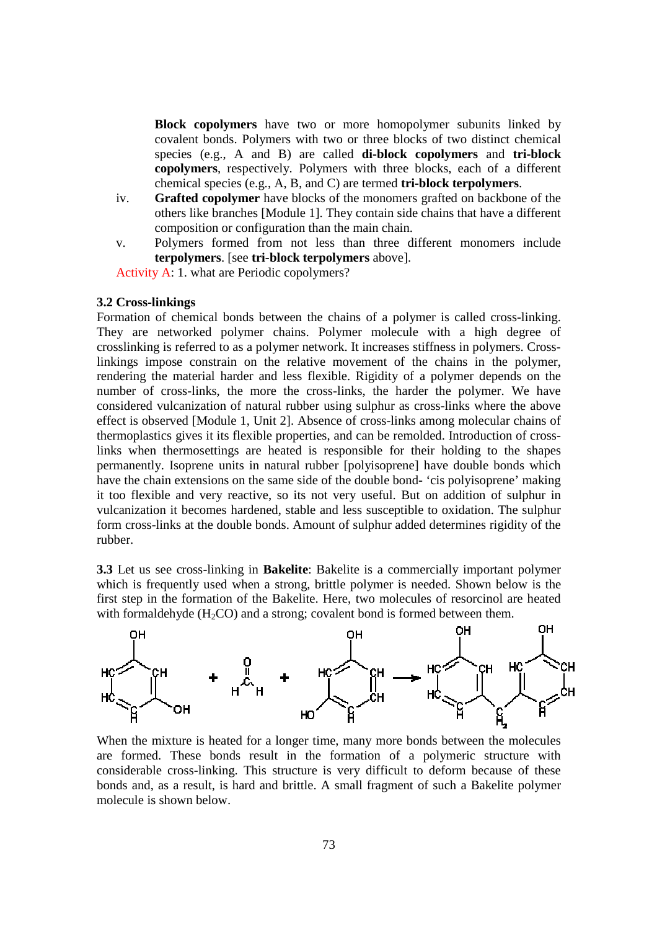**Block copolymers** have two or more homopolymer subunits linked by covalent bonds. Polymers with two or three blocks of two distinct chemical species (e.g., A and B) are called **di-block copolymers** and **tri-block copolymers**, respectively. Polymers with three blocks, each of a different chemical species (e.g., A, B, and C) are termed **tri-block terpolymers**.

- iv. **Grafted copolymer** have blocks of the monomers grafted on backbone of the others like branches [Module 1]. They contain side chains that have a different composition or configuration than the main chain.
- v. Polymers formed from not less than three different monomers include **terpolymers**. [see **tri-block terpolymers** above].

Activity A: 1. what are Periodic copolymers?

#### **3.2 Cross-linkings**

Formation of chemical bonds between the chains of a polymer is called cross-linking. They are networked polymer chains. Polymer molecule with a high degree of crosslinking is referred to as a polymer network. It increases stiffness in polymers. Crosslinkings impose constrain on the relative movement of the chains in the polymer, rendering the material harder and less flexible. Rigidity of a polymer depends on the number of cross-links, the more the cross-links, the harder the polymer. We have considered vulcanization of natural rubber using sulphur as cross-links where the above effect is observed [Module 1, Unit 2]. Absence of cross-links among molecular chains of thermoplastics gives it its flexible properties, and can be remolded. Introduction of crosslinks when thermosettings are heated is responsible for their holding to the shapes permanently. Isoprene units in natural rubber [polyisoprene] have double bonds which have the chain extensions on the same side of the double bond- 'cis polyisoprene' making it too flexible and very reactive, so its not very useful. But on addition of sulphur in vulcanization it becomes hardened, stable and less susceptible to oxidation. The sulphur form cross-links at the double bonds. Amount of sulphur added determines rigidity of the rubber.

**3.3** Let us see cross-linking in **Bakelite**: Bakelite is a commercially important polymer which is frequently used when a strong, brittle polymer is needed. Shown below is the first step in the formation of the Bakelite. Here, two molecules of resorcinol are heated with formaldehyde  $(H_2CO)$  and a strong; covalent bond is formed between them.



When the mixture is heated for a longer time, many more bonds between the molecules are formed. These bonds result in the formation of a polymeric structure with considerable cross-linking. This structure is very difficult to deform because of these bonds and, as a result, is hard and brittle. A small fragment of such a Bakelite polymer molecule is shown below.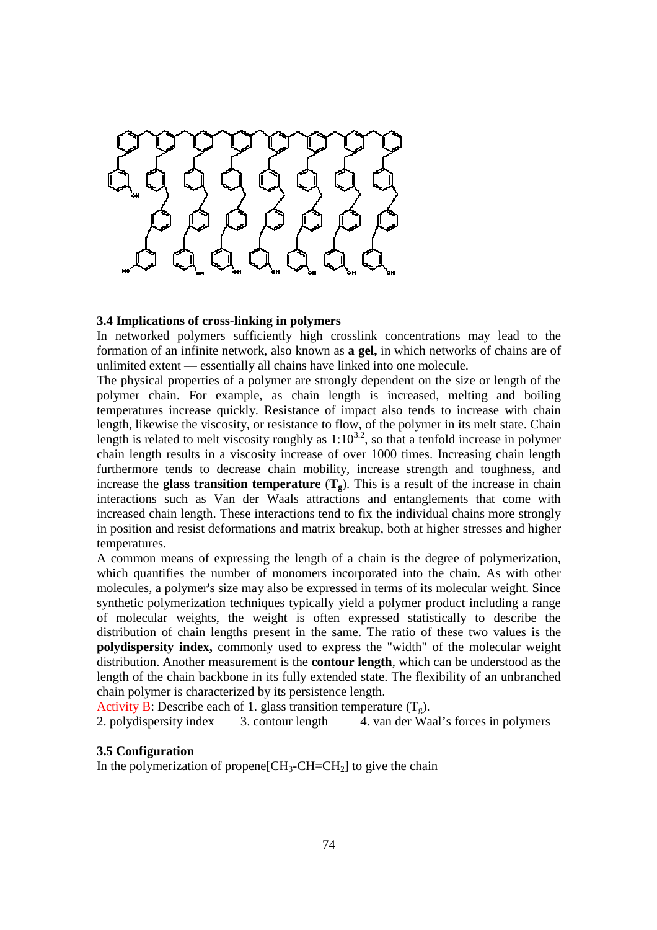

#### **3.4 Implications of cross-linking in polymers**

In networked polymers sufficiently high crosslink concentrations may lead to the formation of an infinite network, also known as **a gel,** in which networks of chains are of unlimited extent — essentially all chains have linked into one molecule.

The physical properties of a polymer are strongly dependent on the size or length of the polymer chain. For example, as chain length is increased, melting and boiling temperatures increase quickly. Resistance of impact also tends to increase with chain length, likewise the viscosity, or resistance to flow, of the polymer in its melt state. Chain length is related to melt viscosity roughly as  $1:10^{3.2}$ , so that a tenfold increase in polymer chain length results in a viscosity increase of over 1000 times. Increasing chain length furthermore tends to decrease chain mobility, increase strength and toughness, and increase the **glass transition temperature**  $(T_g)$ . This is a result of the increase in chain interactions such as Van der Waals attractions and entanglements that come with increased chain length. These interactions tend to fix the individual chains more strongly in position and resist deformations and matrix breakup, both at higher stresses and higher temperatures.

A common means of expressing the length of a chain is the degree of polymerization, which quantifies the number of monomers incorporated into the chain. As with other molecules, a polymer's size may also be expressed in terms of its molecular weight. Since synthetic polymerization techniques typically yield a polymer product including a range of molecular weights, the weight is often expressed statistically to describe the distribution of chain lengths present in the same. The ratio of these two values is the **polydispersity index,** commonly used to express the "width" of the molecular weight distribution. Another measurement is the **contour length**, which can be understood as the length of the chain backbone in its fully extended state. The flexibility of an unbranched chain polymer is characterized by its persistence length.

Activity B: Describe each of 1. glass transition temperature  $(T<sub>s</sub>)$ .

2. polydispersity index 3. contour length 4. van der Waal's forces in polymers

#### **3.5 Configuration**

In the polymerization of propene  $[CH_3-CH=CH_2]$  to give the chain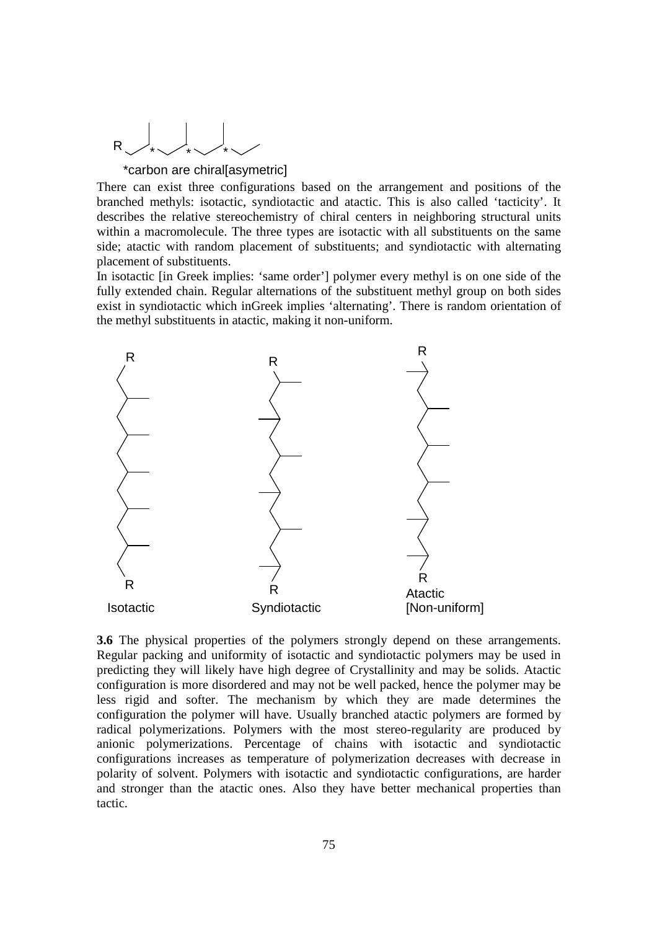

#### \*carbon are chiral[asymetric]

 There can exist three configurations based on the arrangement and positions of the branched methyls: isotactic, syndiotactic and atactic. This is also called 'tacticity'. It describes the relative stereochemistry of chiral centers in neighboring structural units within a macromolecule. The three types are isotactic with all substituents on the same side; atactic with random placement of substituents; and syndiotactic with alternating placement of substituents.

In isotactic [in Greek implies: 'same order'] polymer every methyl is on one side of the fully extended chain. Regular alternations of the substituent methyl group on both sides exist in syndiotactic which inGreek implies 'alternating'. There is random orientation of the methyl substituents in atactic, making it non-uniform.



**3.6** The physical properties of the polymers strongly depend on these arrangements. Regular packing and uniformity of isotactic and syndiotactic polymers may be used in predicting they will likely have high degree of Crystallinity and may be solids. Atactic configuration is more disordered and may not be well packed, hence the polymer may be less rigid and softer. The mechanism by which they are made determines the configuration the polymer will have. Usually branched atactic polymers are formed by radical polymerizations. Polymers with the most stereo-regularity are produced by anionic polymerizations. Percentage of chains with isotactic and syndiotactic configurations increases as temperature of polymerization decreases with decrease in polarity of solvent. Polymers with isotactic and syndiotactic configurations, are harder and stronger than the atactic ones. Also they have better mechanical properties than tactic.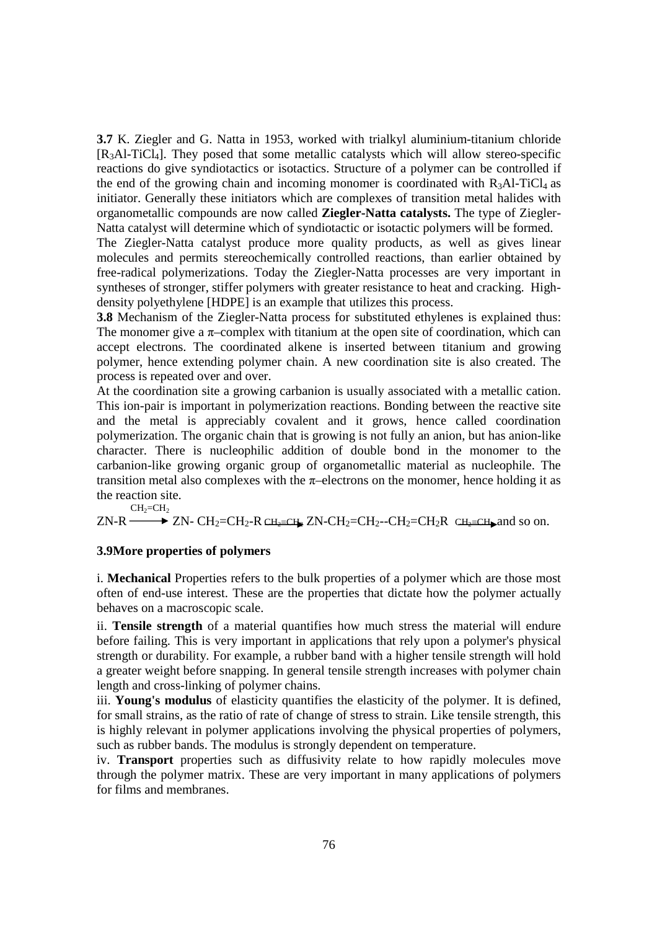**3.7** K. Ziegler and G. Natta in 1953, worked with trialkyl aluminium-titanium chloride  $[R_3A1-TiCl_4]$ . They posed that some metallic catalysts which will allow stereo-specific reactions do give syndiotactics or isotactics. Structure of a polymer can be controlled if the end of the growing chain and incoming monomer is coordinated with  $R_3$ Al-TiCl<sub>4</sub> as initiator. Generally these initiators which are complexes of transition metal halides with organometallic compounds are now called **Ziegler-Natta catalysts.** The type of Ziegler-Natta catalyst will determine which of syndiotactic or isotactic polymers will be formed.

The Ziegler-Natta catalyst produce more quality products, as well as gives linear molecules and permits stereochemically controlled reactions, than earlier obtained by free-radical polymerizations. Today the Ziegler-Natta processes are very important in syntheses of stronger, stiffer polymers with greater resistance to heat and cracking. Highdensity polyethylene [HDPE] is an example that utilizes this process.

**3.8** Mechanism of the Ziegler-Natta process for substituted ethylenes is explained thus: The monomer give a  $\pi$ -complex with titanium at the open site of coordination, which can accept electrons. The coordinated alkene is inserted between titanium and growing polymer, hence extending polymer chain. A new coordination site is also created. The process is repeated over and over.

At the coordination site a growing carbanion is usually associated with a metallic cation. This ion-pair is important in polymerization reactions. Bonding between the reactive site and the metal is appreciably covalent and it grows, hence called coordination polymerization. The organic chain that is growing is not fully an anion, but has anion-like character. There is nucleophilic addition of double bond in the monomer to the carbanion-like growing organic group of organometallic material as nucleophile. The transition metal also complexes with the  $\pi$ -electrons on the monomer, hence holding it as the reaction site.

 $CH<sub>2</sub>=CH<sub>2</sub>$  $ZN-R \longrightarrow ZN-CH_2=CH_2-R CH_2=CH_2ZN-CH_2=CH_2-CH_2=CH_2R$  CH<sub>2</sub>=CH<sub>2</sub> and so on.

#### **3.9More properties of polymers**

i. **Mechanical** Properties refers to the bulk properties of a polymer which are those most often of end-use interest. These are the properties that dictate how the polymer actually behaves on a macroscopic scale.

ii. **Tensile strength** of a material quantifies how much stress the material will endure before failing. This is very important in applications that rely upon a polymer's physical strength or durability. For example, a rubber band with a higher tensile strength will hold a greater weight before snapping. In general tensile strength increases with polymer chain length and cross-linking of polymer chains.

iii. **Young's modulus** of elasticity quantifies the elasticity of the polymer. It is defined, for small strains, as the ratio of rate of change of stress to strain. Like tensile strength, this is highly relevant in polymer applications involving the physical properties of polymers, such as rubber bands. The modulus is strongly dependent on temperature.

iv. **Transport** properties such as diffusivity relate to how rapidly molecules move through the polymer matrix. These are very important in many applications of polymers for films and membranes.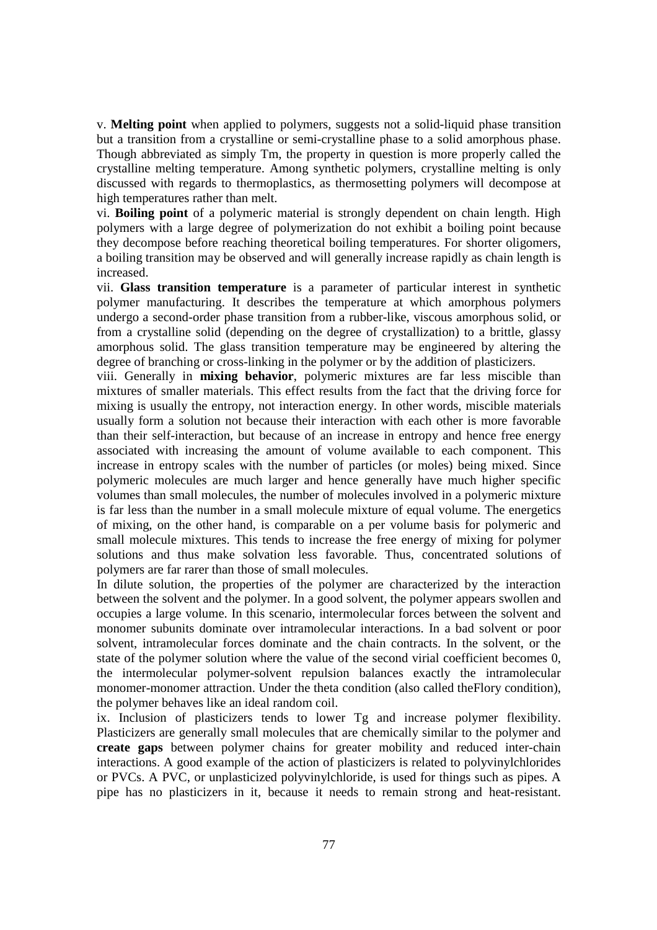v. **Melting point** when applied to polymers, suggests not a solid-liquid phase transition but a transition from a crystalline or semi-crystalline phase to a solid amorphous phase. Though abbreviated as simply Tm, the property in question is more properly called the crystalline melting temperature. Among synthetic polymers, crystalline melting is only discussed with regards to thermoplastics, as thermosetting polymers will decompose at high temperatures rather than melt.

vi. **Boiling point** of a polymeric material is strongly dependent on chain length. High polymers with a large degree of polymerization do not exhibit a boiling point because they decompose before reaching theoretical boiling temperatures. For shorter oligomers, a boiling transition may be observed and will generally increase rapidly as chain length is increased.

vii. **Glass transition temperature** is a parameter of particular interest in synthetic polymer manufacturing. It describes the temperature at which amorphous polymers undergo a second-order phase transition from a rubber-like, viscous amorphous solid, or from a crystalline solid (depending on the degree of crystallization) to a brittle, glassy amorphous solid. The glass transition temperature may be engineered by altering the degree of branching or cross-linking in the polymer or by the addition of plasticizers.

viii. Generally in **mixing behavior**, polymeric mixtures are far less miscible than mixtures of smaller materials. This effect results from the fact that the driving force for mixing is usually the entropy, not interaction energy. In other words, miscible materials usually form a solution not because their interaction with each other is more favorable than their self-interaction, but because of an increase in entropy and hence free energy associated with increasing the amount of volume available to each component. This increase in entropy scales with the number of particles (or moles) being mixed. Since polymeric molecules are much larger and hence generally have much higher specific volumes than small molecules, the number of molecules involved in a polymeric mixture is far less than the number in a small molecule mixture of equal volume. The energetics of mixing, on the other hand, is comparable on a per volume basis for polymeric and small molecule mixtures. This tends to increase the free energy of mixing for polymer solutions and thus make solvation less favorable. Thus, concentrated solutions of polymers are far rarer than those of small molecules.

In dilute solution, the properties of the polymer are characterized by the interaction between the solvent and the polymer. In a good solvent, the polymer appears swollen and occupies a large volume. In this scenario, intermolecular forces between the solvent and monomer subunits dominate over intramolecular interactions. In a bad solvent or poor solvent, intramolecular forces dominate and the chain contracts. In the solvent, or the state of the polymer solution where the value of the second virial coefficient becomes 0, the intermolecular polymer-solvent repulsion balances exactly the intramolecular monomer-monomer attraction. Under the theta condition (also called theFlory condition), the polymer behaves like an ideal random coil.

ix. Inclusion of plasticizers tends to lower Tg and increase polymer flexibility. Plasticizers are generally small molecules that are chemically similar to the polymer and **create gaps** between polymer chains for greater mobility and reduced inter-chain interactions. A good example of the action of plasticizers is related to polyvinylchlorides or PVCs. A PVC, or unplasticized polyvinylchloride, is used for things such as pipes. A pipe has no plasticizers in it, because it needs to remain strong and heat-resistant.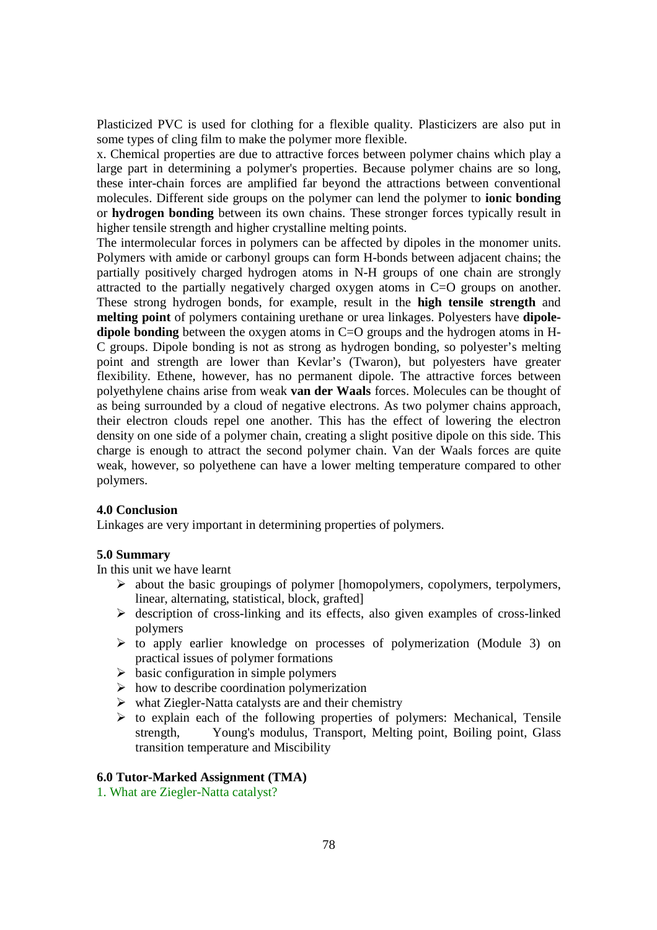Plasticized PVC is used for clothing for a flexible quality. Plasticizers are also put in some types of cling film to make the polymer more flexible.

x. Chemical properties are due to attractive forces between polymer chains which play a large part in determining a polymer's properties. Because polymer chains are so long, these inter-chain forces are amplified far beyond the attractions between conventional molecules. Different side groups on the polymer can lend the polymer to **ionic bonding**  or **hydrogen bonding** between its own chains. These stronger forces typically result in higher tensile strength and higher crystalline melting points.

The intermolecular forces in polymers can be affected by dipoles in the monomer units. Polymers with amide or carbonyl groups can form H-bonds between adjacent chains; the partially positively charged hydrogen atoms in N-H groups of one chain are strongly attracted to the partially negatively charged oxygen atoms in C=O groups on another. These strong hydrogen bonds, for example, result in the **high tensile strength** and **melting point** of polymers containing urethane or urea linkages. Polyesters have **dipoledipole bonding** between the oxygen atoms in C=O groups and the hydrogen atoms in H-C groups. Dipole bonding is not as strong as hydrogen bonding, so polyester's melting point and strength are lower than Kevlar's (Twaron), but polyesters have greater flexibility. Ethene, however, has no permanent dipole. The attractive forces between polyethylene chains arise from weak **van der Waals** forces. Molecules can be thought of as being surrounded by a cloud of negative electrons. As two polymer chains approach, their electron clouds repel one another. This has the effect of lowering the electron density on one side of a polymer chain, creating a slight positive dipole on this side. This charge is enough to attract the second polymer chain. Van der Waals forces are quite weak, however, so polyethene can have a lower melting temperature compared to other polymers.

## **4.0 Conclusion**

Linkages are very important in determining properties of polymers.

## **5.0 Summary**

In this unit we have learnt

- $\triangleright$  about the basic groupings of polymer [homopolymers, copolymers, terpolymers, linear, alternating, statistical, block, grafted]
- $\triangleright$  description of cross-linking and its effects, also given examples of cross-linked polymers
- $\triangleright$  to apply earlier knowledge on processes of polymerization (Module 3) on practical issues of polymer formations
- $\triangleright$  basic configuration in simple polymers
- $\triangleright$  how to describe coordination polymerization
- $\triangleright$  what Ziegler-Natta catalysts are and their chemistry
- $\triangleright$  to explain each of the following properties of polymers: Mechanical, Tensile strength, Young's modulus, Transport, Melting point, Boiling point, Glass transition temperature and Miscibility

#### **6.0 Tutor-Marked Assignment (TMA)**

1. What are Ziegler-Natta catalyst?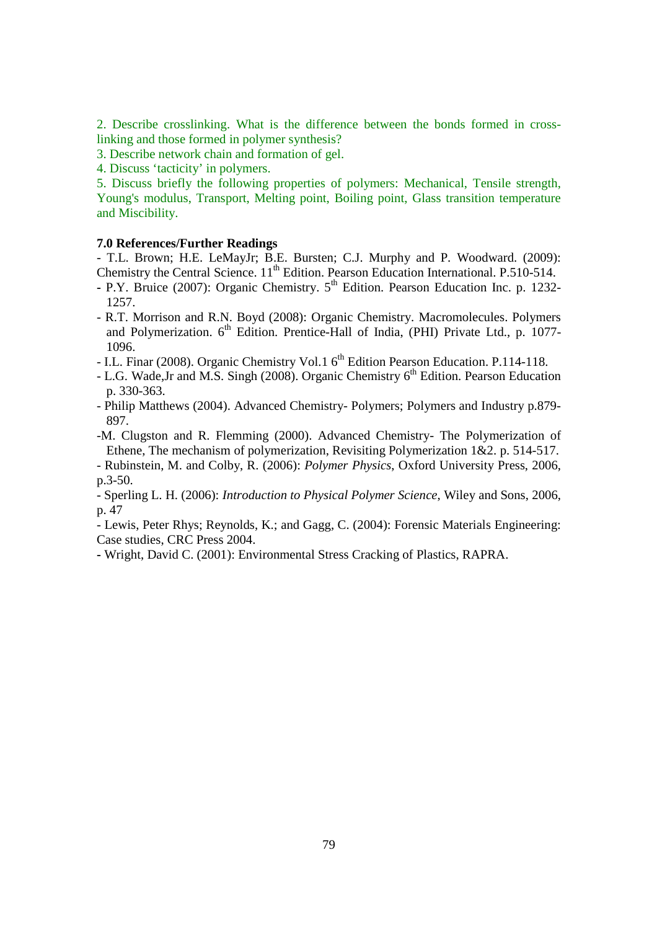2. Describe crosslinking. What is the difference between the bonds formed in crosslinking and those formed in polymer synthesis?

- 3. Describe network chain and formation of gel.
- 4. Discuss 'tacticity' in polymers.

5. Discuss briefly the following properties of polymers: Mechanical, Tensile strength, Young's modulus, Transport, Melting point, Boiling point, Glass transition temperature and Miscibility.

#### **7.0 References/Further Readings**

- T.L. Brown; H.E. LeMayJr; B.E. Bursten; C.J. Murphy and P. Woodward. (2009): Chemistry the Central Science. 11<sup>th</sup> Edition. Pearson Education International. P.510-514.

- **P.Y. Bruice (2007): Organic Chemistry.** 5<sup>th</sup> Edition. Pearson Education Inc. p. 1232-1257.
- R.T. Morrison and R.N. Boyd (2008): Organic Chemistry. Macromolecules. Polymers and Polymerization. 6<sup>th</sup> Edition. Prentice-Hall of India, (PHI) Private Ltd., p. 1077-1096.
- I.L. Finar (2008). Organic Chemistry Vol.1 6<sup>th</sup> Edition Pearson Education. P.114-118.
- L.G. Wade, Jr and M.S. Singh (2008). Organic Chemistry 6<sup>th</sup> Edition. Pearson Education p. 330-363.
- Philip Matthews (2004). Advanced Chemistry- Polymers; Polymers and Industry p.879- 897.
- -M. Clugston and R. Flemming (2000). Advanced Chemistry- The Polymerization of Ethene, The mechanism of polymerization, Revisiting Polymerization 1&2. p. 514-517.
- Rubinstein, M. and Colby, R. (2006): *Polymer Physics*, Oxford University Press, 2006, p.3-50.

- Sperling L. H. (2006): *Introduction to Physical Polymer Science*, Wiley and Sons, 2006, p. 47

- Lewis, Peter Rhys; Reynolds, K.; and Gagg, C. (2004): Forensic Materials Engineering: Case studies, CRC Press 2004.

**-** Wright, David C. (2001): Environmental Stress Cracking of Plastics, RAPRA.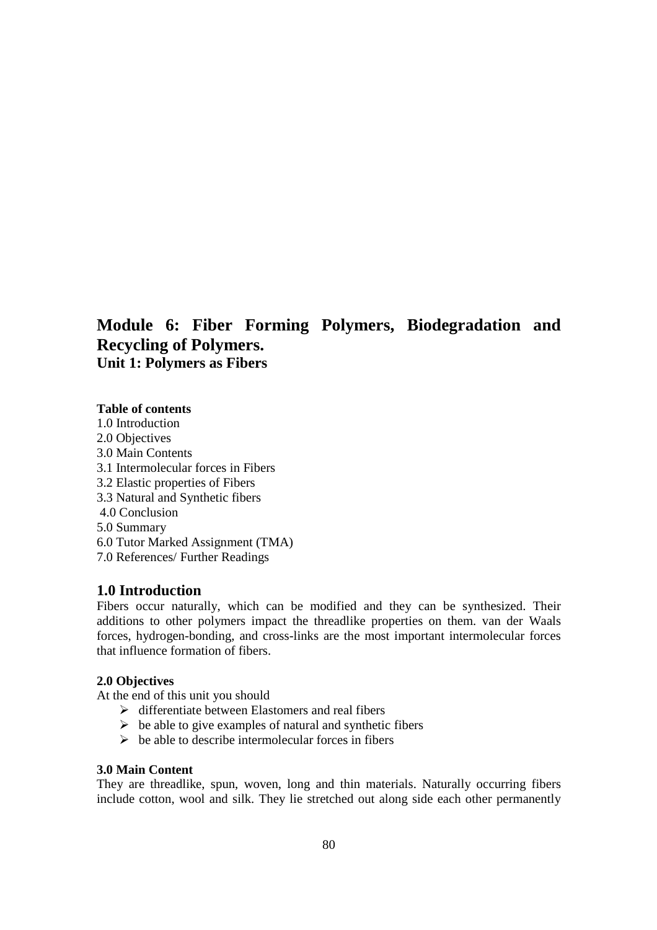# **Module 6: Fiber Forming Polymers, Biodegradation and Recycling of Polymers. Unit 1: Polymers as Fibers**

## **Table of contents**

- 1.0 Introduction
- 2.0 Objectives
- 3.0 Main Contents
- 3.1 Intermolecular forces in Fibers
- 3.2 Elastic properties of Fibers
- 3.3 Natural and Synthetic fibers
- 4.0 Conclusion
- 5.0 Summary
- 6.0 Tutor Marked Assignment (TMA)
- 7.0 References/ Further Readings

## **1.0 Introduction**

Fibers occur naturally, which can be modified and they can be synthesized. Their additions to other polymers impact the threadlike properties on them. van der Waals forces, hydrogen-bonding, and cross-links are the most important intermolecular forces that influence formation of fibers.

#### **2.0 Objectives**

At the end of this unit you should

- $\triangleright$  differentiate between Elastomers and real fibers
- $\triangleright$  be able to give examples of natural and synthetic fibers
- $\triangleright$  be able to describe intermolecular forces in fibers

## **3.0 Main Content**

They are threadlike, spun, woven, long and thin materials. Naturally occurring fibers include cotton, wool and silk. They lie stretched out along side each other permanently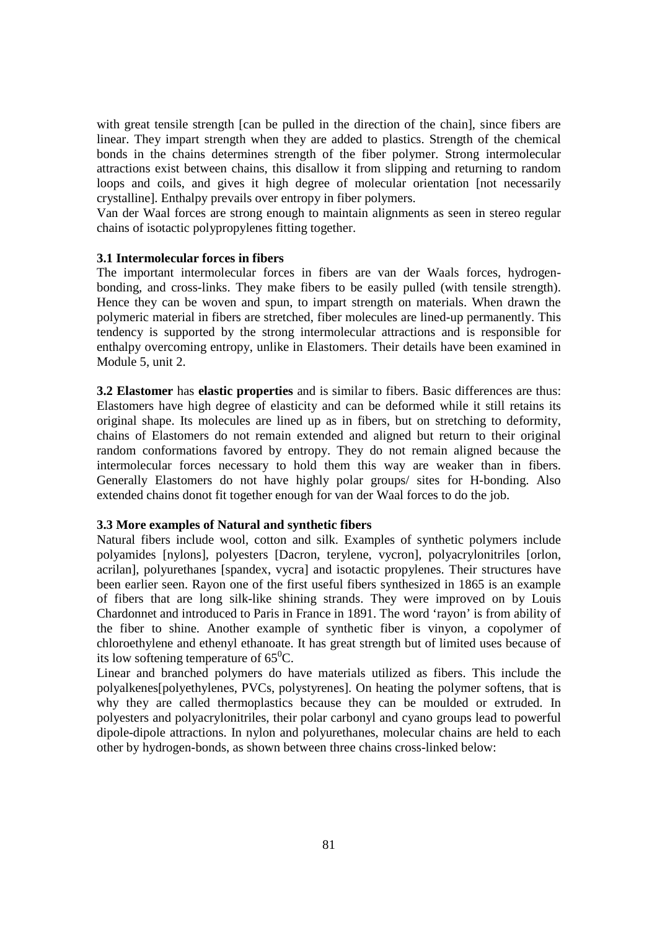with great tensile strength [can be pulled in the direction of the chain], since fibers are linear. They impart strength when they are added to plastics. Strength of the chemical bonds in the chains determines strength of the fiber polymer. Strong intermolecular attractions exist between chains, this disallow it from slipping and returning to random loops and coils, and gives it high degree of molecular orientation [not necessarily crystalline]. Enthalpy prevails over entropy in fiber polymers.

Van der Waal forces are strong enough to maintain alignments as seen in stereo regular chains of isotactic polypropylenes fitting together.

#### **3.1 Intermolecular forces in fibers**

The important intermolecular forces in fibers are van der Waals forces, hydrogenbonding, and cross-links. They make fibers to be easily pulled (with tensile strength). Hence they can be woven and spun, to impart strength on materials. When drawn the polymeric material in fibers are stretched, fiber molecules are lined-up permanently. This tendency is supported by the strong intermolecular attractions and is responsible for enthalpy overcoming entropy, unlike in Elastomers. Their details have been examined in Module 5, unit 2.

**3.2 Elastomer** has **elastic properties** and is similar to fibers. Basic differences are thus: Elastomers have high degree of elasticity and can be deformed while it still retains its original shape. Its molecules are lined up as in fibers, but on stretching to deformity, chains of Elastomers do not remain extended and aligned but return to their original random conformations favored by entropy. They do not remain aligned because the intermolecular forces necessary to hold them this way are weaker than in fibers. Generally Elastomers do not have highly polar groups/ sites for H-bonding. Also extended chains donot fit together enough for van der Waal forces to do the job.

#### **3.3 More examples of Natural and synthetic fibers**

Natural fibers include wool, cotton and silk. Examples of synthetic polymers include polyamides [nylons], polyesters [Dacron, terylene, vycron], polyacrylonitriles [orlon, acrilan], polyurethanes [spandex, vycra] and isotactic propylenes. Their structures have been earlier seen. Rayon one of the first useful fibers synthesized in 1865 is an example of fibers that are long silk-like shining strands. They were improved on by Louis Chardonnet and introduced to Paris in France in 1891. The word 'rayon' is from ability of the fiber to shine. Another example of synthetic fiber is vinyon, a copolymer of chloroethylene and ethenyl ethanoate. It has great strength but of limited uses because of its low softening temperature of  $65^{\circ}$ C.

Linear and branched polymers do have materials utilized as fibers. This include the polyalkenes[polyethylenes, PVCs, polystyrenes]. On heating the polymer softens, that is why they are called thermoplastics because they can be moulded or extruded. In polyesters and polyacrylonitriles, their polar carbonyl and cyano groups lead to powerful dipole-dipole attractions. In nylon and polyurethanes, molecular chains are held to each other by hydrogen-bonds, as shown between three chains cross-linked below: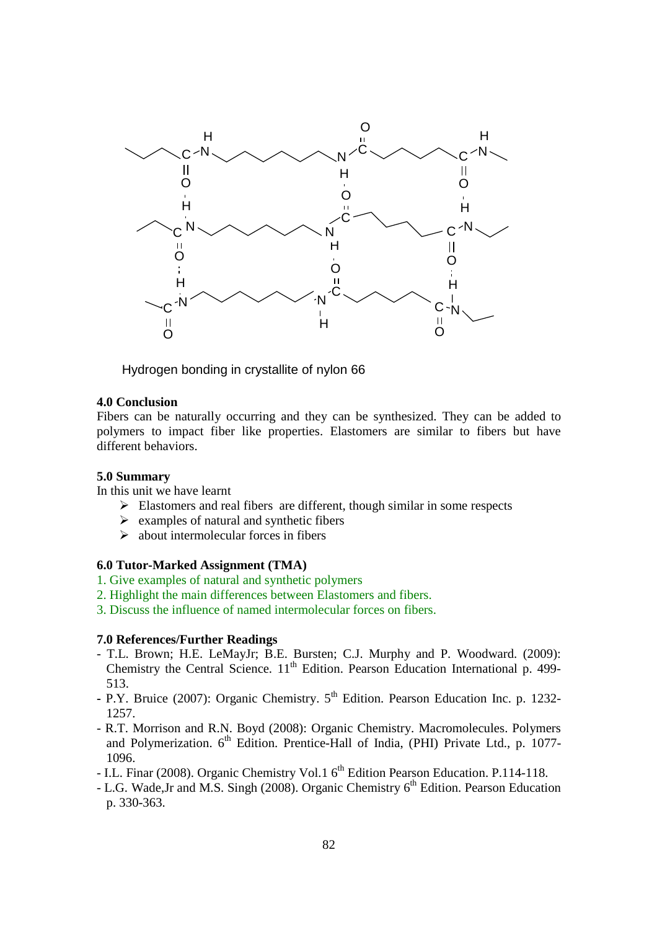

Hydrogen bonding in crystallite of nylon 66

#### **4.0 Conclusion**

Fibers can be naturally occurring and they can be synthesized. They can be added to polymers to impact fiber like properties. Elastomers are similar to fibers but have different behaviors.

## **5.0 Summary**

In this unit we have learnt

- $\triangleright$  Elastomers and real fibers are different, though similar in some respects
- $\triangleright$  examples of natural and synthetic fibers
- $\triangleright$  about intermolecular forces in fibers

## **6.0 Tutor-Marked Assignment (TMA)**

- 1. Give examples of natural and synthetic polymers
- 2. Highlight the main differences between Elastomers and fibers.
- 3. Discuss the influence of named intermolecular forces on fibers.

#### **7.0 References/Further Readings**

- T.L. Brown; H.E. LeMayJr; B.E. Bursten; C.J. Murphy and P. Woodward. (2009): Chemistry the Central Science. 11<sup>th</sup> Edition. Pearson Education International p. 499-513.
- **P.Y. Bruice (2007): Organic Chemistry. 5<sup>th</sup> Edition. Pearson Education Inc. p. 1232-**1257.
- R.T. Morrison and R.N. Boyd (2008): Organic Chemistry. Macromolecules. Polymers and Polymerization.  $6<sup>th</sup>$  Edition. Prentice-Hall of India, (PHI) Private Ltd., p. 1077-1096.
- I.L. Finar (2008). Organic Chemistry Vol.1 6<sup>th</sup> Edition Pearson Education. P.114-118.
- L.G. Wade, Jr and M.S. Singh (2008). Organic Chemistry 6<sup>th</sup> Edition. Pearson Education p. 330-363.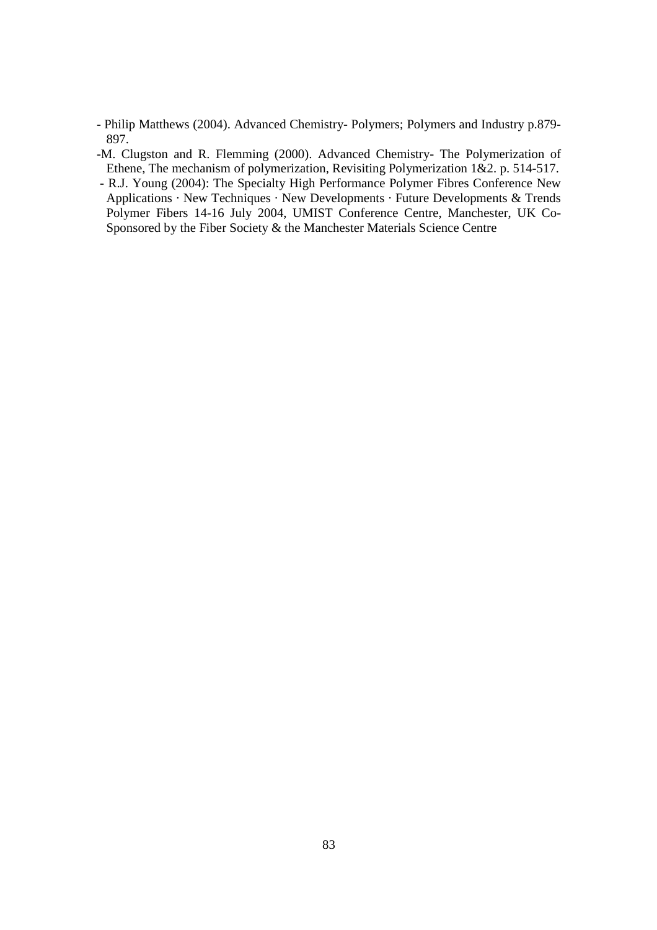- Philip Matthews (2004). Advanced Chemistry- Polymers; Polymers and Industry p.879- 897.
- -M. Clugston and R. Flemming (2000). Advanced Chemistry- The Polymerization of Ethene, The mechanism of polymerization, Revisiting Polymerization 1&2. p. 514-517.
- R.J. Young (2004): The Specialty High Performance Polymer Fibres Conference New Applications · New Techniques · New Developments · Future Developments & Trends Polymer Fibers 14-16 July 2004, UMIST Conference Centre, Manchester, UK Co-Sponsored by the Fiber Society & the Manchester Materials Science Centre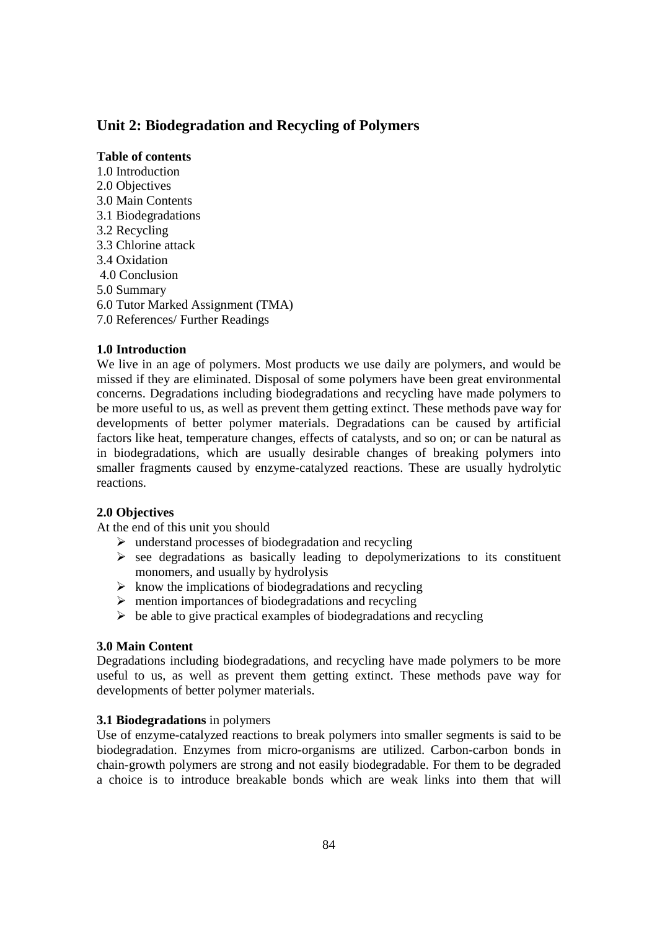# **Unit 2: Biodegradation and Recycling of Polymers**

## **Table of contents**

1.0 Introduction 2.0 Objectives 3.0 Main Contents 3.1 Biodegradations 3.2 Recycling 3.3 Chlorine attack 3.4 Oxidation 4.0 Conclusion 5.0 Summary 6.0 Tutor Marked Assignment (TMA) 7.0 References/ Further Readings

## **1.0 Introduction**

We live in an age of polymers. Most products we use daily are polymers, and would be missed if they are eliminated. Disposal of some polymers have been great environmental concerns. Degradations including biodegradations and recycling have made polymers to be more useful to us, as well as prevent them getting extinct. These methods pave way for developments of better polymer materials. Degradations can be caused by artificial factors like heat, temperature changes, effects of catalysts, and so on; or can be natural as in biodegradations, which are usually desirable changes of breaking polymers into smaller fragments caused by enzyme-catalyzed reactions. These are usually hydrolytic reactions.

## **2.0 Objectives**

At the end of this unit you should

- $\triangleright$  understand processes of biodegradation and recycling
- $\triangleright$  see degradations as basically leading to depolymerizations to its constituent monomers, and usually by hydrolysis
- $\triangleright$  know the implications of biodegradations and recycling
- $\triangleright$  mention importances of biodegradations and recycling
- $\triangleright$  be able to give practical examples of biodegradations and recycling

## **3.0 Main Content**

Degradations including biodegradations, and recycling have made polymers to be more useful to us, as well as prevent them getting extinct. These methods pave way for developments of better polymer materials.

## **3.1 Biodegradations** in polymers

Use of enzyme-catalyzed reactions to break polymers into smaller segments is said to be biodegradation. Enzymes from micro-organisms are utilized. Carbon-carbon bonds in chain-growth polymers are strong and not easily biodegradable. For them to be degraded a choice is to introduce breakable bonds which are weak links into them that will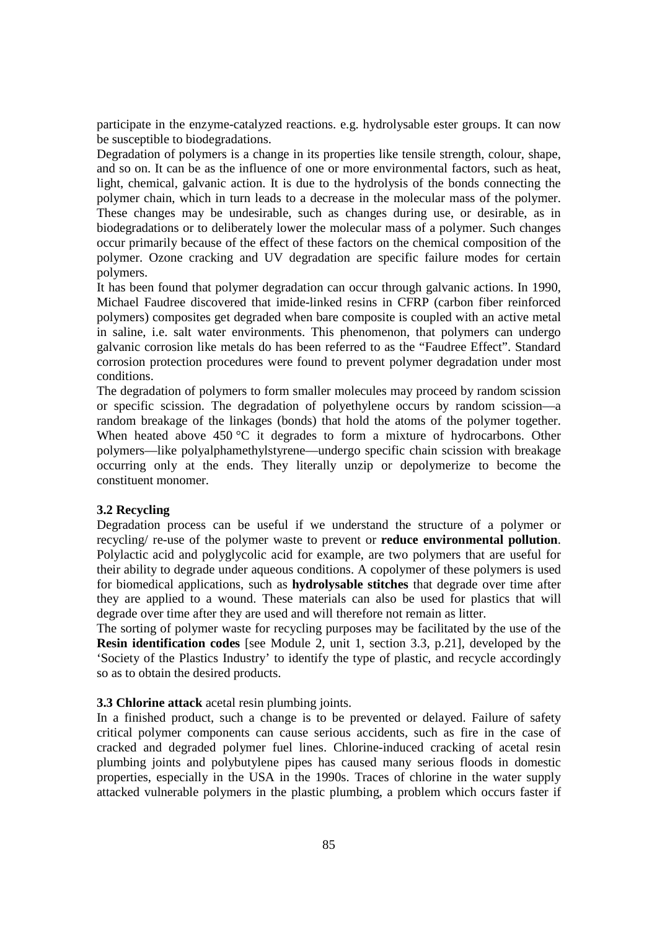participate in the enzyme-catalyzed reactions. e.g. hydrolysable ester groups. It can now be susceptible to biodegradations.

Degradation of polymers is a change in its properties like tensile strength, colour, shape, and so on. It can be as the influence of one or more environmental factors, such as heat, light, chemical, galvanic action. It is due to the hydrolysis of the bonds connecting the polymer chain, which in turn leads to a decrease in the molecular mass of the polymer. These changes may be undesirable, such as changes during use, or desirable, as in biodegradations or to deliberately lower the molecular mass of a polymer. Such changes occur primarily because of the effect of these factors on the chemical composition of the polymer. Ozone cracking and UV degradation are specific failure modes for certain polymers.

It has been found that polymer degradation can occur through galvanic actions. In 1990, Michael Faudree discovered that imide-linked resins in CFRP (carbon fiber reinforced polymers) composites get degraded when bare composite is coupled with an active metal in saline, i.e. salt water environments. This phenomenon, that polymers can undergo galvanic corrosion like metals do has been referred to as the "Faudree Effect". Standard corrosion protection procedures were found to prevent polymer degradation under most conditions.

The degradation of polymers to form smaller molecules may proceed by random scission or specific scission. The degradation of polyethylene occurs by random scission—a random breakage of the linkages (bonds) that hold the atoms of the polymer together. When heated above  $450^{\circ}$ C it degrades to form a mixture of hydrocarbons. Other polymers—like polyalphamethylstyrene—undergo specific chain scission with breakage occurring only at the ends. They literally unzip or depolymerize to become the constituent monomer.

#### **3.2 Recycling**

Degradation process can be useful if we understand the structure of a polymer or recycling/ re-use of the polymer waste to prevent or **reduce environmental pollution**. Polylactic acid and polyglycolic acid for example, are two polymers that are useful for their ability to degrade under aqueous conditions. A copolymer of these polymers is used for biomedical applications, such as **hydrolysable stitches** that degrade over time after they are applied to a wound. These materials can also be used for plastics that will degrade over time after they are used and will therefore not remain as litter.

The sorting of polymer waste for recycling purposes may be facilitated by the use of the **Resin identification codes** [see Module 2, unit 1, section 3.3, p.21], developed by the 'Society of the Plastics Industry' to identify the type of plastic, and recycle accordingly so as to obtain the desired products.

#### **3.3 Chlorine attack** acetal resin plumbing joints.

In a finished product, such a change is to be prevented or delayed. Failure of safety critical polymer components can cause serious accidents, such as fire in the case of cracked and degraded polymer fuel lines. Chlorine-induced cracking of acetal resin plumbing joints and polybutylene pipes has caused many serious floods in domestic properties, especially in the USA in the 1990s. Traces of chlorine in the water supply attacked vulnerable polymers in the plastic plumbing, a problem which occurs faster if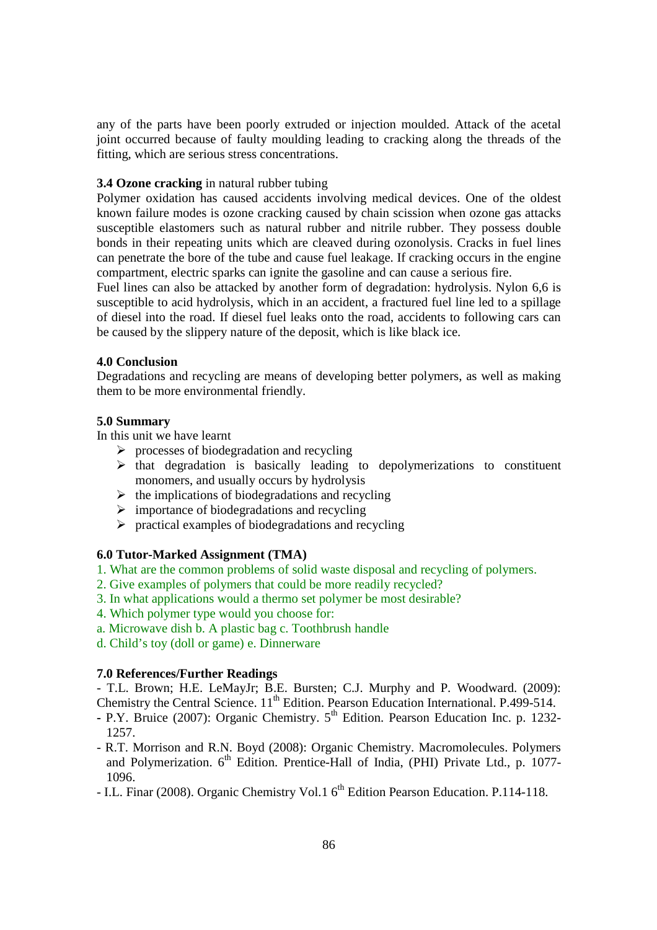any of the parts have been poorly extruded or injection moulded. Attack of the acetal joint occurred because of faulty moulding leading to cracking along the threads of the fitting, which are serious stress concentrations.

#### **3.4 Ozone cracking** in natural rubber tubing

Polymer oxidation has caused accidents involving medical devices. One of the oldest known failure modes is ozone cracking caused by chain scission when ozone gas attacks susceptible elastomers such as natural rubber and nitrile rubber. They possess double bonds in their repeating units which are cleaved during ozonolysis. Cracks in fuel lines can penetrate the bore of the tube and cause fuel leakage. If cracking occurs in the engine compartment, electric sparks can ignite the gasoline and can cause a serious fire.

Fuel lines can also be attacked by another form of degradation: hydrolysis. Nylon 6,6 is susceptible to acid hydrolysis, which in an accident, a fractured fuel line led to a spillage of diesel into the road. If diesel fuel leaks onto the road, accidents to following cars can be caused by the slippery nature of the deposit, which is like black ice.

#### **4.0 Conclusion**

Degradations and recycling are means of developing better polymers, as well as making them to be more environmental friendly.

## **5.0 Summary**

In this unit we have learnt

- $\triangleright$  processes of biodegradation and recycling
- $\triangleright$  that degradation is basically leading to depolymerizations to constituent monomers, and usually occurs by hydrolysis
- $\triangleright$  the implications of biodegradations and recycling
- $\triangleright$  importance of biodegradations and recycling
- $\triangleright$  practical examples of biodegradations and recycling

#### **6.0 Tutor-Marked Assignment (TMA)**

- 1. What are the common problems of solid waste disposal and recycling of polymers.
- 2. Give examples of polymers that could be more readily recycled?
- 3. In what applications would a thermo set polymer be most desirable?
- 4. Which polymer type would you choose for:
- a. Microwave dish b. A plastic bag c. Toothbrush handle
- d. Child's toy (doll or game) e. Dinnerware

## **7.0 References/Further Readings**

- T.L. Brown; H.E. LeMayJr; B.E. Bursten; C.J. Murphy and P. Woodward. (2009): Chemistry the Central Science. 11<sup>th</sup> Edition. Pearson Education International. P.499-514.

- **P.Y. Bruice (2007): Organic Chemistry.** 5<sup>th</sup> Edition. Pearson Education Inc. p. 1232-1257.
- R.T. Morrison and R.N. Boyd (2008): Organic Chemistry. Macromolecules. Polymers and Polymerization. 6<sup>th</sup> Edition. Prentice-Hall of India, (PHI) Private Ltd., p. 1077-1096.
- I.L. Finar (2008). Organic Chemistry Vol.1 6<sup>th</sup> Edition Pearson Education. P.114-118.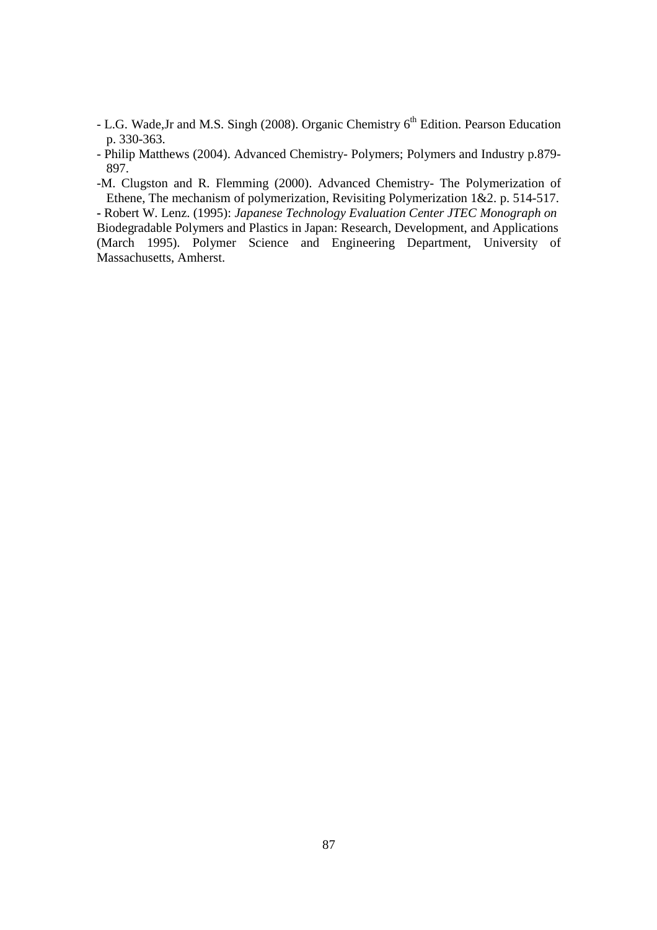- L.G. Wade, Jr and M.S. Singh (2008). Organic Chemistry 6<sup>th</sup> Edition. Pearson Education p. 330-363.
- Philip Matthews (2004). Advanced Chemistry- Polymers; Polymers and Industry p.879- 897.

-M. Clugston and R. Flemming (2000). Advanced Chemistry- The Polymerization of Ethene, The mechanism of polymerization, Revisiting Polymerization 1&2. p. 514-517.

**-** Robert W. Lenz. (1995): *Japanese Technology Evaluation Center JTEC Monograph on*  Biodegradable Polymers and Plastics in Japan: Research, Development, and Applications

(March 1995). Polymer Science and Engineering Department, University of Massachusetts, Amherst.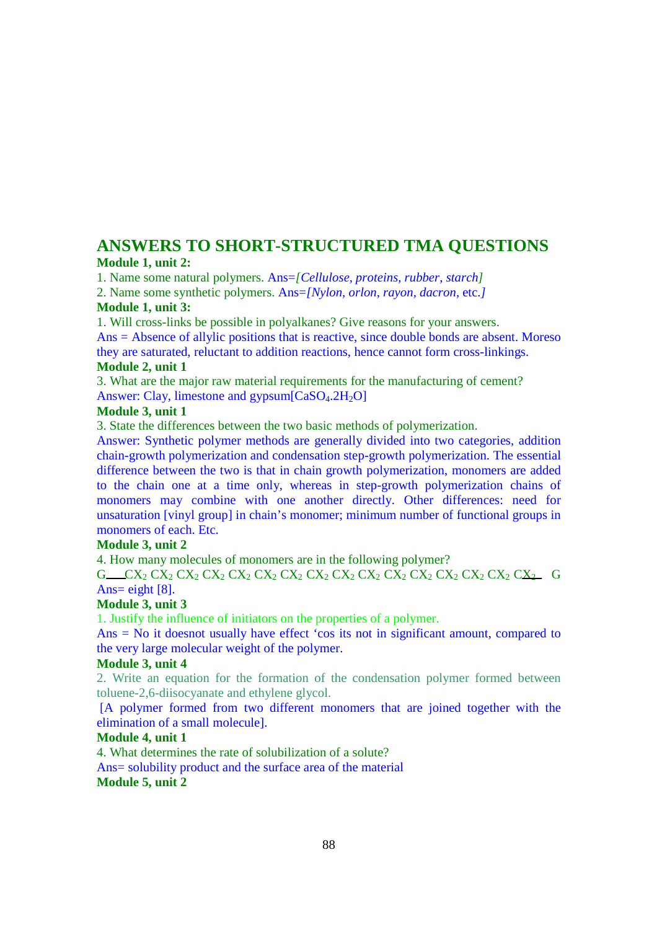## **ANSWERS TO SHORT-STRUCTURED TMA QUESTIONS Module 1, unit 2:**

1. Name some natural polymers. Ans=*[Cellulose, proteins, rubber, starch]* 

2. Name some synthetic polymers. Ans=*[Nylon, orlon, rayon, dacron,* etc.*]* **Module 1, unit 3:** 

1. Will cross-links be possible in polyalkanes? Give reasons for your answers.

Ans = Absence of allylic positions that is reactive, since double bonds are absent. Moreso they are saturated, reluctant to addition reactions, hence cannot form cross-linkings.

## **Module 2, unit 1**

3. What are the major raw material requirements for the manufacturing of cement? Answer: Clay, limestone and gypsum $[CaSO<sub>4</sub>.2H<sub>2</sub>O]$ 

#### **Module 3, unit 1**

3. State the differences between the two basic methods of polymerization.

Answer: Synthetic polymer methods are generally divided into two categories, addition chain-growth polymerization and condensation step-growth polymerization. The essential difference between the two is that in chain growth polymerization, monomers are added to the chain one at a time only, whereas in step-growth polymerization chains of monomers may combine with one another directly. Other differences: need for unsaturation [vinyl group] in chain's monomer; minimum number of functional groups in monomers of each. Etc.

#### **Module 3, unit 2**

4. How many molecules of monomers are in the following polymer?

G CX<sub>2</sub> CX<sub>2</sub> CX<sub>2</sub> CX<sub>2</sub> CX<sub>2</sub> CX<sub>2</sub> CX<sub>2</sub> CX<sub>2</sub> CX<sub>2</sub> CX<sub>2</sub> CX<sub>2</sub> CX<sub>2</sub> CX<sub>2</sub> CX<sub>2</sub> C<sub>X</sub><sub>2</sub> C<sub>X</sub><sub>2</sub> G Ans= eight [8].

#### **Module 3, unit 3**

1. Justify the influence of initiators on the properties of a polymer.

Ans = No it doesnot usually have effect 'cos its not in significant amount, compared to the very large molecular weight of the polymer.

## **Module 3, unit 4**

2. Write an equation for the formation of the condensation polymer formed between toluene-2,6-diisocyanate and ethylene glycol.

[A polymer formed from two different monomers that are joined together with the elimination of a small molecule].

## **Module 4, unit 1**

4. What determines the rate of solubilization of a solute?

Ans= solubility product and the surface area of the material

## **Module 5, unit 2**